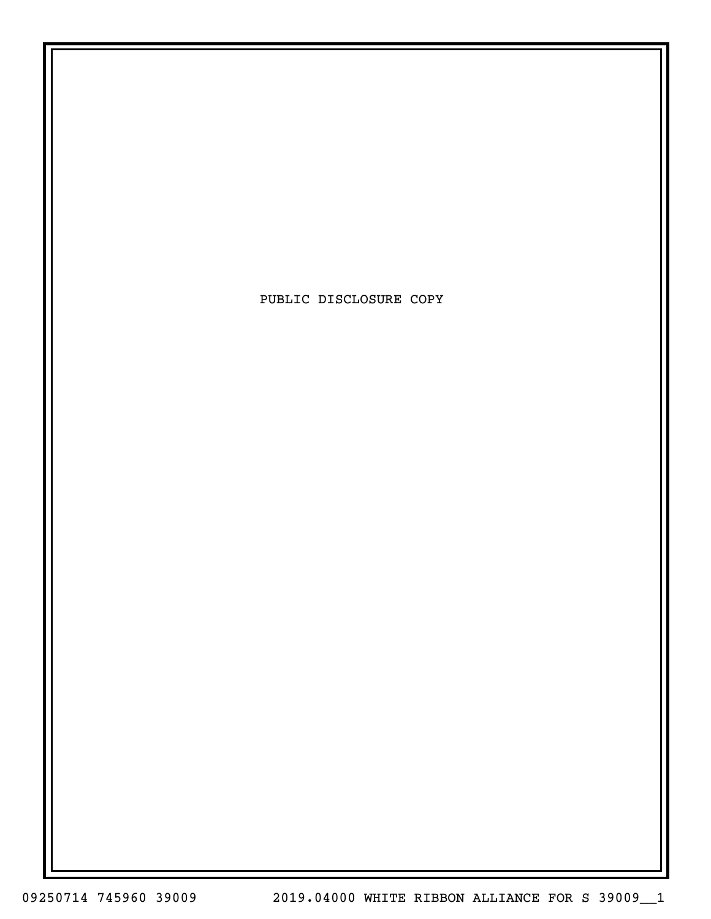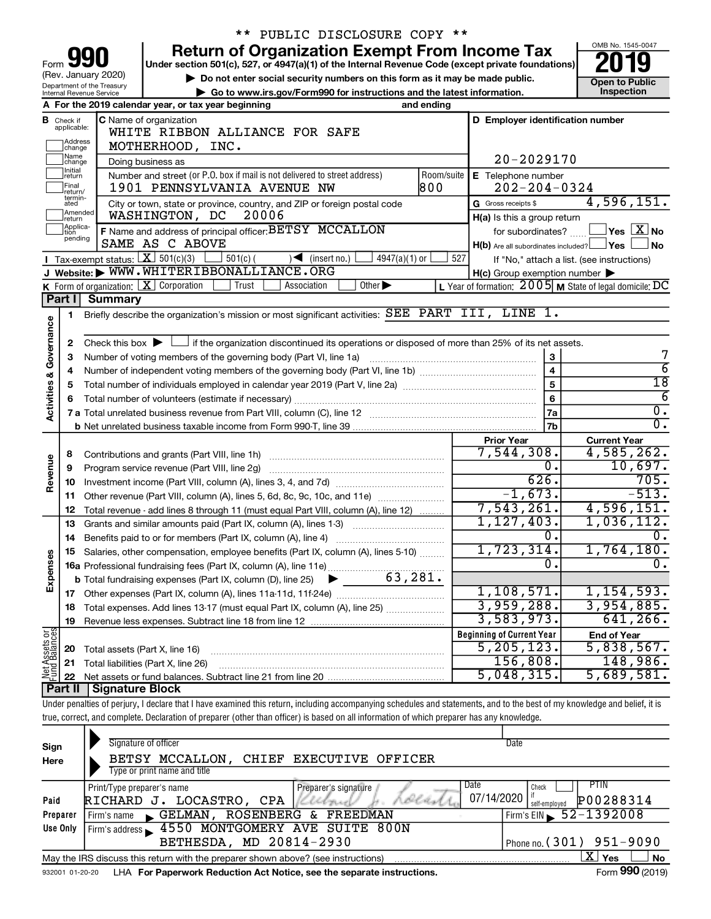|                                                                                                |                             | PUBLIC DISCLOSURE COPY **                                                                                                                                                  |                                                                                                                  |                                            |  |  |  |  |  |  |  |
|------------------------------------------------------------------------------------------------|-----------------------------|----------------------------------------------------------------------------------------------------------------------------------------------------------------------------|------------------------------------------------------------------------------------------------------------------|--------------------------------------------|--|--|--|--|--|--|--|
|                                                                                                |                             | <b>Return of Organization Exempt From Income Tax</b>                                                                                                                       |                                                                                                                  | OMB No. 1545-0047                          |  |  |  |  |  |  |  |
| Form                                                                                           |                             | Under section 501(c), 527, or 4947(a)(1) of the Internal Revenue Code (except private foundations)                                                                         |                                                                                                                  |                                            |  |  |  |  |  |  |  |
|                                                                                                |                             | (Rev. January 2020)<br>Do not enter social security numbers on this form as it may be made public.                                                                         |                                                                                                                  | <b>Open to Public</b>                      |  |  |  |  |  |  |  |
|                                                                                                |                             | Department of the Treasury<br>Go to www.irs.gov/Form990 for instructions and the latest information.<br>Internal Revenue Service                                           |                                                                                                                  | Inspection                                 |  |  |  |  |  |  |  |
|                                                                                                |                             | A For the 2019 calendar year, or tax year beginning<br>and ending                                                                                                          |                                                                                                                  |                                            |  |  |  |  |  |  |  |
| C Name of organization<br>D Employer identification number<br><b>B</b> Check if<br>applicable: |                             |                                                                                                                                                                            |                                                                                                                  |                                            |  |  |  |  |  |  |  |
|                                                                                                | Address                     | WHITE RIBBON ALLIANCE FOR SAFE                                                                                                                                             |                                                                                                                  |                                            |  |  |  |  |  |  |  |
|                                                                                                | change                      | MOTHERHOOD, INC.                                                                                                                                                           |                                                                                                                  |                                            |  |  |  |  |  |  |  |
|                                                                                                | Name<br>change<br>Initial   | Doing business as                                                                                                                                                          | $20 - 2029170$                                                                                                   |                                            |  |  |  |  |  |  |  |
|                                                                                                | return                      | Number and street (or P.O. box if mail is not delivered to street address)<br>Room/suite                                                                                   | E Telephone number                                                                                               |                                            |  |  |  |  |  |  |  |
|                                                                                                | Final<br>return/<br>termin- | 800<br>1901 PENNSYLVANIA AVENUE NW                                                                                                                                         | $202 - 204 - 0324$                                                                                               |                                            |  |  |  |  |  |  |  |
|                                                                                                | ated<br>Amended             | City or town, state or province, country, and ZIP or foreign postal code                                                                                                   | G Gross receipts \$                                                                                              | 4,596,151.                                 |  |  |  |  |  |  |  |
|                                                                                                | return<br>Applica-          | WASHINGTON, DC<br>20006                                                                                                                                                    | H(a) Is this a group return                                                                                      |                                            |  |  |  |  |  |  |  |
|                                                                                                | tion<br>pending             | F Name and address of principal officer: BETSY MCCALLON<br>SAME AS C ABOVE                                                                                                 | for subordinates? $\Box$                                                                                         | $\sqrt{}$ Yes $\sqrt{ \ \ }$ No            |  |  |  |  |  |  |  |
|                                                                                                |                             | <b>I</b> Tax-exempt status: $X \overline{X}$ 501(c)(3)                                                                                                                     | $H(b)$ Are all subordinates included? $\Box$ Yes<br>527                                                          | No                                         |  |  |  |  |  |  |  |
|                                                                                                |                             | $501(c)$ (<br>$4947(a)(1)$ or<br>$\sqrt{\frac{1}{1}}$ (insert no.)<br>J Website: WWW.WHITERIBBONALLIANCE.ORG                                                               |                                                                                                                  | If "No," attach a list. (see instructions) |  |  |  |  |  |  |  |
|                                                                                                |                             | K Form of organization: $X$ Corporation<br>Trust<br>$\overline{Other}$<br>Association                                                                                      | $H(c)$ Group exemption number $\blacktriangleright$<br>L Year of formation: $2005$ M State of legal domicile: DC |                                            |  |  |  |  |  |  |  |
|                                                                                                | Part I                      | <b>Summary</b>                                                                                                                                                             |                                                                                                                  |                                            |  |  |  |  |  |  |  |
|                                                                                                | 1.                          | Briefly describe the organization's mission or most significant activities: SEE PART III, LINE 1.                                                                          |                                                                                                                  |                                            |  |  |  |  |  |  |  |
|                                                                                                |                             |                                                                                                                                                                            |                                                                                                                  |                                            |  |  |  |  |  |  |  |
|                                                                                                | 2                           | Check this box $\blacktriangleright \Box$ if the organization discontinued its operations or disposed of more than 25% of its net assets.                                  |                                                                                                                  |                                            |  |  |  |  |  |  |  |
|                                                                                                | 3                           | Number of voting members of the governing body (Part VI, line 1a)                                                                                                          | 3                                                                                                                |                                            |  |  |  |  |  |  |  |
|                                                                                                | 4                           |                                                                                                                                                                            | $\overline{\mathbf{4}}$                                                                                          | 6                                          |  |  |  |  |  |  |  |
|                                                                                                | 5                           |                                                                                                                                                                            | $\overline{5}$                                                                                                   | $\overline{18}$                            |  |  |  |  |  |  |  |
| Activities & Governance                                                                        | 6                           |                                                                                                                                                                            | 6                                                                                                                | $\overline{6}$                             |  |  |  |  |  |  |  |
|                                                                                                |                             |                                                                                                                                                                            | 7a                                                                                                               | $\overline{0}$ .                           |  |  |  |  |  |  |  |
|                                                                                                |                             |                                                                                                                                                                            | 7b                                                                                                               | $\overline{0}$ .                           |  |  |  |  |  |  |  |
|                                                                                                |                             |                                                                                                                                                                            | <b>Prior Year</b>                                                                                                | <b>Current Year</b>                        |  |  |  |  |  |  |  |
|                                                                                                | 8                           | Contributions and grants (Part VIII, line 1h)                                                                                                                              | 7,544,308.                                                                                                       | 4,585,262.                                 |  |  |  |  |  |  |  |
| Revenue                                                                                        | 9                           | Program service revenue (Part VIII, line 2g)                                                                                                                               | 0.                                                                                                               | 10,697.                                    |  |  |  |  |  |  |  |
|                                                                                                | 10                          |                                                                                                                                                                            | 626.                                                                                                             | 705.                                       |  |  |  |  |  |  |  |
|                                                                                                | 11                          | Other revenue (Part VIII, column (A), lines 5, 6d, 8c, 9c, 10c, and 11e)                                                                                                   | $-1,673.$                                                                                                        | $-513.$                                    |  |  |  |  |  |  |  |
|                                                                                                | 12                          | Total revenue - add lines 8 through 11 (must equal Part VIII, column (A), line 12)                                                                                         | 7,543,261.                                                                                                       | 4,596,151.                                 |  |  |  |  |  |  |  |
|                                                                                                | 13                          | Grants and similar amounts paid (Part IX, column (A), lines 1-3)                                                                                                           | 1, 127, 403.                                                                                                     | 1,036,112.                                 |  |  |  |  |  |  |  |
|                                                                                                | 14                          | Benefits paid to or for members (Part IX, column (A), line 4)                                                                                                              | 0.                                                                                                               | $\overline{0}$ .                           |  |  |  |  |  |  |  |
|                                                                                                |                             | 15 Salaries, other compensation, employee benefits (Part IX, column (A), lines 5-10)                                                                                       | 1,723,314.                                                                                                       | 1,764,180.                                 |  |  |  |  |  |  |  |
|                                                                                                |                             |                                                                                                                                                                            | 0.                                                                                                               | $\overline{0}$ .                           |  |  |  |  |  |  |  |
| Expenses                                                                                       |                             |                                                                                                                                                                            | 1, 108, 571.                                                                                                     |                                            |  |  |  |  |  |  |  |
|                                                                                                |                             |                                                                                                                                                                            | 3,959,288.                                                                                                       | 1, 154, 593.<br>3,954,885.                 |  |  |  |  |  |  |  |
|                                                                                                | 18                          | Total expenses. Add lines 13-17 (must equal Part IX, column (A), line 25)                                                                                                  | 3,583,973.                                                                                                       | 641, 266.                                  |  |  |  |  |  |  |  |
|                                                                                                | 19                          |                                                                                                                                                                            | <b>Beginning of Current Year</b>                                                                                 | <b>End of Year</b>                         |  |  |  |  |  |  |  |
| Net Assets or<br>Fund Balances                                                                 | 20                          | Total assets (Part X, line 16)                                                                                                                                             | 5, 205, 123.                                                                                                     | 5,838,567.                                 |  |  |  |  |  |  |  |
|                                                                                                | 21                          | Total liabilities (Part X, line 26)                                                                                                                                        | 156,808.                                                                                                         | 148,986.                                   |  |  |  |  |  |  |  |
|                                                                                                | 22                          |                                                                                                                                                                            | 5,048,315.                                                                                                       | 5,689,581.                                 |  |  |  |  |  |  |  |
|                                                                                                | Part II                     | <b>Signature Block</b>                                                                                                                                                     |                                                                                                                  |                                            |  |  |  |  |  |  |  |
|                                                                                                |                             | Under penalties of perjury, I declare that I have examined this return, including accompanying schedules and statements, and to the best of my knowledge and belief, it is |                                                                                                                  |                                            |  |  |  |  |  |  |  |
|                                                                                                |                             | true, correct, and complete. Declaration of preparer (other than officer) is based on all information of which preparer has any knowledge.                                 |                                                                                                                  |                                            |  |  |  |  |  |  |  |
|                                                                                                |                             |                                                                                                                                                                            |                                                                                                                  |                                            |  |  |  |  |  |  |  |

| Sign     | Signature of officer                                                              | Date                                     |
|----------|-----------------------------------------------------------------------------------|------------------------------------------|
| Here     | BETSY MCCALLON,<br>CHIEF EXECUTIVE OFFICER                                        |                                          |
|          | Type or print name and title                                                      |                                          |
|          | Date<br>Print/Type preparer's name<br>Preparer's signature                        | PTIN<br>Check                            |
| Paid     | Olas<br>LOCASTRO,<br>RICHARD J.<br>CPA                                            | 07/14/2020<br>P00288314<br>self-emploved |
| Preparer | ROSENBERG<br>GELMAN,<br><b>&amp; FREEDMAN</b><br>Firm's name<br><b>CONTRACTOR</b> | Firm's EIN $\, 52 - 1392008$             |
| Use Only | Firm's address 1550 MONTGOMERY AVE SUITE 800N                                     |                                          |
|          | BETHESDA, MD 20814-2930                                                           | Phone no. $(301)$ 951-9090               |
|          | May the IRS discuss this return with the preparer shown above? (see instructions) | x<br><b>No</b><br>Yes                    |
|          |                                                                                   | $0.00 \div 0.00$                         |

932001 01-20-20 **For Paperwork Reduction Act Notice, see the separate instructions.** LHA Form (2019)

Form **990** (2019)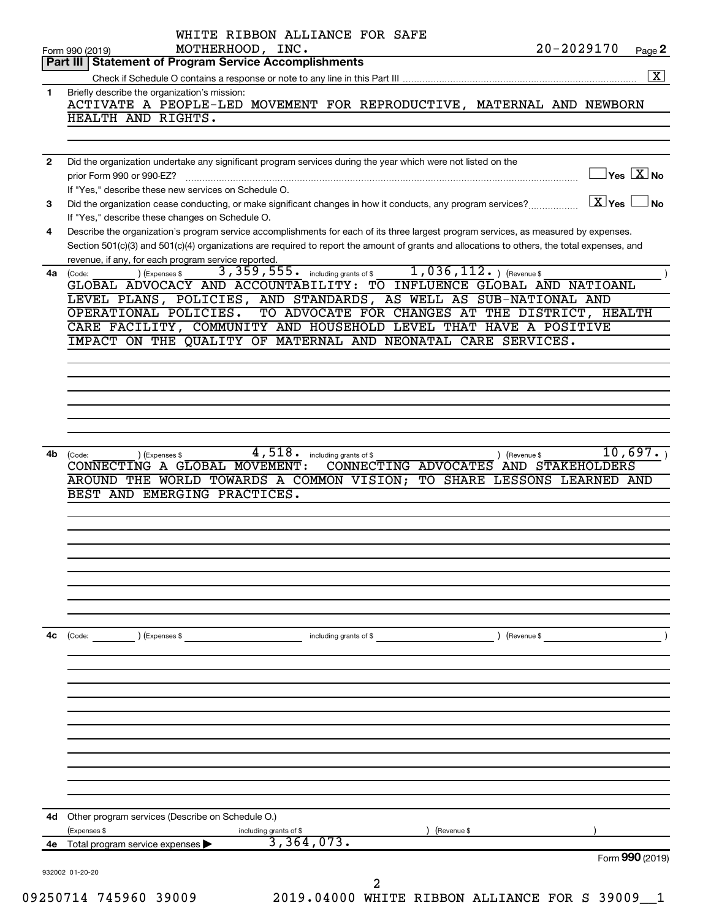|              | WHITE RIBBON ALLIANCE FOR SAFE<br>$20 - 2029170$<br>MOTHERHOOD, INC.<br>Form 990 (2019)                                                      | Page 2                  |
|--------------|----------------------------------------------------------------------------------------------------------------------------------------------|-------------------------|
|              | <b>Part III   Statement of Program Service Accomplishments</b>                                                                               |                         |
|              |                                                                                                                                              | $\overline{\mathbf{x}}$ |
| 1            | Briefly describe the organization's mission:                                                                                                 |                         |
|              | ACTIVATE A PEOPLE-LED MOVEMENT FOR REPRODUCTIVE, MATERNAL AND NEWBORN                                                                        |                         |
|              | HEALTH AND RIGHTS.                                                                                                                           |                         |
|              |                                                                                                                                              |                         |
|              |                                                                                                                                              |                         |
| $\mathbf{2}$ | Did the organization undertake any significant program services during the year which were not listed on the                                 |                         |
|              | $\exists$ Yes $\boxed{\mathrm{X}}$ No<br>prior Form 990 or 990-EZ?                                                                           |                         |
|              | If "Yes," describe these new services on Schedule O.                                                                                         |                         |
| 3            | $\boxed{\text{X}}$ Yes<br>Did the organization cease conducting, or make significant changes in how it conducts, any program services?       | l No                    |
|              | If "Yes," describe these changes on Schedule O.                                                                                              |                         |
| 4            | Describe the organization's program service accomplishments for each of its three largest program services, as measured by expenses.         |                         |
|              | Section 501(c)(3) and 501(c)(4) organizations are required to report the amount of grants and allocations to others, the total expenses, and |                         |
|              | revenue, if any, for each program service reported.                                                                                          |                         |
| 4a           | $\overline{1,036,112.}$ (Revenue \$<br>$\overline{3,359}$ , 555. including grants of \$<br>) (Expenses \$<br>(Code:                          |                         |
|              | GLOBAL ADVOCACY AND ACCOUNTABILITY: TO INFLUENCE GLOBAL AND NATIOANL                                                                         |                         |
|              | LEVEL PLANS, POLICIES, AND STANDARDS, AS WELL AS SUB-NATIONAL AND                                                                            |                         |
|              | OPERATIONAL POLICIES.<br>TO ADVOCATE FOR CHANGES AT THE DISTRICT, HEALTH                                                                     |                         |
|              | CARE FACILITY, COMMUNITY AND HOUSEHOLD LEVEL THAT HAVE A POSITIVE                                                                            |                         |
|              | IMPACT ON THE QUALITY OF MATERNAL AND NEONATAL CARE SERVICES.                                                                                |                         |
|              |                                                                                                                                              |                         |
|              |                                                                                                                                              |                         |
|              |                                                                                                                                              |                         |
|              |                                                                                                                                              |                         |
|              |                                                                                                                                              |                         |
|              |                                                                                                                                              |                         |
|              |                                                                                                                                              |                         |
|              | 4,518.<br>10,697.                                                                                                                            |                         |
| 4b           | including grants of \$<br>(Expenses \$<br>) (Revenue \$<br>(Code:<br>CONNECTING A GLOBAL MOVEMENT:<br>CONNECTING ADVOCATES AND STAKEHOLDERS  |                         |
|              | AROUND THE WORLD TOWARDS A COMMON VISION; TO SHARE LESSONS LEARNED AND                                                                       |                         |
|              | BEST AND EMERGING PRACTICES.                                                                                                                 |                         |
|              |                                                                                                                                              |                         |
|              |                                                                                                                                              |                         |
|              |                                                                                                                                              |                         |
|              |                                                                                                                                              |                         |
|              |                                                                                                                                              |                         |
|              |                                                                                                                                              |                         |
|              |                                                                                                                                              |                         |
|              |                                                                                                                                              |                         |
|              |                                                                                                                                              |                         |
|              |                                                                                                                                              |                         |
| 4c           | (Code: ) (Expenses \$<br>including grants of \$<br>) (Revenue \$                                                                             |                         |
|              |                                                                                                                                              |                         |
|              |                                                                                                                                              |                         |
|              |                                                                                                                                              |                         |
|              |                                                                                                                                              |                         |
|              |                                                                                                                                              |                         |
|              |                                                                                                                                              |                         |
|              |                                                                                                                                              |                         |
|              |                                                                                                                                              |                         |
|              |                                                                                                                                              |                         |
|              |                                                                                                                                              |                         |
|              |                                                                                                                                              |                         |
|              |                                                                                                                                              |                         |
|              | 4d Other program services (Describe on Schedule O.)                                                                                          |                         |
|              | (Expenses \$<br>Revenue \$<br>including grants of \$                                                                                         |                         |
| 4е           | 3,364,073.<br>Total program service expenses >                                                                                               |                         |
|              | Form 990 (2019)                                                                                                                              |                         |
|              | 932002 01-20-20                                                                                                                              |                         |
|              | 2                                                                                                                                            |                         |
|              | 250714 745060 20000<br>2000 0 סמק קמוגד זוג וומססדס קחדשה מוממת 2000                                                                         |                         |

09250714 745960 39009 2019.04000 WHITE RIBBON ALLIANCE FOR S 39009\_1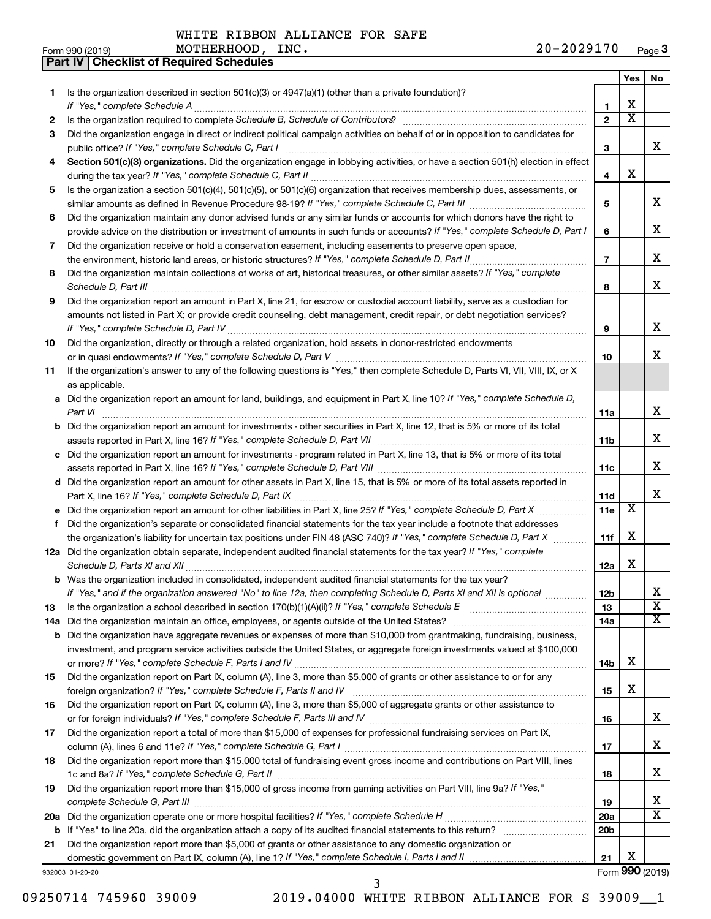**Part IV Checklist of Required Schedules**

|     |                                                                                                                                                                                                                                |                 | Yes                     | No                      |  |  |  |
|-----|--------------------------------------------------------------------------------------------------------------------------------------------------------------------------------------------------------------------------------|-----------------|-------------------------|-------------------------|--|--|--|
| 1   | Is the organization described in section 501(c)(3) or $4947(a)(1)$ (other than a private foundation)?                                                                                                                          |                 |                         |                         |  |  |  |
|     | If "Yes." complete Schedule A                                                                                                                                                                                                  | 1               | х                       |                         |  |  |  |
| 2   | Is the organization required to complete Schedule B, Schedule of Contributors? [111] [12] the organization required to complete Schedule B, Schedule of Contributors? [11] [12] [12] the organization required to complete Sch | $\mathbf{2}$    | $\overline{\textbf{x}}$ |                         |  |  |  |
| 3   | Did the organization engage in direct or indirect political campaign activities on behalf of or in opposition to candidates for                                                                                                |                 |                         |                         |  |  |  |
|     | public office? If "Yes," complete Schedule C, Part I                                                                                                                                                                           | 3               |                         | x                       |  |  |  |
| 4   | Section 501(c)(3) organizations. Did the organization engage in lobbying activities, or have a section 501(h) election in effect                                                                                               |                 |                         |                         |  |  |  |
|     |                                                                                                                                                                                                                                | 4               | х                       |                         |  |  |  |
| 5   | Is the organization a section 501(c)(4), 501(c)(5), or 501(c)(6) organization that receives membership dues, assessments, or                                                                                                   |                 |                         |                         |  |  |  |
|     | 5                                                                                                                                                                                                                              |                 |                         |                         |  |  |  |
| 6   | Did the organization maintain any donor advised funds or any similar funds or accounts for which donors have the right to                                                                                                      |                 |                         |                         |  |  |  |
|     | provide advice on the distribution or investment of amounts in such funds or accounts? If "Yes," complete Schedule D, Part I                                                                                                   | 6               |                         | x                       |  |  |  |
| 7   | Did the organization receive or hold a conservation easement, including easements to preserve open space,                                                                                                                      |                 |                         |                         |  |  |  |
|     | the environment, historic land areas, or historic structures? If "Yes," complete Schedule D, Part II                                                                                                                           | $\overline{7}$  |                         | x                       |  |  |  |
| 8   | Did the organization maintain collections of works of art, historical treasures, or other similar assets? If "Yes," complete                                                                                                   |                 |                         |                         |  |  |  |
|     |                                                                                                                                                                                                                                | 8               |                         | x                       |  |  |  |
| 9   | Did the organization report an amount in Part X, line 21, for escrow or custodial account liability, serve as a custodian for                                                                                                  |                 |                         |                         |  |  |  |
|     | amounts not listed in Part X; or provide credit counseling, debt management, credit repair, or debt negotiation services?                                                                                                      |                 |                         |                         |  |  |  |
|     |                                                                                                                                                                                                                                | 9               |                         | x                       |  |  |  |
| 10  | Did the organization, directly or through a related organization, hold assets in donor-restricted endowments                                                                                                                   |                 |                         |                         |  |  |  |
|     |                                                                                                                                                                                                                                | 10              |                         | x                       |  |  |  |
| 11  | If the organization's answer to any of the following questions is "Yes," then complete Schedule D, Parts VI, VII, VIII, IX, or X                                                                                               |                 |                         |                         |  |  |  |
|     | as applicable.                                                                                                                                                                                                                 |                 |                         |                         |  |  |  |
|     | a Did the organization report an amount for land, buildings, and equipment in Part X, line 10? If "Yes," complete Schedule D,                                                                                                  |                 |                         |                         |  |  |  |
|     | Part VI                                                                                                                                                                                                                        | 11a             |                         | x                       |  |  |  |
|     | <b>b</b> Did the organization report an amount for investments - other securities in Part X, line 12, that is 5% or more of its total                                                                                          |                 |                         |                         |  |  |  |
|     |                                                                                                                                                                                                                                | 11b             |                         | х                       |  |  |  |
|     | c Did the organization report an amount for investments - program related in Part X, line 13, that is 5% or more of its total                                                                                                  |                 |                         |                         |  |  |  |
|     |                                                                                                                                                                                                                                | 11c             |                         | х                       |  |  |  |
|     | d Did the organization report an amount for other assets in Part X, line 15, that is 5% or more of its total assets reported in                                                                                                |                 |                         |                         |  |  |  |
|     |                                                                                                                                                                                                                                | 11d             |                         | x                       |  |  |  |
|     |                                                                                                                                                                                                                                | 11e             | X                       |                         |  |  |  |
| f   | Did the organization's separate or consolidated financial statements for the tax year include a footnote that addresses                                                                                                        |                 |                         |                         |  |  |  |
|     | the organization's liability for uncertain tax positions under FIN 48 (ASC 740)? If "Yes," complete Schedule D, Part X                                                                                                         | 11f             | х                       |                         |  |  |  |
|     | 12a Did the organization obtain separate, independent audited financial statements for the tax year? If "Yes," complete                                                                                                        |                 |                         |                         |  |  |  |
|     | Schedule D, Parts XI and XII                                                                                                                                                                                                   | 12a             | х                       |                         |  |  |  |
|     | <b>b</b> Was the organization included in consolidated, independent audited financial statements for the tax year?                                                                                                             |                 |                         |                         |  |  |  |
|     | If "Yes," and if the organization answered "No" to line 12a, then completing Schedule D, Parts XI and XII is optional                                                                                                          | 12 <sub>b</sub> |                         | ▵                       |  |  |  |
| 13  |                                                                                                                                                                                                                                | 13              |                         | $\overline{\mathbf{X}}$ |  |  |  |
| 14a | Did the organization maintain an office, employees, or agents outside of the United States?                                                                                                                                    | 14a             |                         | x                       |  |  |  |
| b   | Did the organization have aggregate revenues or expenses of more than \$10,000 from grantmaking, fundraising, business,                                                                                                        |                 |                         |                         |  |  |  |
|     | investment, and program service activities outside the United States, or aggregate foreign investments valued at \$100,000                                                                                                     |                 |                         |                         |  |  |  |
|     |                                                                                                                                                                                                                                | 14b             | х                       |                         |  |  |  |
| 15  | Did the organization report on Part IX, column (A), line 3, more than \$5,000 of grants or other assistance to or for any                                                                                                      |                 |                         |                         |  |  |  |
|     | foreign organization? If "Yes," complete Schedule F, Parts II and IV                                                                                                                                                           | 15              | х                       |                         |  |  |  |
| 16  | Did the organization report on Part IX, column (A), line 3, more than \$5,000 of aggregate grants or other assistance to                                                                                                       |                 |                         |                         |  |  |  |
|     |                                                                                                                                                                                                                                | 16              |                         | x                       |  |  |  |
| 17  | Did the organization report a total of more than \$15,000 of expenses for professional fundraising services on Part IX,                                                                                                        |                 |                         |                         |  |  |  |
|     |                                                                                                                                                                                                                                | 17              |                         | x                       |  |  |  |
| 18  | Did the organization report more than \$15,000 total of fundraising event gross income and contributions on Part VIII, lines                                                                                                   |                 |                         |                         |  |  |  |
|     |                                                                                                                                                                                                                                | 18              |                         | x                       |  |  |  |
| 19  | Did the organization report more than \$15,000 of gross income from gaming activities on Part VIII, line 9a? If "Yes,"                                                                                                         |                 |                         |                         |  |  |  |
|     |                                                                                                                                                                                                                                | 19              |                         | x                       |  |  |  |
|     |                                                                                                                                                                                                                                | 20a             |                         | $\overline{\mathbf{X}}$ |  |  |  |
|     |                                                                                                                                                                                                                                | 20 <sub>b</sub> |                         |                         |  |  |  |
| 21  | Did the organization report more than \$5,000 of grants or other assistance to any domestic organization or                                                                                                                    |                 |                         |                         |  |  |  |
|     |                                                                                                                                                                                                                                | 21              | Х                       |                         |  |  |  |
|     | 932003 01-20-20                                                                                                                                                                                                                |                 |                         | Form 990 (2019)         |  |  |  |

09250714 745960 39009 2019.04000 WHITE RIBBON ALLIANCE FOR S 39009\_\_1

3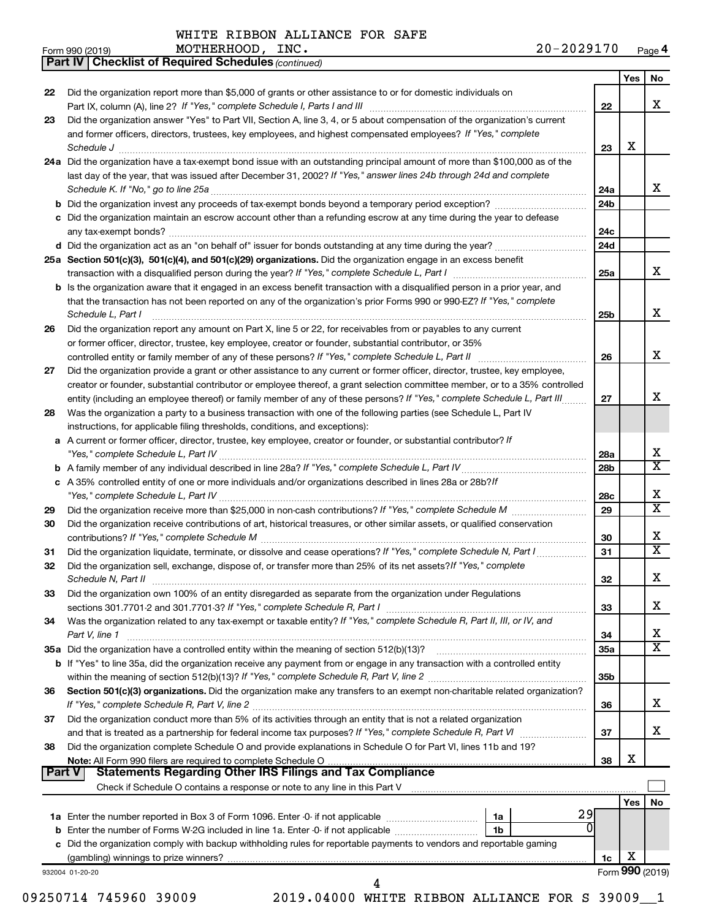*(continued)* **Part IV Checklist of Required Schedules**

|        |                                                                                                                                                                                                                                                                                    |                        | Yes | No                         |  |  |  |  |  |
|--------|------------------------------------------------------------------------------------------------------------------------------------------------------------------------------------------------------------------------------------------------------------------------------------|------------------------|-----|----------------------------|--|--|--|--|--|
| 22     | Did the organization report more than \$5,000 of grants or other assistance to or for domestic individuals on                                                                                                                                                                      | 22                     |     | X                          |  |  |  |  |  |
| 23     | Did the organization answer "Yes" to Part VII, Section A, line 3, 4, or 5 about compensation of the organization's current                                                                                                                                                         |                        |     |                            |  |  |  |  |  |
|        | and former officers, directors, trustees, key employees, and highest compensated employees? If "Yes," complete<br>Schedule J <b>Production Construction Construction Construction Construction Construction</b>                                                                    | 23                     | Χ   |                            |  |  |  |  |  |
|        | 24a Did the organization have a tax-exempt bond issue with an outstanding principal amount of more than \$100,000 as of the                                                                                                                                                        |                        |     |                            |  |  |  |  |  |
|        | last day of the year, that was issued after December 31, 2002? If "Yes," answer lines 24b through 24d and complete                                                                                                                                                                 |                        |     |                            |  |  |  |  |  |
|        |                                                                                                                                                                                                                                                                                    | 24a                    |     | x                          |  |  |  |  |  |
|        |                                                                                                                                                                                                                                                                                    | 24 <sub>b</sub>        |     |                            |  |  |  |  |  |
|        | c Did the organization maintain an escrow account other than a refunding escrow at any time during the year to defease                                                                                                                                                             |                        |     |                            |  |  |  |  |  |
|        |                                                                                                                                                                                                                                                                                    | 24c                    |     |                            |  |  |  |  |  |
|        |                                                                                                                                                                                                                                                                                    | 24 <sub>d</sub>        |     |                            |  |  |  |  |  |
|        | 25a Section 501(c)(3), 501(c)(4), and 501(c)(29) organizations. Did the organization engage in an excess benefit                                                                                                                                                                   |                        |     |                            |  |  |  |  |  |
|        |                                                                                                                                                                                                                                                                                    | 25a                    |     | x                          |  |  |  |  |  |
|        | <b>b</b> Is the organization aware that it engaged in an excess benefit transaction with a disqualified person in a prior year, and<br>that the transaction has not been reported on any of the organization's prior Forms 990 or 990-EZ? If "Yes," complete<br>Schedule L, Part I | 25b                    |     | х                          |  |  |  |  |  |
| 26     | Did the organization report any amount on Part X, line 5 or 22, for receivables from or payables to any current                                                                                                                                                                    |                        |     |                            |  |  |  |  |  |
|        | or former officer, director, trustee, key employee, creator or founder, substantial contributor, or 35%                                                                                                                                                                            |                        |     |                            |  |  |  |  |  |
|        |                                                                                                                                                                                                                                                                                    | 26                     |     | х                          |  |  |  |  |  |
| 27     | Did the organization provide a grant or other assistance to any current or former officer, director, trustee, key employee,                                                                                                                                                        |                        |     |                            |  |  |  |  |  |
|        | creator or founder, substantial contributor or employee thereof, a grant selection committee member, or to a 35% controlled                                                                                                                                                        |                        |     |                            |  |  |  |  |  |
|        | entity (including an employee thereof) or family member of any of these persons? If "Yes," complete Schedule L, Part III                                                                                                                                                           |                        |     |                            |  |  |  |  |  |
| 28     | Was the organization a party to a business transaction with one of the following parties (see Schedule L, Part IV                                                                                                                                                                  |                        |     |                            |  |  |  |  |  |
|        | instructions, for applicable filing thresholds, conditions, and exceptions):                                                                                                                                                                                                       |                        |     |                            |  |  |  |  |  |
| а      | A current or former officer, director, trustee, key employee, creator or founder, or substantial contributor? If                                                                                                                                                                   |                        |     | х                          |  |  |  |  |  |
|        |                                                                                                                                                                                                                                                                                    | 28a<br>28 <sub>b</sub> |     | $\overline{\texttt{x}}$    |  |  |  |  |  |
|        | c A 35% controlled entity of one or more individuals and/or organizations described in lines 28a or 28b?/f                                                                                                                                                                         |                        |     |                            |  |  |  |  |  |
|        |                                                                                                                                                                                                                                                                                    | 28c                    |     | х                          |  |  |  |  |  |
| 29     |                                                                                                                                                                                                                                                                                    | 29                     |     | $\overline{\text{x}}$      |  |  |  |  |  |
| 30     | Did the organization receive contributions of art, historical treasures, or other similar assets, or qualified conservation                                                                                                                                                        |                        |     |                            |  |  |  |  |  |
|        |                                                                                                                                                                                                                                                                                    | 30                     |     | х                          |  |  |  |  |  |
| 31     | Did the organization liquidate, terminate, or dissolve and cease operations? If "Yes," complete Schedule N, Part I                                                                                                                                                                 | 31                     |     | $\overline{\textbf{X}}$    |  |  |  |  |  |
| 32     | Did the organization sell, exchange, dispose of, or transfer more than 25% of its net assets? If "Yes," complete<br>Schedule N, Part II                                                                                                                                            | 32                     |     | х                          |  |  |  |  |  |
| 33     | Did the organization own 100% of an entity disregarded as separate from the organization under Regulations                                                                                                                                                                         |                        |     |                            |  |  |  |  |  |
|        |                                                                                                                                                                                                                                                                                    | 33                     |     | х                          |  |  |  |  |  |
| 34     | Was the organization related to any tax-exempt or taxable entity? If "Yes," complete Schedule R, Part II, III, or IV, and                                                                                                                                                          |                        |     |                            |  |  |  |  |  |
|        | Part V, line 1                                                                                                                                                                                                                                                                     | 34                     |     | х<br>$\overline{\text{X}}$ |  |  |  |  |  |
|        |                                                                                                                                                                                                                                                                                    | <b>35a</b>             |     |                            |  |  |  |  |  |
|        | b If "Yes" to line 35a, did the organization receive any payment from or engage in any transaction with a controlled entity                                                                                                                                                        | 35b                    |     |                            |  |  |  |  |  |
| 36     | Section 501(c)(3) organizations. Did the organization make any transfers to an exempt non-charitable related organization?                                                                                                                                                         |                        |     |                            |  |  |  |  |  |
|        |                                                                                                                                                                                                                                                                                    | 36                     |     | X                          |  |  |  |  |  |
| 37     | Did the organization conduct more than 5% of its activities through an entity that is not a related organization                                                                                                                                                                   |                        |     |                            |  |  |  |  |  |
|        |                                                                                                                                                                                                                                                                                    | 37                     |     | X                          |  |  |  |  |  |
| 38     | Did the organization complete Schedule O and provide explanations in Schedule O for Part VI, lines 11b and 19?                                                                                                                                                                     |                        |     |                            |  |  |  |  |  |
|        |                                                                                                                                                                                                                                                                                    | 38                     | х   |                            |  |  |  |  |  |
| Part V | <b>Statements Regarding Other IRS Filings and Tax Compliance</b>                                                                                                                                                                                                                   |                        |     |                            |  |  |  |  |  |
|        |                                                                                                                                                                                                                                                                                    |                        |     |                            |  |  |  |  |  |
|        |                                                                                                                                                                                                                                                                                    |                        | Yes | No                         |  |  |  |  |  |
|        | 29<br>1a                                                                                                                                                                                                                                                                           |                        |     |                            |  |  |  |  |  |
|        | O<br><b>b</b> Enter the number of Forms W-2G included in line 1a. Enter -0- if not applicable<br>1b                                                                                                                                                                                |                        |     |                            |  |  |  |  |  |
|        | c Did the organization comply with backup withholding rules for reportable payments to vendors and reportable gaming                                                                                                                                                               |                        | х   |                            |  |  |  |  |  |
|        | 932004 01-20-20                                                                                                                                                                                                                                                                    | 1c                     |     | Form 990 (2019)            |  |  |  |  |  |
|        | 4                                                                                                                                                                                                                                                                                  |                        |     |                            |  |  |  |  |  |

09250714 745960 39009 2019.04000 WHITE RIBBON ALLIANCE FOR S 39009 1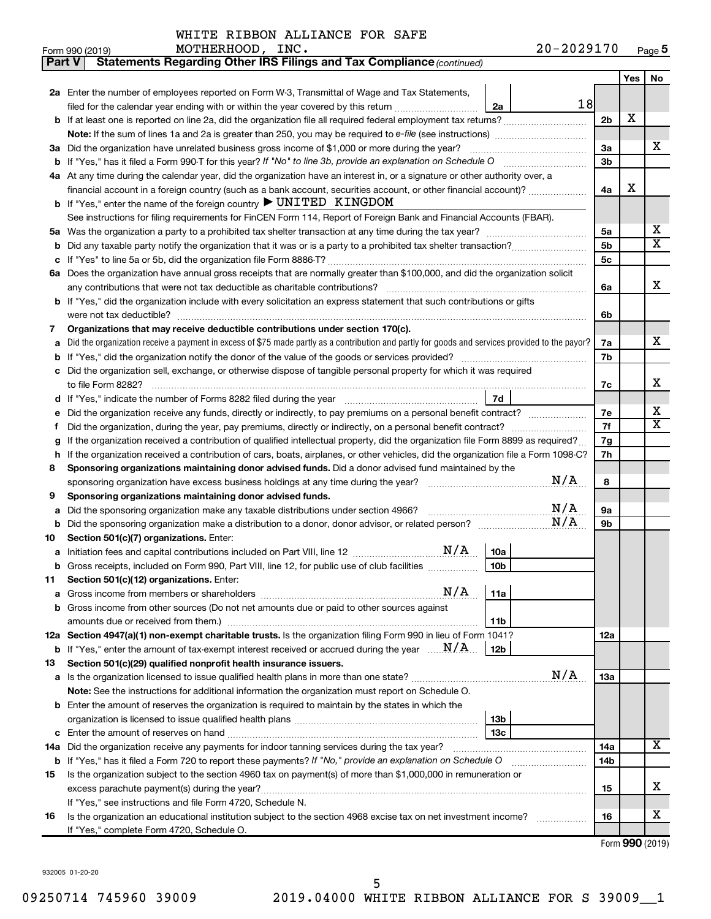| Part V | Statements Regarding Other IRS Filings and Tax Compliance (continued)                                                                           |            |     |                         |  |  |  |  |  |  |
|--------|-------------------------------------------------------------------------------------------------------------------------------------------------|------------|-----|-------------------------|--|--|--|--|--|--|
|        |                                                                                                                                                 |            | Yes | No                      |  |  |  |  |  |  |
|        | 2a Enter the number of employees reported on Form W-3, Transmittal of Wage and Tax Statements,                                                  |            |     |                         |  |  |  |  |  |  |
|        | 18<br>filed for the calendar year ending with or within the year covered by this return<br>2a                                                   |            |     |                         |  |  |  |  |  |  |
|        | b If at least one is reported on line 2a, did the organization file all required federal employment tax returns?                                | 2b         | х   |                         |  |  |  |  |  |  |
|        |                                                                                                                                                 |            |     |                         |  |  |  |  |  |  |
|        | 3a Did the organization have unrelated business gross income of \$1,000 or more during the year?                                                | За         |     | х                       |  |  |  |  |  |  |
|        |                                                                                                                                                 | 3b         |     |                         |  |  |  |  |  |  |
|        | 4a At any time during the calendar year, did the organization have an interest in, or a signature or other authority over, a                    |            |     |                         |  |  |  |  |  |  |
|        | financial account in a foreign country (such as a bank account, securities account, or other financial account)?                                | 4a         | х   |                         |  |  |  |  |  |  |
|        | <b>b</b> If "Yes," enter the name of the foreign country $\triangleright$ UNITED KINGDOM                                                        |            |     |                         |  |  |  |  |  |  |
|        | See instructions for filing requirements for FinCEN Form 114, Report of Foreign Bank and Financial Accounts (FBAR).                             |            |     |                         |  |  |  |  |  |  |
| 5а     |                                                                                                                                                 | 5a         |     | х                       |  |  |  |  |  |  |
| b      |                                                                                                                                                 |            |     |                         |  |  |  |  |  |  |
|        |                                                                                                                                                 | 5c         |     |                         |  |  |  |  |  |  |
|        | 6a Does the organization have annual gross receipts that are normally greater than \$100,000, and did the organization solicit                  |            |     |                         |  |  |  |  |  |  |
|        |                                                                                                                                                 | 6a         |     | X                       |  |  |  |  |  |  |
|        | b If "Yes," did the organization include with every solicitation an express statement that such contributions or gifts                          |            |     |                         |  |  |  |  |  |  |
|        | were not tax deductible?                                                                                                                        | 6b         |     |                         |  |  |  |  |  |  |
| 7      | Organizations that may receive deductible contributions under section 170(c).                                                                   |            |     |                         |  |  |  |  |  |  |
| a      | Did the organization receive a payment in excess of \$75 made partly as a contribution and partly for goods and services provided to the payor? | 7a         |     | X                       |  |  |  |  |  |  |
| b      |                                                                                                                                                 | 7b         |     |                         |  |  |  |  |  |  |
|        | Did the organization sell, exchange, or otherwise dispose of tangible personal property for which it was required                               |            |     |                         |  |  |  |  |  |  |
|        |                                                                                                                                                 | 7c         |     | X                       |  |  |  |  |  |  |
|        | 7d                                                                                                                                              |            |     |                         |  |  |  |  |  |  |
|        | Did the organization receive any funds, directly or indirectly, to pay premiums on a personal benefit contract?                                 | 7е         |     | х                       |  |  |  |  |  |  |
| f.     |                                                                                                                                                 | 7f         |     | $\overline{\textbf{X}}$ |  |  |  |  |  |  |
| g      | If the organization received a contribution of qualified intellectual property, did the organization file Form 8899 as required?                | 7g         |     |                         |  |  |  |  |  |  |
| h      | If the organization received a contribution of cars, boats, airplanes, or other vehicles, did the organization file a Form 1098-C?              | 7h         |     |                         |  |  |  |  |  |  |
| 8      | Sponsoring organizations maintaining donor advised funds. Did a donor advised fund maintained by the                                            |            |     |                         |  |  |  |  |  |  |
|        | N/A                                                                                                                                             | 8          |     |                         |  |  |  |  |  |  |
| 9      | Sponsoring organizations maintaining donor advised funds.                                                                                       |            |     |                         |  |  |  |  |  |  |
| а      | N/A<br>Did the sponsoring organization make any taxable distributions under section 4966?                                                       | 9а         |     |                         |  |  |  |  |  |  |
| b      | N/A                                                                                                                                             | 9b         |     |                         |  |  |  |  |  |  |
| 10     | Section 501(c)(7) organizations. Enter:                                                                                                         |            |     |                         |  |  |  |  |  |  |
|        | 10a                                                                                                                                             |            |     |                         |  |  |  |  |  |  |
|        | 10 <sub>b</sub><br>b Gross receipts, included on Form 990, Part VIII, line 12, for public use of club facilities                                |            |     |                         |  |  |  |  |  |  |
| 11     | Section 501(c)(12) organizations. Enter:                                                                                                        |            |     |                         |  |  |  |  |  |  |
|        | N/A<br>11a                                                                                                                                      |            |     |                         |  |  |  |  |  |  |
|        | b Gross income from other sources (Do not net amounts due or paid to other sources against                                                      |            |     |                         |  |  |  |  |  |  |
|        | 11b                                                                                                                                             |            |     |                         |  |  |  |  |  |  |
|        | 12a Section 4947(a)(1) non-exempt charitable trusts. Is the organization filing Form 990 in lieu of Form 1041?                                  | 12a        |     |                         |  |  |  |  |  |  |
|        | <b>b</b> If "Yes," enter the amount of tax-exempt interest received or accrued during the year $\ldots \mathbf{N}/\mathbf{A}$ .<br>  12b        |            |     |                         |  |  |  |  |  |  |
| 13     | Section 501(c)(29) qualified nonprofit health insurance issuers.                                                                                |            |     |                         |  |  |  |  |  |  |
|        | N/A<br>a Is the organization licensed to issue qualified health plans in more than one state?                                                   | <b>13a</b> |     |                         |  |  |  |  |  |  |
|        | Note: See the instructions for additional information the organization must report on Schedule O.                                               |            |     |                         |  |  |  |  |  |  |
|        | <b>b</b> Enter the amount of reserves the organization is required to maintain by the states in which the                                       |            |     |                         |  |  |  |  |  |  |
|        | 13b                                                                                                                                             |            |     |                         |  |  |  |  |  |  |
|        | 13с                                                                                                                                             |            |     | x.                      |  |  |  |  |  |  |
|        | 14a Did the organization receive any payments for indoor tanning services during the tax year?                                                  | 14a        |     |                         |  |  |  |  |  |  |
|        | <b>b</b> If "Yes," has it filed a Form 720 to report these payments? If "No," provide an explanation on Schedule O                              | 14b        |     |                         |  |  |  |  |  |  |
| 15     | Is the organization subject to the section 4960 tax on payment(s) of more than \$1,000,000 in remuneration or                                   |            |     | x                       |  |  |  |  |  |  |
|        | excess parachute payment(s) during the year?                                                                                                    | 15         |     |                         |  |  |  |  |  |  |
|        | If "Yes," see instructions and file Form 4720, Schedule N.                                                                                      |            |     | x                       |  |  |  |  |  |  |
| 16     | Is the organization an educational institution subject to the section 4968 excise tax on net investment income?                                 | 16         |     |                         |  |  |  |  |  |  |
|        | If "Yes," complete Form 4720, Schedule O.                                                                                                       |            |     |                         |  |  |  |  |  |  |

Form (2019) **990**

932005 01-20-20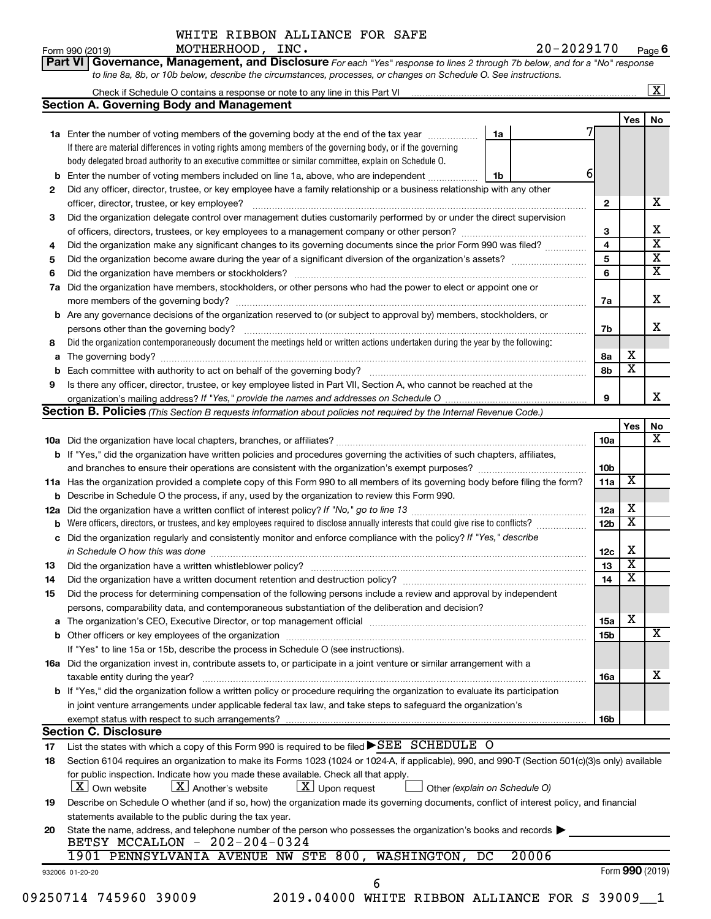|                 | Check if Schedule O contains a response or note to any line in this Part VI [11] [12] [2] [2] [2] [2] [2] [2] [<br><b>Section A. Governing Body and Management</b><br>1a Enter the number of voting members of the governing body at the end of the tax year <i>manumum</i><br>If there are material differences in voting rights among members of the governing body, or if the governing<br>body delegated broad authority to an executive committee or similar committee, explain on Schedule O.<br><b>b</b> Enter the number of voting members included on line 1a, above, who are independent<br>Did any officer, director, trustee, or key employee have a family relationship or a business relationship with any other<br>Did the organization delegate control over management duties customarily performed by or under the direct supervision<br>Did the organization make any significant changes to its governing documents since the prior Form 990 was filed?<br>7a Did the organization have members, stockholders, or other persons who had the power to elect or appoint one or<br><b>b</b> Are any governance decisions of the organization reserved to (or subject to approval by) members, stockholders, or<br>persons other than the governing body?<br>Did the organization contemporaneously document the meetings held or written actions undertaken during the year by the following:<br>Is there any officer, director, trustee, or key employee listed in Part VII, Section A, who cannot be reached at the<br>Section B. Policies (This Section B requests information about policies not required by the Internal Revenue Code.)<br><b>b</b> If "Yes," did the organization have written policies and procedures governing the activities of such chapters, affiliates,<br>11a Has the organization provided a complete copy of this Form 990 to all members of its governing body before filing the form?<br><b>b</b> Describe in Schedule O the process, if any, used by the organization to review this Form 990. | 1a<br>1b                      | 6<br>2<br>3<br>4<br>5<br>6<br>7a<br>7b<br>8а<br>8b<br>9<br>10a<br>10 <sub>b</sub><br>11a | Yes  <br>х<br>$\overline{\mathbf{X}}$<br><b>Yes</b> |
|-----------------|---------------------------------------------------------------------------------------------------------------------------------------------------------------------------------------------------------------------------------------------------------------------------------------------------------------------------------------------------------------------------------------------------------------------------------------------------------------------------------------------------------------------------------------------------------------------------------------------------------------------------------------------------------------------------------------------------------------------------------------------------------------------------------------------------------------------------------------------------------------------------------------------------------------------------------------------------------------------------------------------------------------------------------------------------------------------------------------------------------------------------------------------------------------------------------------------------------------------------------------------------------------------------------------------------------------------------------------------------------------------------------------------------------------------------------------------------------------------------------------------------------------------------------------------------------------------------------------------------------------------------------------------------------------------------------------------------------------------------------------------------------------------------------------------------------------------------------------------------------------------------------------------------------------------------------------------------------------------------------------------------------------------------------------------------|-------------------------------|------------------------------------------------------------------------------------------|-----------------------------------------------------|
|                 |                                                                                                                                                                                                                                                                                                                                                                                                                                                                                                                                                                                                                                                                                                                                                                                                                                                                                                                                                                                                                                                                                                                                                                                                                                                                                                                                                                                                                                                                                                                                                                                                                                                                                                                                                                                                                                                                                                                                                                                                                                                   |                               |                                                                                          |                                                     |
|                 |                                                                                                                                                                                                                                                                                                                                                                                                                                                                                                                                                                                                                                                                                                                                                                                                                                                                                                                                                                                                                                                                                                                                                                                                                                                                                                                                                                                                                                                                                                                                                                                                                                                                                                                                                                                                                                                                                                                                                                                                                                                   |                               |                                                                                          |                                                     |
|                 |                                                                                                                                                                                                                                                                                                                                                                                                                                                                                                                                                                                                                                                                                                                                                                                                                                                                                                                                                                                                                                                                                                                                                                                                                                                                                                                                                                                                                                                                                                                                                                                                                                                                                                                                                                                                                                                                                                                                                                                                                                                   |                               |                                                                                          |                                                     |
|                 |                                                                                                                                                                                                                                                                                                                                                                                                                                                                                                                                                                                                                                                                                                                                                                                                                                                                                                                                                                                                                                                                                                                                                                                                                                                                                                                                                                                                                                                                                                                                                                                                                                                                                                                                                                                                                                                                                                                                                                                                                                                   |                               |                                                                                          |                                                     |
|                 |                                                                                                                                                                                                                                                                                                                                                                                                                                                                                                                                                                                                                                                                                                                                                                                                                                                                                                                                                                                                                                                                                                                                                                                                                                                                                                                                                                                                                                                                                                                                                                                                                                                                                                                                                                                                                                                                                                                                                                                                                                                   |                               |                                                                                          |                                                     |
|                 |                                                                                                                                                                                                                                                                                                                                                                                                                                                                                                                                                                                                                                                                                                                                                                                                                                                                                                                                                                                                                                                                                                                                                                                                                                                                                                                                                                                                                                                                                                                                                                                                                                                                                                                                                                                                                                                                                                                                                                                                                                                   |                               |                                                                                          |                                                     |
|                 |                                                                                                                                                                                                                                                                                                                                                                                                                                                                                                                                                                                                                                                                                                                                                                                                                                                                                                                                                                                                                                                                                                                                                                                                                                                                                                                                                                                                                                                                                                                                                                                                                                                                                                                                                                                                                                                                                                                                                                                                                                                   |                               |                                                                                          |                                                     |
|                 |                                                                                                                                                                                                                                                                                                                                                                                                                                                                                                                                                                                                                                                                                                                                                                                                                                                                                                                                                                                                                                                                                                                                                                                                                                                                                                                                                                                                                                                                                                                                                                                                                                                                                                                                                                                                                                                                                                                                                                                                                                                   |                               |                                                                                          |                                                     |
|                 |                                                                                                                                                                                                                                                                                                                                                                                                                                                                                                                                                                                                                                                                                                                                                                                                                                                                                                                                                                                                                                                                                                                                                                                                                                                                                                                                                                                                                                                                                                                                                                                                                                                                                                                                                                                                                                                                                                                                                                                                                                                   |                               |                                                                                          |                                                     |
|                 |                                                                                                                                                                                                                                                                                                                                                                                                                                                                                                                                                                                                                                                                                                                                                                                                                                                                                                                                                                                                                                                                                                                                                                                                                                                                                                                                                                                                                                                                                                                                                                                                                                                                                                                                                                                                                                                                                                                                                                                                                                                   |                               |                                                                                          |                                                     |
|                 |                                                                                                                                                                                                                                                                                                                                                                                                                                                                                                                                                                                                                                                                                                                                                                                                                                                                                                                                                                                                                                                                                                                                                                                                                                                                                                                                                                                                                                                                                                                                                                                                                                                                                                                                                                                                                                                                                                                                                                                                                                                   |                               |                                                                                          |                                                     |
|                 |                                                                                                                                                                                                                                                                                                                                                                                                                                                                                                                                                                                                                                                                                                                                                                                                                                                                                                                                                                                                                                                                                                                                                                                                                                                                                                                                                                                                                                                                                                                                                                                                                                                                                                                                                                                                                                                                                                                                                                                                                                                   |                               |                                                                                          |                                                     |
|                 |                                                                                                                                                                                                                                                                                                                                                                                                                                                                                                                                                                                                                                                                                                                                                                                                                                                                                                                                                                                                                                                                                                                                                                                                                                                                                                                                                                                                                                                                                                                                                                                                                                                                                                                                                                                                                                                                                                                                                                                                                                                   |                               |                                                                                          |                                                     |
|                 |                                                                                                                                                                                                                                                                                                                                                                                                                                                                                                                                                                                                                                                                                                                                                                                                                                                                                                                                                                                                                                                                                                                                                                                                                                                                                                                                                                                                                                                                                                                                                                                                                                                                                                                                                                                                                                                                                                                                                                                                                                                   |                               |                                                                                          |                                                     |
|                 |                                                                                                                                                                                                                                                                                                                                                                                                                                                                                                                                                                                                                                                                                                                                                                                                                                                                                                                                                                                                                                                                                                                                                                                                                                                                                                                                                                                                                                                                                                                                                                                                                                                                                                                                                                                                                                                                                                                                                                                                                                                   |                               |                                                                                          |                                                     |
|                 |                                                                                                                                                                                                                                                                                                                                                                                                                                                                                                                                                                                                                                                                                                                                                                                                                                                                                                                                                                                                                                                                                                                                                                                                                                                                                                                                                                                                                                                                                                                                                                                                                                                                                                                                                                                                                                                                                                                                                                                                                                                   |                               |                                                                                          |                                                     |
|                 |                                                                                                                                                                                                                                                                                                                                                                                                                                                                                                                                                                                                                                                                                                                                                                                                                                                                                                                                                                                                                                                                                                                                                                                                                                                                                                                                                                                                                                                                                                                                                                                                                                                                                                                                                                                                                                                                                                                                                                                                                                                   |                               |                                                                                          |                                                     |
|                 |                                                                                                                                                                                                                                                                                                                                                                                                                                                                                                                                                                                                                                                                                                                                                                                                                                                                                                                                                                                                                                                                                                                                                                                                                                                                                                                                                                                                                                                                                                                                                                                                                                                                                                                                                                                                                                                                                                                                                                                                                                                   |                               |                                                                                          |                                                     |
|                 |                                                                                                                                                                                                                                                                                                                                                                                                                                                                                                                                                                                                                                                                                                                                                                                                                                                                                                                                                                                                                                                                                                                                                                                                                                                                                                                                                                                                                                                                                                                                                                                                                                                                                                                                                                                                                                                                                                                                                                                                                                                   |                               |                                                                                          |                                                     |
|                 |                                                                                                                                                                                                                                                                                                                                                                                                                                                                                                                                                                                                                                                                                                                                                                                                                                                                                                                                                                                                                                                                                                                                                                                                                                                                                                                                                                                                                                                                                                                                                                                                                                                                                                                                                                                                                                                                                                                                                                                                                                                   |                               |                                                                                          |                                                     |
|                 |                                                                                                                                                                                                                                                                                                                                                                                                                                                                                                                                                                                                                                                                                                                                                                                                                                                                                                                                                                                                                                                                                                                                                                                                                                                                                                                                                                                                                                                                                                                                                                                                                                                                                                                                                                                                                                                                                                                                                                                                                                                   |                               |                                                                                          |                                                     |
|                 |                                                                                                                                                                                                                                                                                                                                                                                                                                                                                                                                                                                                                                                                                                                                                                                                                                                                                                                                                                                                                                                                                                                                                                                                                                                                                                                                                                                                                                                                                                                                                                                                                                                                                                                                                                                                                                                                                                                                                                                                                                                   |                               |                                                                                          |                                                     |
|                 |                                                                                                                                                                                                                                                                                                                                                                                                                                                                                                                                                                                                                                                                                                                                                                                                                                                                                                                                                                                                                                                                                                                                                                                                                                                                                                                                                                                                                                                                                                                                                                                                                                                                                                                                                                                                                                                                                                                                                                                                                                                   |                               |                                                                                          |                                                     |
|                 |                                                                                                                                                                                                                                                                                                                                                                                                                                                                                                                                                                                                                                                                                                                                                                                                                                                                                                                                                                                                                                                                                                                                                                                                                                                                                                                                                                                                                                                                                                                                                                                                                                                                                                                                                                                                                                                                                                                                                                                                                                                   |                               |                                                                                          |                                                     |
|                 |                                                                                                                                                                                                                                                                                                                                                                                                                                                                                                                                                                                                                                                                                                                                                                                                                                                                                                                                                                                                                                                                                                                                                                                                                                                                                                                                                                                                                                                                                                                                                                                                                                                                                                                                                                                                                                                                                                                                                                                                                                                   |                               |                                                                                          |                                                     |
|                 |                                                                                                                                                                                                                                                                                                                                                                                                                                                                                                                                                                                                                                                                                                                                                                                                                                                                                                                                                                                                                                                                                                                                                                                                                                                                                                                                                                                                                                                                                                                                                                                                                                                                                                                                                                                                                                                                                                                                                                                                                                                   |                               |                                                                                          |                                                     |
|                 |                                                                                                                                                                                                                                                                                                                                                                                                                                                                                                                                                                                                                                                                                                                                                                                                                                                                                                                                                                                                                                                                                                                                                                                                                                                                                                                                                                                                                                                                                                                                                                                                                                                                                                                                                                                                                                                                                                                                                                                                                                                   |                               |                                                                                          |                                                     |
|                 |                                                                                                                                                                                                                                                                                                                                                                                                                                                                                                                                                                                                                                                                                                                                                                                                                                                                                                                                                                                                                                                                                                                                                                                                                                                                                                                                                                                                                                                                                                                                                                                                                                                                                                                                                                                                                                                                                                                                                                                                                                                   |                               |                                                                                          |                                                     |
|                 |                                                                                                                                                                                                                                                                                                                                                                                                                                                                                                                                                                                                                                                                                                                                                                                                                                                                                                                                                                                                                                                                                                                                                                                                                                                                                                                                                                                                                                                                                                                                                                                                                                                                                                                                                                                                                                                                                                                                                                                                                                                   |                               |                                                                                          | X                                                   |
|                 |                                                                                                                                                                                                                                                                                                                                                                                                                                                                                                                                                                                                                                                                                                                                                                                                                                                                                                                                                                                                                                                                                                                                                                                                                                                                                                                                                                                                                                                                                                                                                                                                                                                                                                                                                                                                                                                                                                                                                                                                                                                   |                               |                                                                                          |                                                     |
|                 |                                                                                                                                                                                                                                                                                                                                                                                                                                                                                                                                                                                                                                                                                                                                                                                                                                                                                                                                                                                                                                                                                                                                                                                                                                                                                                                                                                                                                                                                                                                                                                                                                                                                                                                                                                                                                                                                                                                                                                                                                                                   |                               | 12a                                                                                      | х                                                   |
|                 |                                                                                                                                                                                                                                                                                                                                                                                                                                                                                                                                                                                                                                                                                                                                                                                                                                                                                                                                                                                                                                                                                                                                                                                                                                                                                                                                                                                                                                                                                                                                                                                                                                                                                                                                                                                                                                                                                                                                                                                                                                                   |                               | 12 <sub>b</sub>                                                                          | $\overline{\mathbf{X}}$                             |
|                 | c Did the organization regularly and consistently monitor and enforce compliance with the policy? If "Yes," describe                                                                                                                                                                                                                                                                                                                                                                                                                                                                                                                                                                                                                                                                                                                                                                                                                                                                                                                                                                                                                                                                                                                                                                                                                                                                                                                                                                                                                                                                                                                                                                                                                                                                                                                                                                                                                                                                                                                              |                               |                                                                                          |                                                     |
|                 |                                                                                                                                                                                                                                                                                                                                                                                                                                                                                                                                                                                                                                                                                                                                                                                                                                                                                                                                                                                                                                                                                                                                                                                                                                                                                                                                                                                                                                                                                                                                                                                                                                                                                                                                                                                                                                                                                                                                                                                                                                                   |                               | 12c                                                                                      | х                                                   |
|                 | in Schedule O how this was done manufactured and continuum and contact the way to the set of the set of the schedule O how this was done                                                                                                                                                                                                                                                                                                                                                                                                                                                                                                                                                                                                                                                                                                                                                                                                                                                                                                                                                                                                                                                                                                                                                                                                                                                                                                                                                                                                                                                                                                                                                                                                                                                                                                                                                                                                                                                                                                          |                               | 13                                                                                       | X                                                   |
|                 |                                                                                                                                                                                                                                                                                                                                                                                                                                                                                                                                                                                                                                                                                                                                                                                                                                                                                                                                                                                                                                                                                                                                                                                                                                                                                                                                                                                                                                                                                                                                                                                                                                                                                                                                                                                                                                                                                                                                                                                                                                                   |                               | 14                                                                                       | $\overline{\mathbf{X}}$                             |
|                 | Did the organization have a written document retention and destruction policy? [11] manufaction manufaction in                                                                                                                                                                                                                                                                                                                                                                                                                                                                                                                                                                                                                                                                                                                                                                                                                                                                                                                                                                                                                                                                                                                                                                                                                                                                                                                                                                                                                                                                                                                                                                                                                                                                                                                                                                                                                                                                                                                                    |                               |                                                                                          |                                                     |
|                 | Did the process for determining compensation of the following persons include a review and approval by independent                                                                                                                                                                                                                                                                                                                                                                                                                                                                                                                                                                                                                                                                                                                                                                                                                                                                                                                                                                                                                                                                                                                                                                                                                                                                                                                                                                                                                                                                                                                                                                                                                                                                                                                                                                                                                                                                                                                                |                               |                                                                                          |                                                     |
|                 | persons, comparability data, and contemporaneous substantiation of the deliberation and decision?                                                                                                                                                                                                                                                                                                                                                                                                                                                                                                                                                                                                                                                                                                                                                                                                                                                                                                                                                                                                                                                                                                                                                                                                                                                                                                                                                                                                                                                                                                                                                                                                                                                                                                                                                                                                                                                                                                                                                 |                               |                                                                                          |                                                     |
|                 |                                                                                                                                                                                                                                                                                                                                                                                                                                                                                                                                                                                                                                                                                                                                                                                                                                                                                                                                                                                                                                                                                                                                                                                                                                                                                                                                                                                                                                                                                                                                                                                                                                                                                                                                                                                                                                                                                                                                                                                                                                                   |                               | 15a                                                                                      | X                                                   |
|                 |                                                                                                                                                                                                                                                                                                                                                                                                                                                                                                                                                                                                                                                                                                                                                                                                                                                                                                                                                                                                                                                                                                                                                                                                                                                                                                                                                                                                                                                                                                                                                                                                                                                                                                                                                                                                                                                                                                                                                                                                                                                   |                               | 15b                                                                                      |                                                     |
|                 | If "Yes" to line 15a or 15b, describe the process in Schedule O (see instructions).                                                                                                                                                                                                                                                                                                                                                                                                                                                                                                                                                                                                                                                                                                                                                                                                                                                                                                                                                                                                                                                                                                                                                                                                                                                                                                                                                                                                                                                                                                                                                                                                                                                                                                                                                                                                                                                                                                                                                               |                               |                                                                                          |                                                     |
|                 | 16a Did the organization invest in, contribute assets to, or participate in a joint venture or similar arrangement with a                                                                                                                                                                                                                                                                                                                                                                                                                                                                                                                                                                                                                                                                                                                                                                                                                                                                                                                                                                                                                                                                                                                                                                                                                                                                                                                                                                                                                                                                                                                                                                                                                                                                                                                                                                                                                                                                                                                         |                               |                                                                                          |                                                     |
|                 | taxable entity during the year?                                                                                                                                                                                                                                                                                                                                                                                                                                                                                                                                                                                                                                                                                                                                                                                                                                                                                                                                                                                                                                                                                                                                                                                                                                                                                                                                                                                                                                                                                                                                                                                                                                                                                                                                                                                                                                                                                                                                                                                                                   |                               | <b>16a</b>                                                                               |                                                     |
|                 | b If "Yes," did the organization follow a written policy or procedure requiring the organization to evaluate its participation                                                                                                                                                                                                                                                                                                                                                                                                                                                                                                                                                                                                                                                                                                                                                                                                                                                                                                                                                                                                                                                                                                                                                                                                                                                                                                                                                                                                                                                                                                                                                                                                                                                                                                                                                                                                                                                                                                                    |                               |                                                                                          |                                                     |
|                 | in joint venture arrangements under applicable federal tax law, and take steps to safeguard the organization's                                                                                                                                                                                                                                                                                                                                                                                                                                                                                                                                                                                                                                                                                                                                                                                                                                                                                                                                                                                                                                                                                                                                                                                                                                                                                                                                                                                                                                                                                                                                                                                                                                                                                                                                                                                                                                                                                                                                    |                               |                                                                                          |                                                     |
|                 |                                                                                                                                                                                                                                                                                                                                                                                                                                                                                                                                                                                                                                                                                                                                                                                                                                                                                                                                                                                                                                                                                                                                                                                                                                                                                                                                                                                                                                                                                                                                                                                                                                                                                                                                                                                                                                                                                                                                                                                                                                                   |                               | 16b                                                                                      |                                                     |
|                 | <b>Section C. Disclosure</b>                                                                                                                                                                                                                                                                                                                                                                                                                                                                                                                                                                                                                                                                                                                                                                                                                                                                                                                                                                                                                                                                                                                                                                                                                                                                                                                                                                                                                                                                                                                                                                                                                                                                                                                                                                                                                                                                                                                                                                                                                      |                               |                                                                                          |                                                     |
|                 | List the states with which a copy of this Form 990 is required to be filed $\blacktriangleright$ SEE SCHEDULE O                                                                                                                                                                                                                                                                                                                                                                                                                                                                                                                                                                                                                                                                                                                                                                                                                                                                                                                                                                                                                                                                                                                                                                                                                                                                                                                                                                                                                                                                                                                                                                                                                                                                                                                                                                                                                                                                                                                                   |                               |                                                                                          |                                                     |
|                 | Section 6104 requires an organization to make its Forms 1023 (1024 or 1024-A, if applicable), 990, and 990-T (Section 501(c)(3)s only) available                                                                                                                                                                                                                                                                                                                                                                                                                                                                                                                                                                                                                                                                                                                                                                                                                                                                                                                                                                                                                                                                                                                                                                                                                                                                                                                                                                                                                                                                                                                                                                                                                                                                                                                                                                                                                                                                                                  |                               |                                                                                          |                                                     |
|                 | for public inspection. Indicate how you made these available. Check all that apply.                                                                                                                                                                                                                                                                                                                                                                                                                                                                                                                                                                                                                                                                                                                                                                                                                                                                                                                                                                                                                                                                                                                                                                                                                                                                                                                                                                                                                                                                                                                                                                                                                                                                                                                                                                                                                                                                                                                                                               |                               |                                                                                          |                                                     |
|                 |                                                                                                                                                                                                                                                                                                                                                                                                                                                                                                                                                                                                                                                                                                                                                                                                                                                                                                                                                                                                                                                                                                                                                                                                                                                                                                                                                                                                                                                                                                                                                                                                                                                                                                                                                                                                                                                                                                                                                                                                                                                   | Other (explain on Schedule O) |                                                                                          |                                                     |
|                 |                                                                                                                                                                                                                                                                                                                                                                                                                                                                                                                                                                                                                                                                                                                                                                                                                                                                                                                                                                                                                                                                                                                                                                                                                                                                                                                                                                                                                                                                                                                                                                                                                                                                                                                                                                                                                                                                                                                                                                                                                                                   |                               |                                                                                          |                                                     |
|                 | $\boxed{\textbf{X}}$ Upon request<br>$X$ Own website<br>$\lfloor x \rfloor$ Another's website                                                                                                                                                                                                                                                                                                                                                                                                                                                                                                                                                                                                                                                                                                                                                                                                                                                                                                                                                                                                                                                                                                                                                                                                                                                                                                                                                                                                                                                                                                                                                                                                                                                                                                                                                                                                                                                                                                                                                     |                               |                                                                                          |                                                     |
|                 | Describe on Schedule O whether (and if so, how) the organization made its governing documents, conflict of interest policy, and financial                                                                                                                                                                                                                                                                                                                                                                                                                                                                                                                                                                                                                                                                                                                                                                                                                                                                                                                                                                                                                                                                                                                                                                                                                                                                                                                                                                                                                                                                                                                                                                                                                                                                                                                                                                                                                                                                                                         |                               |                                                                                          |                                                     |
|                 | statements available to the public during the tax year.                                                                                                                                                                                                                                                                                                                                                                                                                                                                                                                                                                                                                                                                                                                                                                                                                                                                                                                                                                                                                                                                                                                                                                                                                                                                                                                                                                                                                                                                                                                                                                                                                                                                                                                                                                                                                                                                                                                                                                                           |                               |                                                                                          |                                                     |
|                 | State the name, address, and telephone number of the person who possesses the organization's books and records                                                                                                                                                                                                                                                                                                                                                                                                                                                                                                                                                                                                                                                                                                                                                                                                                                                                                                                                                                                                                                                                                                                                                                                                                                                                                                                                                                                                                                                                                                                                                                                                                                                                                                                                                                                                                                                                                                                                    |                               |                                                                                          |                                                     |
|                 | BETSY MCCALLON - 202-204-0324                                                                                                                                                                                                                                                                                                                                                                                                                                                                                                                                                                                                                                                                                                                                                                                                                                                                                                                                                                                                                                                                                                                                                                                                                                                                                                                                                                                                                                                                                                                                                                                                                                                                                                                                                                                                                                                                                                                                                                                                                     |                               |                                                                                          |                                                     |
| 932006 01-20-20 | 1901 PENNSYLVANIA AVENUE NW STE 800, WASHINGTON,                                                                                                                                                                                                                                                                                                                                                                                                                                                                                                                                                                                                                                                                                                                                                                                                                                                                                                                                                                                                                                                                                                                                                                                                                                                                                                                                                                                                                                                                                                                                                                                                                                                                                                                                                                                                                                                                                                                                                                                                  | 20006<br>DC                   |                                                                                          | Form 990 (2019)                                     |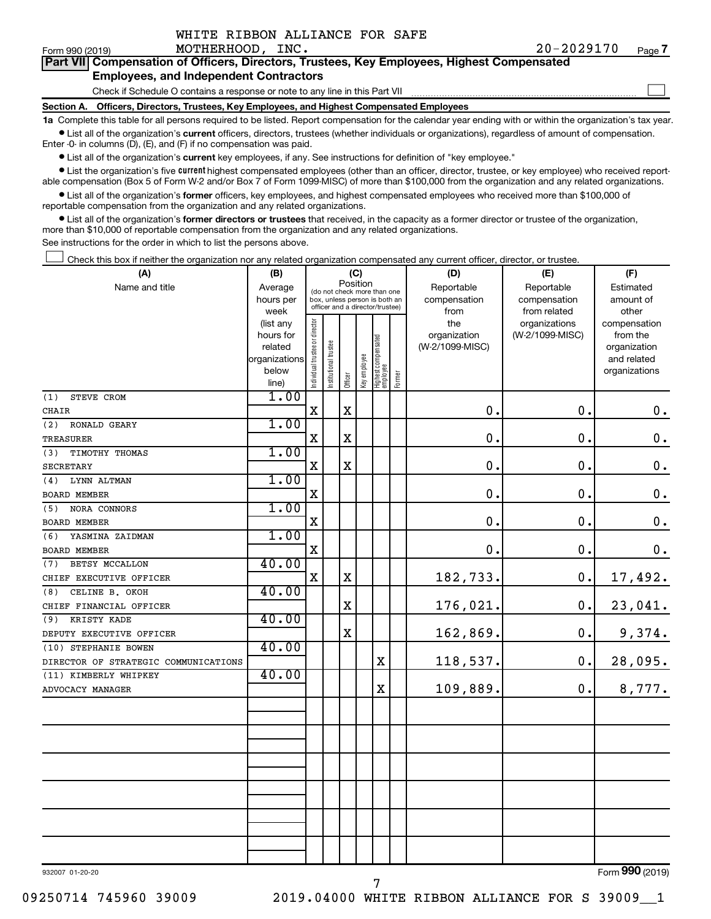|  | WHITE RIBBON ALLIANCE FOR SAFE |  |
|--|--------------------------------|--|
|  |                                |  |

 $\mathcal{L}^{\text{eff}}$ 

|  | Part VII Compensation of Officers, Directors, Trustees, Key Employees, Highest Compensated |
|--|--------------------------------------------------------------------------------------------|
|  | <b>Employees, and Independent Contractors</b>                                              |

Check if Schedule O contains a response or note to any line in this Part VII

**Section A. Officers, Directors, Trustees, Key Employees, and Highest Compensated Employees**

**1a**  Complete this table for all persons required to be listed. Report compensation for the calendar year ending with or within the organization's tax year.  $\bullet$  List all of the organization's current officers, directors, trustees (whether individuals or organizations), regardless of amount of compensation.

Enter -0- in columns (D), (E), and (F) if no compensation was paid.

**•** List all of the organization's current key employees, if any. See instructions for definition of "key employee."

**•** List the organization's five *current* highest compensated employees (other than an officer, director, trustee, or key employee) who received reportable compensation (Box 5 of Form W-2 and/or Box 7 of Form 1099-MISC) of more than \$100,000 from the organization and any related organizations.

 $\bullet$  List all of the organization's former officers, key employees, and highest compensated employees who received more than \$100,000 of reportable compensation from the organization and any related organizations.

**•** List all of the organization's former directors or trustees that received, in the capacity as a former director or trustee of the organization, more than \$10,000 of reportable compensation from the organization and any related organizations.

See instructions for the order in which to list the persons above.

Check this box if neither the organization nor any related organization compensated any current officer, director, or trustee.  $\mathcal{L}^{\text{eff}}$ 

| (A)                                  | (B)                    |                                |                                                                  | (C)         |              |                                   |        | (D)                             | (E)             | (F)                      |
|--------------------------------------|------------------------|--------------------------------|------------------------------------------------------------------|-------------|--------------|-----------------------------------|--------|---------------------------------|-----------------|--------------------------|
| Name and title                       | Average                |                                |                                                                  | Position    |              | (do not check more than one       |        | Reportable                      | Reportable      | Estimated                |
|                                      | hours per              |                                | box, unless person is both an<br>officer and a director/trustee) |             |              |                                   |        | compensation                    | compensation    | amount of                |
|                                      | week                   |                                |                                                                  |             |              |                                   |        | from                            | from related    | other                    |
|                                      | (list any<br>hours for | Individual trustee or director |                                                                  |             |              |                                   |        | the                             | organizations   | compensation             |
|                                      | related                |                                |                                                                  |             |              |                                   |        | organization<br>(W-2/1099-MISC) | (W-2/1099-MISC) | from the<br>organization |
|                                      | organizations          |                                |                                                                  |             |              |                                   |        |                                 |                 | and related              |
|                                      | below                  |                                | nstitutional trustee                                             |             | Key employee |                                   |        |                                 |                 | organizations            |
|                                      | line)                  |                                |                                                                  | Officer     |              | Highest compensated<br>  employee | Former |                                 |                 |                          |
| (1)<br>STEVE CROM                    | 1.00                   |                                |                                                                  |             |              |                                   |        |                                 |                 |                          |
| CHAIR                                |                        | $\mathbf X$                    |                                                                  | X           |              |                                   |        | $\mathbf 0$ .                   | 0.              | 0.                       |
| (2)<br>RONALD GEARY                  | 1.00                   |                                |                                                                  |             |              |                                   |        |                                 |                 |                          |
| <b>TREASURER</b>                     |                        | X                              |                                                                  | $\mathbf X$ |              |                                   |        | $\mathbf 0$ .                   | $\mathbf 0$ .   | $\mathbf 0$ .            |
| (3)<br>TIMOTHY THOMAS                | 1.00                   |                                |                                                                  |             |              |                                   |        |                                 |                 |                          |
| <b>SECRETARY</b>                     |                        | $\mathbf X$                    |                                                                  | $\mathbf X$ |              |                                   |        | $\mathbf 0$ .                   | $\mathbf 0$ .   | $\mathbf 0$ .            |
| LYNN ALTMAN<br>(4)                   | 1.00                   |                                |                                                                  |             |              |                                   |        |                                 |                 |                          |
| BOARD MEMBER                         |                        | $\mathbf X$                    |                                                                  |             |              |                                   |        | $\mathbf 0$ .                   | $\mathbf 0$ .   | $\mathbf 0$ .            |
| NORA CONNORS<br>(5)                  | 1.00                   |                                |                                                                  |             |              |                                   |        |                                 |                 |                          |
| BOARD MEMBER                         |                        | X                              |                                                                  |             |              |                                   |        | $\mathbf 0$ .                   | $\mathbf 0$ .   | $\mathbf 0$ .            |
| YASMINA ZAIDMAN<br>(6)               | 1.00                   |                                |                                                                  |             |              |                                   |        |                                 |                 |                          |
| <b>BOARD MEMBER</b>                  |                        | $\mathbf X$                    |                                                                  |             |              |                                   |        | $\mathbf 0$ .                   | $\mathbf 0$ .   | 0.                       |
| BETSY MCCALLON<br>(7)                | 40.00                  |                                |                                                                  |             |              |                                   |        |                                 |                 |                          |
| CHIEF EXECUTIVE OFFICER              |                        | $\mathbf X$                    |                                                                  | X           |              |                                   |        | 182,733.                        | 0.              | 17,492.                  |
| CELINE B. OKOH<br>(8)                | 40.00                  |                                |                                                                  |             |              |                                   |        |                                 |                 |                          |
| CHIEF FINANCIAL OFFICER              |                        |                                |                                                                  | X           |              |                                   |        | 176,021.                        | 0.              | 23,041.                  |
| KRISTY KADE<br>(9)                   | 40.00                  |                                |                                                                  |             |              |                                   |        |                                 |                 |                          |
| DEPUTY EXECUTIVE OFFICER             |                        |                                |                                                                  | $\mathbf X$ |              |                                   |        | 162,869.                        | 0.              | 9,374.                   |
| (10) STEPHANIE BOWEN                 | 40.00                  |                                |                                                                  |             |              |                                   |        |                                 |                 |                          |
| DIRECTOR OF STRATEGIC COMMUNICATIONS |                        |                                |                                                                  |             |              | X                                 |        | 118,537.                        | 0.              | 28,095.                  |
| (11) KIMBERLY WHIPKEY                | 40.00                  |                                |                                                                  |             |              |                                   |        |                                 |                 |                          |
| ADVOCACY MANAGER                     |                        |                                |                                                                  |             |              | $\mathbf X$                       |        | 109,889.                        | 0.              | 8,777.                   |
|                                      |                        |                                |                                                                  |             |              |                                   |        |                                 |                 |                          |
|                                      |                        |                                |                                                                  |             |              |                                   |        |                                 |                 |                          |
|                                      |                        |                                |                                                                  |             |              |                                   |        |                                 |                 |                          |
|                                      |                        |                                |                                                                  |             |              |                                   |        |                                 |                 |                          |
|                                      |                        |                                |                                                                  |             |              |                                   |        |                                 |                 |                          |
|                                      |                        |                                |                                                                  |             |              |                                   |        |                                 |                 |                          |
|                                      |                        |                                |                                                                  |             |              |                                   |        |                                 |                 |                          |
|                                      |                        |                                |                                                                  |             |              |                                   |        |                                 |                 |                          |
|                                      |                        |                                |                                                                  |             |              |                                   |        |                                 |                 |                          |
|                                      |                        |                                |                                                                  |             |              |                                   |        |                                 |                 |                          |
|                                      |                        |                                |                                                                  |             |              |                                   |        |                                 |                 |                          |
|                                      |                        |                                |                                                                  |             |              |                                   |        |                                 |                 |                          |
| 932007 01-20-20                      |                        |                                |                                                                  |             |              |                                   |        |                                 |                 | Form 990 (2019)          |

7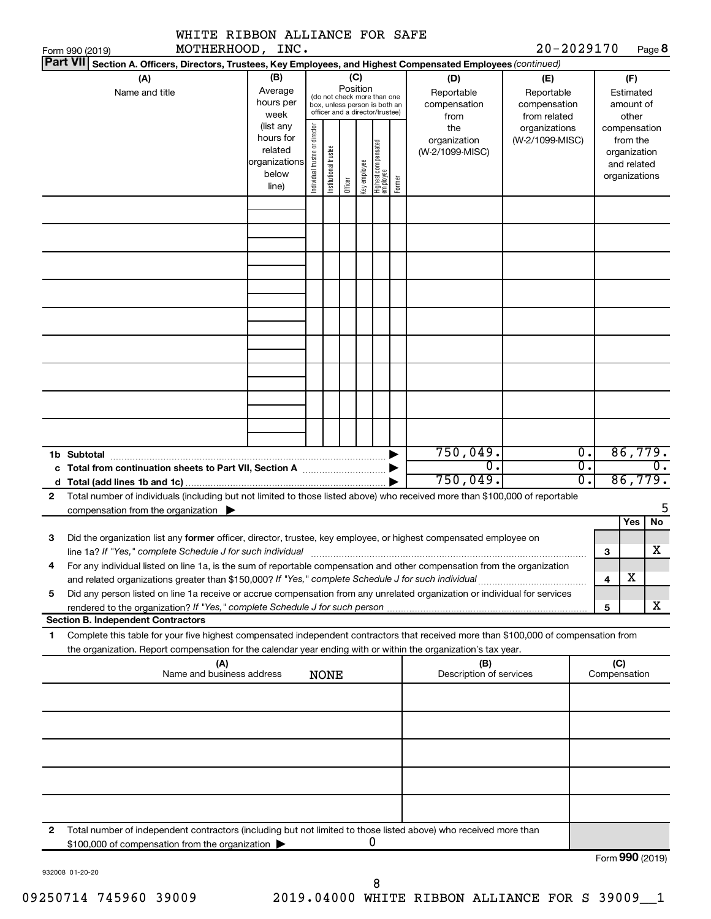| WHITE RIBBON ALLIANCE FOR SAFE                                                                                                                                                                                                                              |                                                                      |                                |                       |         |              |                                 |                                                                                                                                                                        |                                        |                                  |                                      |                                                                          |                                            |  |                                        |  |
|-------------------------------------------------------------------------------------------------------------------------------------------------------------------------------------------------------------------------------------------------------------|----------------------------------------------------------------------|--------------------------------|-----------------------|---------|--------------|---------------------------------|------------------------------------------------------------------------------------------------------------------------------------------------------------------------|----------------------------------------|----------------------------------|--------------------------------------|--------------------------------------------------------------------------|--------------------------------------------|--|----------------------------------------|--|
| MOTHERHOOD, INC.<br>Form 990 (2019)                                                                                                                                                                                                                         |                                                                      |                                |                       |         |              |                                 |                                                                                                                                                                        |                                        | $20 - 2029170$                   |                                      |                                                                          | Page 8                                     |  |                                        |  |
| Part VII Section A. Officers, Directors, Trustees, Key Employees, and Highest Compensated Employees (continued)                                                                                                                                             |                                                                      |                                |                       |         |              |                                 |                                                                                                                                                                        |                                        |                                  |                                      |                                                                          |                                            |  |                                        |  |
| (A)<br>Name and title                                                                                                                                                                                                                                       | (B)<br>Average<br>hours per<br>week                                  |                                |                       |         |              |                                 | (C)<br>(D)<br>(E)<br>Position<br>Reportable<br>(do not check more than one<br>compensation<br>box, unless person is both an<br>officer and a director/trustee)<br>from |                                        |                                  |                                      |                                                                          | Reportable<br>compensation<br>from related |  | (F)<br>Estimated<br>amount of<br>other |  |
|                                                                                                                                                                                                                                                             | (list any<br>hours for<br>related<br>organizations<br>below<br>line) | Individual trustee or director | Institutional trustee | Officer | Key employee | Highest compensated<br>employee | Former                                                                                                                                                                 | the<br>organization<br>(W-2/1099-MISC) | organizations<br>(W-2/1099-MISC) |                                      | compensation<br>from the<br>organization<br>and related<br>organizations |                                            |  |                                        |  |
|                                                                                                                                                                                                                                                             |                                                                      |                                |                       |         |              |                                 |                                                                                                                                                                        |                                        |                                  |                                      |                                                                          |                                            |  |                                        |  |
|                                                                                                                                                                                                                                                             |                                                                      |                                |                       |         |              |                                 |                                                                                                                                                                        |                                        |                                  |                                      |                                                                          |                                            |  |                                        |  |
|                                                                                                                                                                                                                                                             |                                                                      |                                |                       |         |              |                                 |                                                                                                                                                                        |                                        |                                  |                                      |                                                                          |                                            |  |                                        |  |
|                                                                                                                                                                                                                                                             |                                                                      |                                |                       |         |              |                                 |                                                                                                                                                                        |                                        |                                  |                                      |                                                                          |                                            |  |                                        |  |
|                                                                                                                                                                                                                                                             |                                                                      |                                |                       |         |              |                                 |                                                                                                                                                                        |                                        |                                  |                                      |                                                                          |                                            |  |                                        |  |
|                                                                                                                                                                                                                                                             |                                                                      |                                |                       |         |              |                                 |                                                                                                                                                                        |                                        |                                  |                                      |                                                                          |                                            |  |                                        |  |
|                                                                                                                                                                                                                                                             |                                                                      |                                |                       |         |              |                                 |                                                                                                                                                                        |                                        |                                  |                                      |                                                                          |                                            |  |                                        |  |
|                                                                                                                                                                                                                                                             |                                                                      |                                |                       |         |              |                                 |                                                                                                                                                                        |                                        |                                  |                                      |                                                                          |                                            |  |                                        |  |
|                                                                                                                                                                                                                                                             |                                                                      |                                |                       |         |              |                                 |                                                                                                                                                                        | 750,049.                               |                                  | $\overline{0}$ .                     |                                                                          | 86,779.                                    |  |                                        |  |
| 1b Subtotal                                                                                                                                                                                                                                                 |                                                                      |                                |                       |         |              |                                 |                                                                                                                                                                        | $\overline{0}$ .<br>750,049.           |                                  | $\overline{0}$ .<br>$\overline{0}$ . |                                                                          | 86,779.                                    |  |                                        |  |
| Total number of individuals (including but not limited to those listed above) who received more than \$100,000 of reportable<br>$\mathbf{2}$<br>compensation from the organization $\blacktriangleright$                                                    |                                                                      |                                |                       |         |              |                                 |                                                                                                                                                                        |                                        |                                  |                                      |                                                                          | 5                                          |  |                                        |  |
| Did the organization list any former officer, director, trustee, key employee, or highest compensated employee on<br>З                                                                                                                                      |                                                                      |                                |                       |         |              |                                 |                                                                                                                                                                        |                                        |                                  |                                      | <b>Yes</b>                                                               | No                                         |  |                                        |  |
| line 1a? If "Yes," complete Schedule J for such individual<br>For any individual listed on line 1a, is the sum of reportable compensation and other compensation from the organization<br>4                                                                 |                                                                      |                                |                       |         |              |                                 |                                                                                                                                                                        |                                        |                                  | З                                    |                                                                          | X                                          |  |                                        |  |
| Did any person listed on line 1a receive or accrue compensation from any unrelated organization or individual for services<br>5                                                                                                                             |                                                                      |                                |                       |         |              |                                 |                                                                                                                                                                        |                                        |                                  | 4                                    | x                                                                        |                                            |  |                                        |  |
| rendered to the organization? If "Yes," complete Schedule J for such person manufactured to the organization? If "Yes," complete Schedule J for such person manufactured to the organization?<br><b>Section B. Independent Contractors</b>                  |                                                                      |                                |                       |         |              |                                 |                                                                                                                                                                        |                                        |                                  | 5                                    |                                                                          | x                                          |  |                                        |  |
| Complete this table for your five highest compensated independent contractors that received more than \$100,000 of compensation from<br>1<br>the organization. Report compensation for the calendar year ending with or within the organization's tax year. |                                                                      |                                |                       |         |              |                                 |                                                                                                                                                                        |                                        |                                  |                                      |                                                                          |                                            |  |                                        |  |
| (A)<br>Name and business address                                                                                                                                                                                                                            |                                                                      |                                | NONE                  |         |              |                                 |                                                                                                                                                                        | (B)<br>Description of services         |                                  |                                      | (C)<br>Compensation                                                      |                                            |  |                                        |  |
|                                                                                                                                                                                                                                                             |                                                                      |                                |                       |         |              |                                 |                                                                                                                                                                        |                                        |                                  |                                      |                                                                          |                                            |  |                                        |  |
|                                                                                                                                                                                                                                                             |                                                                      |                                |                       |         |              |                                 |                                                                                                                                                                        |                                        |                                  |                                      |                                                                          |                                            |  |                                        |  |
|                                                                                                                                                                                                                                                             |                                                                      |                                |                       |         |              |                                 |                                                                                                                                                                        |                                        |                                  |                                      |                                                                          |                                            |  |                                        |  |
|                                                                                                                                                                                                                                                             |                                                                      |                                |                       |         |              |                                 |                                                                                                                                                                        |                                        |                                  |                                      |                                                                          |                                            |  |                                        |  |
| Total number of independent contractors (including but not limited to those listed above) who received more than<br>2<br>\$100,000 of compensation from the organization                                                                                    |                                                                      |                                |                       |         |              | U                               |                                                                                                                                                                        |                                        |                                  |                                      |                                                                          |                                            |  |                                        |  |
|                                                                                                                                                                                                                                                             |                                                                      |                                |                       |         |              |                                 |                                                                                                                                                                        |                                        |                                  |                                      |                                                                          | Form 990 (2019)                            |  |                                        |  |

932008 01-20-20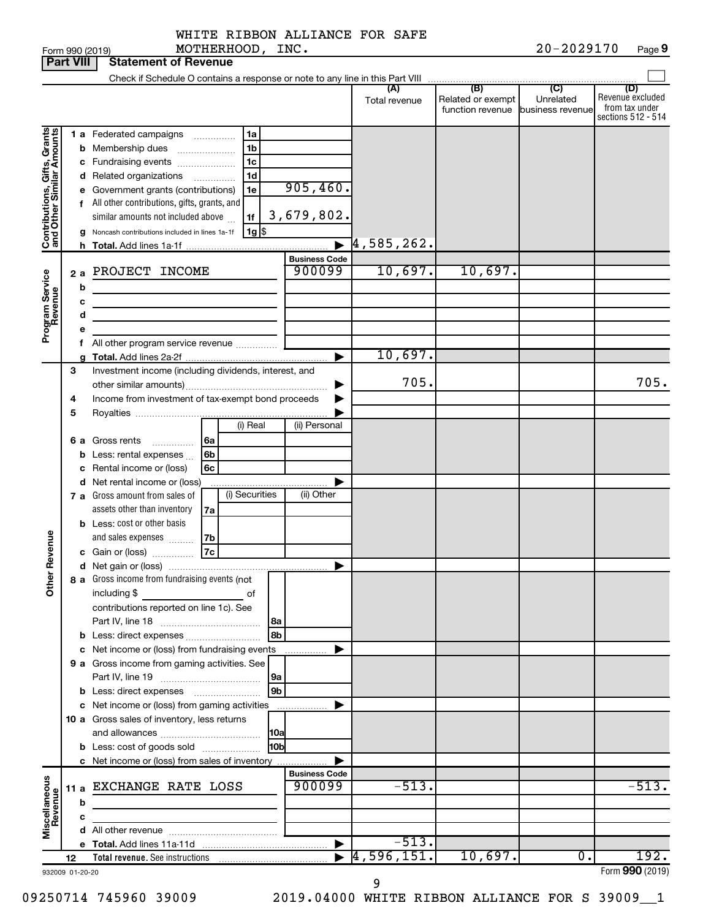| Form 990 (2019)                                           |    |    | MOTHERHOOD, INC.                                                                                                      |                 |                       |                          |                                                        | 20-2029170       | Page 9                                                          |
|-----------------------------------------------------------|----|----|-----------------------------------------------------------------------------------------------------------------------|-----------------|-----------------------|--------------------------|--------------------------------------------------------|------------------|-----------------------------------------------------------------|
| <b>Part VIII</b>                                          |    |    | <b>Statement of Revenue</b>                                                                                           |                 |                       |                          |                                                        |                  |                                                                 |
|                                                           |    |    |                                                                                                                       |                 |                       |                          |                                                        |                  |                                                                 |
|                                                           |    |    |                                                                                                                       |                 |                       | Total revenue            | Related or exempt<br>function revenue business revenue | Unrelated        | (D)<br>Revenue excluded<br>from tax under<br>sections 512 - 514 |
|                                                           |    |    | 1 a Federated campaigns                                                                                               | 1a              |                       |                          |                                                        |                  |                                                                 |
| Contributions, Gifts, Grants<br>and Other Similar Amounts |    |    | <b>b</b> Membership dues                                                                                              | 1 <sub>b</sub>  |                       |                          |                                                        |                  |                                                                 |
|                                                           |    |    | c Fundraising events                                                                                                  | 1c              |                       |                          |                                                        |                  |                                                                 |
|                                                           |    |    | d Related organizations<br>.                                                                                          | 1d              |                       |                          |                                                        |                  |                                                                 |
|                                                           |    |    | e Government grants (contributions)                                                                                   | 1e              | 905,460.              |                          |                                                        |                  |                                                                 |
|                                                           |    |    | f All other contributions, gifts, grants, and                                                                         |                 |                       |                          |                                                        |                  |                                                                 |
|                                                           |    |    | similar amounts not included above                                                                                    | 1f              | 3,679,802.            |                          |                                                        |                  |                                                                 |
|                                                           |    |    | g Noncash contributions included in lines 1a-1f                                                                       | 1g  \$          |                       |                          |                                                        |                  |                                                                 |
|                                                           |    |    |                                                                                                                       |                 | $\blacksquare$        | $\overline{4}$ ,585,262. |                                                        |                  |                                                                 |
|                                                           |    |    |                                                                                                                       |                 | <b>Business Code</b>  |                          |                                                        |                  |                                                                 |
|                                                           |    | 2a | PROJECT INCOME                                                                                                        |                 | 900099                | 10,697.                  | 10,697.                                                |                  |                                                                 |
| Program Service<br>Revenue                                |    | b  |                                                                                                                       |                 |                       |                          |                                                        |                  |                                                                 |
|                                                           |    | c  | <u> 1989 - Johann Barbara, martin a bhann an t-Alban an t-Alban an t-Alban an t-Alban an t-Alban an t-Alban an t-</u> |                 |                       |                          |                                                        |                  |                                                                 |
|                                                           |    | d  | the contract of the contract of the contract of                                                                       |                 |                       |                          |                                                        |                  |                                                                 |
|                                                           |    | е  |                                                                                                                       |                 |                       |                          |                                                        |                  |                                                                 |
|                                                           |    |    | f All other program service revenue                                                                                   |                 |                       | 10,697.                  |                                                        |                  |                                                                 |
|                                                           | 3  |    | Investment income (including dividends, interest, and                                                                 |                 |                       |                          |                                                        |                  |                                                                 |
|                                                           |    |    |                                                                                                                       |                 |                       | 705.                     |                                                        |                  | 705.                                                            |
|                                                           | 4  |    | Income from investment of tax-exempt bond proceeds                                                                    |                 |                       |                          |                                                        |                  |                                                                 |
|                                                           | 5  |    |                                                                                                                       |                 |                       |                          |                                                        |                  |                                                                 |
|                                                           |    |    |                                                                                                                       | (i) Real        | (ii) Personal         |                          |                                                        |                  |                                                                 |
|                                                           |    |    | 6 a Gross rents<br>l6a                                                                                                |                 |                       |                          |                                                        |                  |                                                                 |
|                                                           |    |    | <b>b</b> Less: rental expenses<br>6b                                                                                  |                 |                       |                          |                                                        |                  |                                                                 |
|                                                           |    |    | c Rental income or (loss)<br>6с                                                                                       |                 |                       |                          |                                                        |                  |                                                                 |
|                                                           |    |    | d Net rental income or (loss)                                                                                         |                 |                       |                          |                                                        |                  |                                                                 |
|                                                           |    |    | 7 a Gross amount from sales of                                                                                        | (i) Securities  | (ii) Other            |                          |                                                        |                  |                                                                 |
|                                                           |    |    | assets other than inventory<br>7a                                                                                     |                 |                       |                          |                                                        |                  |                                                                 |
|                                                           |    |    | <b>b</b> Less: cost or other basis                                                                                    |                 |                       |                          |                                                        |                  |                                                                 |
|                                                           |    |    | and sales expenses<br>7b                                                                                              |                 |                       |                          |                                                        |                  |                                                                 |
| evenue                                                    |    |    | 7c<br>c Gain or (loss)                                                                                                |                 |                       |                          |                                                        |                  |                                                                 |
|                                                           |    |    |                                                                                                                       |                 |                       |                          |                                                        |                  |                                                                 |
| Other                                                     |    |    | 8 a Gross income from fundraising events (not                                                                         |                 |                       |                          |                                                        |                  |                                                                 |
|                                                           |    |    | including \$                                                                                                          | оf              |                       |                          |                                                        |                  |                                                                 |
|                                                           |    |    | contributions reported on line 1c). See                                                                               |                 |                       |                          |                                                        |                  |                                                                 |
|                                                           |    |    |                                                                                                                       | 8 <sub>b</sub>  |                       |                          |                                                        |                  |                                                                 |
|                                                           |    |    | c Net income or (loss) from fundraising events                                                                        |                 |                       |                          |                                                        |                  |                                                                 |
|                                                           |    |    | 9 a Gross income from gaming activities. See                                                                          |                 |                       |                          |                                                        |                  |                                                                 |
|                                                           |    |    |                                                                                                                       | 9a              |                       |                          |                                                        |                  |                                                                 |
|                                                           |    |    |                                                                                                                       | 9b              |                       |                          |                                                        |                  |                                                                 |
|                                                           |    |    | c Net income or (loss) from gaming activities                                                                         |                 |                       |                          |                                                        |                  |                                                                 |
|                                                           |    |    | 10 a Gross sales of inventory, less returns                                                                           |                 |                       |                          |                                                        |                  |                                                                 |
|                                                           |    |    |                                                                                                                       |                 |                       |                          |                                                        |                  |                                                                 |
|                                                           |    |    | <b>b</b> Less: cost of goods sold                                                                                     | 10 <sub>b</sub> |                       |                          |                                                        |                  |                                                                 |
|                                                           |    |    | c Net income or (loss) from sales of inventory                                                                        |                 |                       |                          |                                                        |                  |                                                                 |
|                                                           |    |    |                                                                                                                       |                 | <b>Business Code</b>  |                          |                                                        |                  |                                                                 |
| Miscellaneous<br>Revenue                                  |    |    | 11 a EXCHANGE RATE LOSS                                                                                               |                 | 900099                | $-513.$                  |                                                        |                  | $-513.$                                                         |
|                                                           |    | b  |                                                                                                                       |                 |                       |                          |                                                        |                  |                                                                 |
|                                                           |    | c  |                                                                                                                       |                 |                       |                          |                                                        |                  |                                                                 |
|                                                           |    |    |                                                                                                                       |                 |                       | $-513.$                  |                                                        |                  |                                                                 |
|                                                           | 12 |    |                                                                                                                       |                 | $\blacktriangleright$ | 4,596,151.               | 10,697.                                                | $\overline{0}$ . | 192.                                                            |
| 932009 01-20-20                                           |    |    |                                                                                                                       |                 |                       |                          |                                                        |                  | Form 990 (2019)                                                 |
|                                                           |    |    |                                                                                                                       |                 |                       | 9                        |                                                        |                  |                                                                 |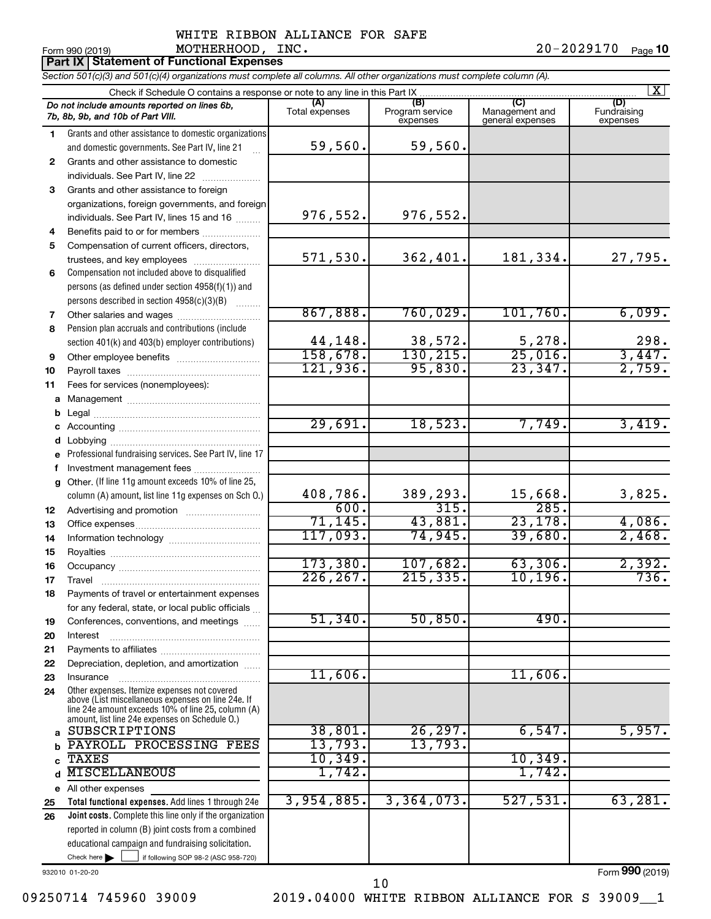|              | MOTHERHOOD, INC.<br>Form 990 (2019)                                                                                                                                                                        |                          |                             |                                    | $20 - 2029170$<br>Page 10 |
|--------------|------------------------------------------------------------------------------------------------------------------------------------------------------------------------------------------------------------|--------------------------|-----------------------------|------------------------------------|---------------------------|
|              | <b>Part IX   Statement of Functional Expenses</b>                                                                                                                                                          |                          |                             |                                    |                           |
|              | Section 501(c)(3) and 501(c)(4) organizations must complete all columns. All other organizations must complete column (A).                                                                                 |                          |                             |                                    |                           |
|              | Check if Schedule O contains a response or note to any line in this Part IX                                                                                                                                | (A)                      | (B)                         | $\overline{\text{C}}$              | $\vert$ X $\vert$<br>(D)  |
|              | Do not include amounts reported on lines 6b,<br>7b, 8b, 9b, and 10b of Part VIII.                                                                                                                          | Total expenses           | Program service<br>expenses | Management and<br>general expenses | Fundraising<br>expenses   |
| 1.           | Grants and other assistance to domestic organizations                                                                                                                                                      |                          |                             |                                    |                           |
|              | and domestic governments. See Part IV, line 21                                                                                                                                                             | 59,560.                  | 59,560.                     |                                    |                           |
| $\mathbf{2}$ | Grants and other assistance to domestic                                                                                                                                                                    |                          |                             |                                    |                           |
|              | individuals. See Part IV, line 22                                                                                                                                                                          |                          |                             |                                    |                           |
| 3            | Grants and other assistance to foreign                                                                                                                                                                     |                          |                             |                                    |                           |
|              | organizations, foreign governments, and foreign                                                                                                                                                            |                          |                             |                                    |                           |
|              | individuals. See Part IV, lines 15 and 16                                                                                                                                                                  | 976,552.                 | 976,552.                    |                                    |                           |
| 4            | Benefits paid to or for members                                                                                                                                                                            |                          |                             |                                    |                           |
| 5            | Compensation of current officers, directors,                                                                                                                                                               |                          |                             |                                    |                           |
|              | trustees, and key employees                                                                                                                                                                                | 571,530.                 | 362,401.                    | 181,334.                           | 27,795.                   |
| 6            | Compensation not included above to disqualified                                                                                                                                                            |                          |                             |                                    |                           |
|              | persons (as defined under section 4958(f)(1)) and                                                                                                                                                          |                          |                             |                                    |                           |
|              | persons described in section 4958(c)(3)(B)                                                                                                                                                                 | 867,888.                 | 760,029.                    | 101,760.                           | 6,099.                    |
| 7            | Other salaries and wages                                                                                                                                                                                   |                          |                             |                                    |                           |
| 8            | Pension plan accruals and contributions (include                                                                                                                                                           |                          |                             |                                    | 298.                      |
|              | section 401(k) and 403(b) employer contributions)                                                                                                                                                          | $\frac{44,148}{158,678}$ | $\frac{38,572}{130,215}$    | $\frac{5,278}{25,016}$             | 3,447.                    |
| 9            |                                                                                                                                                                                                            | 121,936.                 | 95,830.                     | 23,347.                            | 2,759.                    |
| 10<br>11     |                                                                                                                                                                                                            |                          |                             |                                    |                           |
| a            | Fees for services (nonemployees):                                                                                                                                                                          |                          |                             |                                    |                           |
| b            |                                                                                                                                                                                                            |                          |                             |                                    |                           |
| с            |                                                                                                                                                                                                            | 29,691.                  | 18,523.                     | 7,749.                             | 3,419.                    |
| d            |                                                                                                                                                                                                            |                          |                             |                                    |                           |
| e            | Professional fundraising services. See Part IV, line 17                                                                                                                                                    |                          |                             |                                    |                           |
| f            | Investment management fees                                                                                                                                                                                 |                          |                             |                                    |                           |
| q            | Other. (If line 11g amount exceeds 10% of line 25,                                                                                                                                                         |                          |                             |                                    |                           |
|              | column (A) amount, list line 11g expenses on Sch O.)                                                                                                                                                       | 408,786.                 | 389,293.                    | 15,668.                            | 3,825.                    |
| 12           |                                                                                                                                                                                                            | 600.                     | 315.                        | 285.                               |                           |
| 13           |                                                                                                                                                                                                            | 71, 145.                 | 43,881.                     | 23,178.                            | 4,086.                    |
| 14           |                                                                                                                                                                                                            | 117,093.                 | 74,945.                     | 39,680.                            | 2,468.                    |
| 15           |                                                                                                                                                                                                            |                          |                             |                                    |                           |
| 16           |                                                                                                                                                                                                            | 173,380.                 | 107,682.                    | 63,306.                            | 2,392.                    |
| 17           | Travel                                                                                                                                                                                                     | 226, 267.                | 215, 335.                   | 10, 196.                           | 736.                      |
| 18           | Payments of travel or entertainment expenses                                                                                                                                                               |                          |                             |                                    |                           |
|              | for any federal, state, or local public officials                                                                                                                                                          |                          |                             |                                    |                           |
| 19           | Conferences, conventions, and meetings                                                                                                                                                                     | 51,340.                  | 50,850.                     | 490.                               |                           |
| 20           | Interest                                                                                                                                                                                                   |                          |                             |                                    |                           |
| 21           |                                                                                                                                                                                                            |                          |                             |                                    |                           |
| 22           | Depreciation, depletion, and amortization                                                                                                                                                                  |                          |                             |                                    |                           |
| 23           | Insurance                                                                                                                                                                                                  | 11,606.                  |                             | 11,606.                            |                           |
| 24           | Other expenses. Itemize expenses not covered<br>above (List miscellaneous expenses on line 24e. If<br>line 24e amount exceeds 10% of line 25, column (A)<br>amount, list line 24e expenses on Schedule O.) |                          |                             |                                    |                           |
| a            | SUBSCRIPTIONS                                                                                                                                                                                              | 38,801.                  | 26, 297.                    | 6, 547.                            | 5,957.                    |
| b            | PAYROLL PROCESSING FEES                                                                                                                                                                                    | 13,793.                  | 13,793.                     |                                    |                           |
| C            | <b>TAXES</b>                                                                                                                                                                                               | 10,349.                  |                             | 10, 349.                           |                           |
| d            | <b>MISCELLANEOUS</b>                                                                                                                                                                                       | 1,742.                   |                             | 1,742.                             |                           |
| е            | All other expenses                                                                                                                                                                                         |                          |                             |                                    |                           |
| 25           | Total functional expenses. Add lines 1 through 24e                                                                                                                                                         | 3,954,885.               | 3,364,073.                  | 527,531.                           | 63,281.                   |
| 26           | Joint costs. Complete this line only if the organization                                                                                                                                                   |                          |                             |                                    |                           |
|              | reported in column (B) joint costs from a combined<br>educational campaign and fundraising solicitation.                                                                                                   |                          |                             |                                    |                           |
|              | Check here $\blacktriangleright$<br>if following SOP 98-2 (ASC 958-720)                                                                                                                                    |                          |                             |                                    |                           |
|              |                                                                                                                                                                                                            |                          |                             |                                    |                           |

932010 01-20-20

Form (2019) **990**

09250714 745960 39009 2019.04000 WHITE RIBBON ALLIANCE FOR S 39009\_\_1 10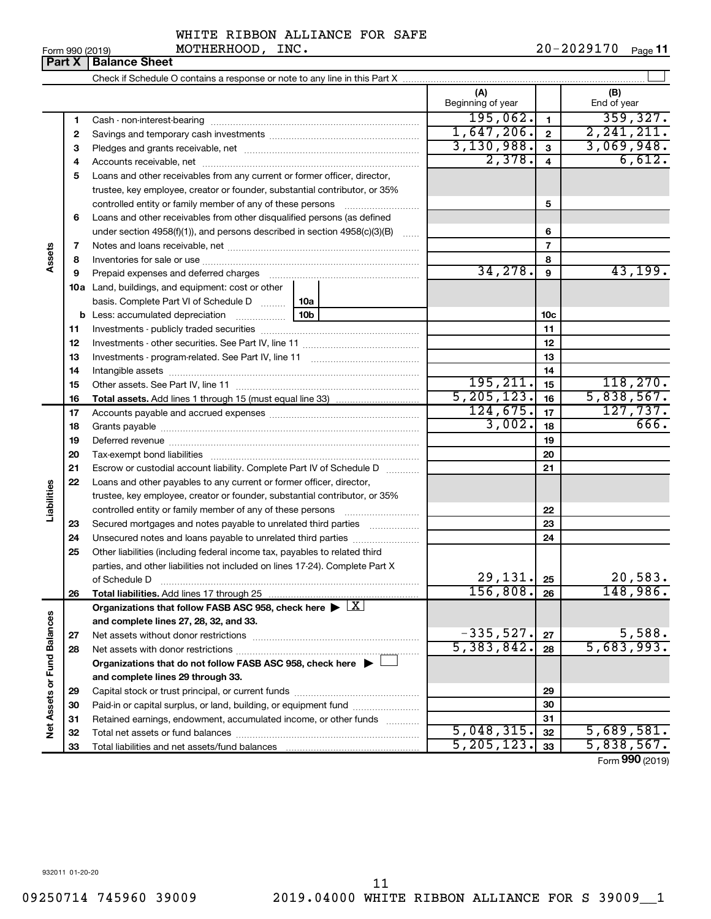|  | Form 990 (2019) |  |
|--|-----------------|--|
|  |                 |  |

|                             | Form 990 (2019) | wunnanuu ,<br>TIAC .                                                                                   |                          |                | Z U – Z U Z J I <i>I</i> U<br>Page II |
|-----------------------------|-----------------|--------------------------------------------------------------------------------------------------------|--------------------------|----------------|---------------------------------------|
|                             | <b>Part X</b>   | <b>Balance Sheet</b>                                                                                   |                          |                |                                       |
|                             |                 |                                                                                                        |                          |                |                                       |
|                             |                 |                                                                                                        | (A)<br>Beginning of year |                | (B)<br>End of year                    |
|                             | 1               |                                                                                                        | 195,062.                 | $\overline{1}$ | 359,327.                              |
|                             | 2               |                                                                                                        | 1,647,206.               | $\overline{2}$ | 2, 241, 211.                          |
|                             | 3               |                                                                                                        | 3,130,988.               | $\mathbf{3}$   | 3,069,948.                            |
|                             | 4               |                                                                                                        | 2,378.                   | 4              | 6,612.                                |
|                             | 5               | Loans and other receivables from any current or former officer, director,                              |                          |                |                                       |
|                             |                 | trustee, key employee, creator or founder, substantial contributor, or 35%                             |                          |                |                                       |
|                             |                 | controlled entity or family member of any of these persons                                             |                          | 5              |                                       |
|                             | 6               | Loans and other receivables from other disqualified persons (as defined                                |                          |                |                                       |
|                             |                 | under section 4958(f)(1)), and persons described in section 4958(c)(3)(B)                              |                          | 6              |                                       |
|                             | 7               |                                                                                                        |                          | $\overline{7}$ |                                       |
| Assets                      | 8               |                                                                                                        |                          | 8              |                                       |
|                             | 9               |                                                                                                        | 34, 278.                 | 9              | 43, 199.                              |
|                             |                 | 10a Land, buildings, and equipment: cost or other                                                      |                          |                |                                       |
|                             |                 | basis. Complete Part VI of Schedule D    10a                                                           |                          |                |                                       |
|                             |                 | 10 <sub>b</sub>                                                                                        |                          | 10c            |                                       |
|                             | 11              |                                                                                                        |                          | 11             |                                       |
|                             | 12              |                                                                                                        |                          | 12             |                                       |
|                             | 13              |                                                                                                        |                          | 13             |                                       |
|                             | 14              |                                                                                                        |                          | 14             |                                       |
|                             | 15              |                                                                                                        | 195, 211.                | 15             | 118,270.                              |
|                             | 16              |                                                                                                        | 5, 205, 123.             | 16             | 5,838,567.                            |
|                             | 17              |                                                                                                        | 124,675.                 | 17             | 127,737.                              |
|                             | 18              |                                                                                                        | 3,002.                   | 18             | 666.                                  |
|                             | 19              |                                                                                                        |                          | 19             |                                       |
|                             | 20              |                                                                                                        |                          | 20             |                                       |
|                             | 21              | Escrow or custodial account liability. Complete Part IV of Schedule D                                  |                          | 21             |                                       |
|                             | 22              | Loans and other payables to any current or former officer, director,                                   |                          |                |                                       |
|                             |                 | trustee, key employee, creator or founder, substantial contributor, or 35%                             |                          |                |                                       |
| Liabilities                 |                 |                                                                                                        |                          | 22             |                                       |
|                             | 23              | Secured mortgages and notes payable to unrelated third parties                                         |                          | 23             |                                       |
|                             | 24              | Unsecured notes and loans payable to unrelated third parties                                           |                          | 24             |                                       |
|                             | 25              | Other liabilities (including federal income tax, payables to related third                             |                          |                |                                       |
|                             |                 | parties, and other liabilities not included on lines 17-24). Complete Part X                           |                          |                |                                       |
|                             |                 | of Schedule D                                                                                          | 29,131.                  | 25             | 20,583.                               |
|                             | 26              | Total liabilities. Add lines 17 through 25                                                             | 156,808.                 | 26             | 148,986.                              |
|                             |                 | Organizations that follow FASB ASC 958, check here $\blacktriangleright \lfloor \underline{X} \rfloor$ |                          |                |                                       |
|                             |                 | and complete lines 27, 28, 32, and 33.                                                                 |                          |                |                                       |
|                             | 27              | Net assets without donor restrictions                                                                  | $-335,527.$              | 27             | 5,588.                                |
|                             | 28              |                                                                                                        | 5,383,842.               | 28             | 5,683,993.                            |
|                             |                 | Organizations that do not follow FASB ASC 958, check here ▶ L                                          |                          |                |                                       |
|                             |                 | and complete lines 29 through 33.                                                                      |                          |                |                                       |
|                             | 29              |                                                                                                        |                          | 29             |                                       |
|                             | 30              | Paid-in or capital surplus, or land, building, or equipment fund                                       |                          | 30             |                                       |
| Net Assets or Fund Balances | 31              | Retained earnings, endowment, accumulated income, or other funds                                       |                          | 31             |                                       |
|                             | 32              |                                                                                                        | 5,048,315.               | 32             | 5,689,581.                            |
|                             | 33              |                                                                                                        | 5, 205, 123.             | 33             | 5,838,567.                            |

Form (2019) **990**

932011 01-20-20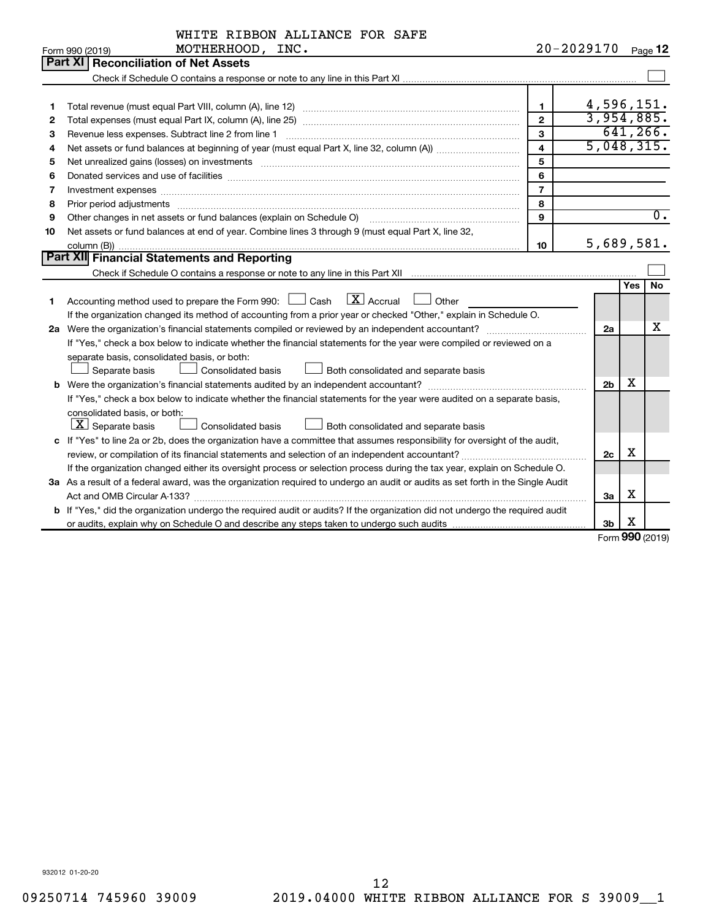|    | WHITE RIBBON ALLIANCE FOR SAFE<br>MOTHERHOOD, INC.<br>Form 990 (2019)                                                                                                                                                          | 20-2029170 Page 12      |                |            |           |
|----|--------------------------------------------------------------------------------------------------------------------------------------------------------------------------------------------------------------------------------|-------------------------|----------------|------------|-----------|
|    | <b>Part XI Reconciliation of Net Assets</b>                                                                                                                                                                                    |                         |                |            |           |
|    |                                                                                                                                                                                                                                |                         |                |            |           |
|    |                                                                                                                                                                                                                                |                         |                |            |           |
| 1  |                                                                                                                                                                                                                                | $\mathbf{1}$            | 4,596,151.     |            |           |
| 2  |                                                                                                                                                                                                                                | $\mathbf{2}$            | 3,954,885.     |            |           |
| з  | Revenue less expenses. Subtract line 2 from line 1                                                                                                                                                                             | 3                       |                | 641, 266.  |           |
| 4  |                                                                                                                                                                                                                                | $\overline{\mathbf{4}}$ | 5,048,315.     |            |           |
| 5  | Net unrealized gains (losses) on investments [11] matter in the contract of the state of the state of the state of the state of the state of the state of the state of the state of the state of the state of the state of the | 5                       |                |            |           |
| 6  |                                                                                                                                                                                                                                | 6                       |                |            |           |
| 7  | Investment expenses www.communication.com/www.communication.com/www.communication.com/www.com                                                                                                                                  | $\overline{7}$          |                |            |           |
| 8  | Prior period adjustments www.communication.communication.communication.com/                                                                                                                                                    | 8                       |                |            |           |
| 9  | Other changes in net assets or fund balances (explain on Schedule O)                                                                                                                                                           | 9                       |                |            | $0$ .     |
| 10 | Net assets or fund balances at end of year. Combine lines 3 through 9 (must equal Part X, line 32,                                                                                                                             |                         |                |            |           |
|    |                                                                                                                                                                                                                                | 10                      | 5,689,581.     |            |           |
|    | Part XII Financial Statements and Reporting                                                                                                                                                                                    |                         |                |            |           |
|    |                                                                                                                                                                                                                                |                         |                |            |           |
|    |                                                                                                                                                                                                                                |                         |                | <b>Yes</b> | <b>No</b> |
| 1  | Accounting method used to prepare the Form 990: $\Box$ Cash $\Box$ Accrual $\Box$ Other                                                                                                                                        |                         |                |            |           |
|    | If the organization changed its method of accounting from a prior year or checked "Other," explain in Schedule O.                                                                                                              |                         |                |            |           |
|    |                                                                                                                                                                                                                                |                         | 2a             |            | x         |
|    | If "Yes," check a box below to indicate whether the financial statements for the year were compiled or reviewed on a                                                                                                           |                         |                |            |           |
|    | separate basis, consolidated basis, or both:                                                                                                                                                                                   |                         |                |            |           |
|    | Separate basis<br><b>Consolidated basis</b><br>Both consolidated and separate basis                                                                                                                                            |                         |                |            |           |
|    |                                                                                                                                                                                                                                |                         | 2 <sub>b</sub> | х          |           |
|    | If "Yes," check a box below to indicate whether the financial statements for the year were audited on a separate basis,                                                                                                        |                         |                |            |           |
|    | consolidated basis, or both:                                                                                                                                                                                                   |                         |                |            |           |
|    | $ \mathbf{X} $ Separate basis<br>Both consolidated and separate basis<br>Consolidated basis                                                                                                                                    |                         |                |            |           |
|    | c If "Yes" to line 2a or 2b, does the organization have a committee that assumes responsibility for oversight of the audit,                                                                                                    |                         |                |            |           |
|    |                                                                                                                                                                                                                                |                         | 2c             | х          |           |
|    | If the organization changed either its oversight process or selection process during the tax year, explain on Schedule O.                                                                                                      |                         |                |            |           |
|    | 3a As a result of a federal award, was the organization required to undergo an audit or audits as set forth in the Single Audit                                                                                                |                         |                |            |           |
|    | Act and OMB Circular A-133?                                                                                                                                                                                                    |                         | 3a             | х          |           |

If "Yes," did the organization undergo the required audit or audits? If the organization did not undergo the required audit

or audits, explain why on Schedule O and describe any steps taken to undergo such audits

| Form 990 (2019) |  |
|-----------------|--|

932012 01-20-20

**b**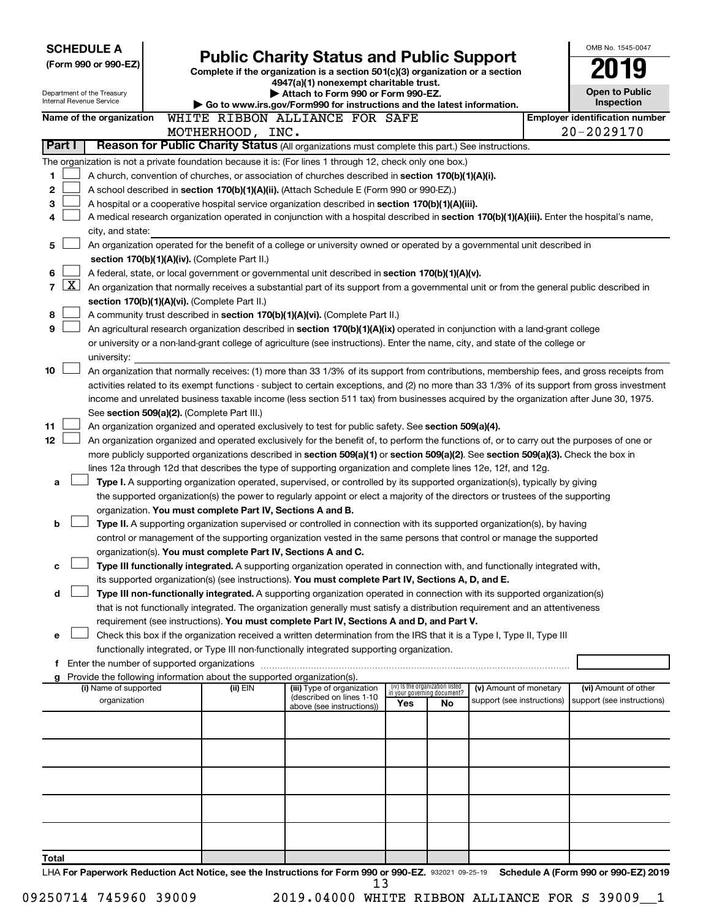| <b>SCHEDULE A</b>                                                                                                                                                                                                                                                                      |                  |                                                                                                                                                                                                                                 |     |                                 |                        | OMB No. 1545-0047                                                             |
|----------------------------------------------------------------------------------------------------------------------------------------------------------------------------------------------------------------------------------------------------------------------------------------|------------------|---------------------------------------------------------------------------------------------------------------------------------------------------------------------------------------------------------------------------------|-----|---------------------------------|------------------------|-------------------------------------------------------------------------------|
| (Form 990 or 990-EZ)                                                                                                                                                                                                                                                                   |                  | <b>Public Charity Status and Public Support</b><br>Complete if the organization is a section 501(c)(3) organization or a section                                                                                                |     |                                 |                        |                                                                               |
|                                                                                                                                                                                                                                                                                        |                  | 4947(a)(1) nonexempt charitable trust.                                                                                                                                                                                          |     |                                 |                        |                                                                               |
| Department of the Treasury<br>Internal Revenue Service                                                                                                                                                                                                                                 |                  | Attach to Form 990 or Form 990-EZ.                                                                                                                                                                                              |     |                                 |                        | <b>Open to Public</b><br>Inspection                                           |
| Name of the organization                                                                                                                                                                                                                                                               |                  | Go to www.irs.gov/Form990 for instructions and the latest information.<br>WHITE RIBBON ALLIANCE FOR SAFE                                                                                                                        |     |                                 |                        | <b>Employer identification number</b>                                         |
|                                                                                                                                                                                                                                                                                        | MOTHERHOOD, INC. |                                                                                                                                                                                                                                 |     |                                 |                        | 20-2029170                                                                    |
| Part I                                                                                                                                                                                                                                                                                 |                  | Reason for Public Charity Status (All organizations must complete this part.) See instructions.                                                                                                                                 |     |                                 |                        |                                                                               |
| The organization is not a private foundation because it is: (For lines 1 through 12, check only one box.)                                                                                                                                                                              |                  |                                                                                                                                                                                                                                 |     |                                 |                        |                                                                               |
| A church, convention of churches, or association of churches described in section 170(b)(1)(A)(i).<br>1                                                                                                                                                                                |                  |                                                                                                                                                                                                                                 |     |                                 |                        |                                                                               |
| 2<br>A school described in section 170(b)(1)(A)(ii). (Attach Schedule E (Form 990 or 990-EZ).)                                                                                                                                                                                         |                  |                                                                                                                                                                                                                                 |     |                                 |                        |                                                                               |
| 3<br>A hospital or a cooperative hospital service organization described in section 170(b)(1)(A)(iii).                                                                                                                                                                                 |                  |                                                                                                                                                                                                                                 |     |                                 |                        |                                                                               |
| A medical research organization operated in conjunction with a hospital described in section 170(b)(1)(A)(iii). Enter the hospital's name,<br>4                                                                                                                                        |                  |                                                                                                                                                                                                                                 |     |                                 |                        |                                                                               |
| city, and state:                                                                                                                                                                                                                                                                       |                  |                                                                                                                                                                                                                                 |     |                                 |                        |                                                                               |
| An organization operated for the benefit of a college or university owned or operated by a governmental unit described in<br>5                                                                                                                                                         |                  |                                                                                                                                                                                                                                 |     |                                 |                        |                                                                               |
| section 170(b)(1)(A)(iv). (Complete Part II.)                                                                                                                                                                                                                                          |                  |                                                                                                                                                                                                                                 |     |                                 |                        |                                                                               |
| 6<br>A federal, state, or local government or governmental unit described in section 170(b)(1)(A)(v).<br><u>x</u>                                                                                                                                                                      |                  |                                                                                                                                                                                                                                 |     |                                 |                        |                                                                               |
| $\overline{7}$<br>An organization that normally receives a substantial part of its support from a governmental unit or from the general public described in<br>section 170(b)(1)(A)(vi). (Complete Part II.)                                                                           |                  |                                                                                                                                                                                                                                 |     |                                 |                        |                                                                               |
| 8<br>A community trust described in section 170(b)(1)(A)(vi). (Complete Part II.)                                                                                                                                                                                                      |                  |                                                                                                                                                                                                                                 |     |                                 |                        |                                                                               |
| 9<br>An agricultural research organization described in section 170(b)(1)(A)(ix) operated in conjunction with a land-grant college                                                                                                                                                     |                  |                                                                                                                                                                                                                                 |     |                                 |                        |                                                                               |
| or university or a non-land-grant college of agriculture (see instructions). Enter the name, city, and state of the college or                                                                                                                                                         |                  |                                                                                                                                                                                                                                 |     |                                 |                        |                                                                               |
| university:                                                                                                                                                                                                                                                                            |                  |                                                                                                                                                                                                                                 |     |                                 |                        |                                                                               |
| 10<br>An organization that normally receives: (1) more than 33 1/3% of its support from contributions, membership fees, and gross receipts from                                                                                                                                        |                  |                                                                                                                                                                                                                                 |     |                                 |                        |                                                                               |
| activities related to its exempt functions - subject to certain exceptions, and (2) no more than 33 1/3% of its support from gross investment                                                                                                                                          |                  |                                                                                                                                                                                                                                 |     |                                 |                        |                                                                               |
| income and unrelated business taxable income (less section 511 tax) from businesses acquired by the organization after June 30, 1975.                                                                                                                                                  |                  |                                                                                                                                                                                                                                 |     |                                 |                        |                                                                               |
| See section 509(a)(2). (Complete Part III.)                                                                                                                                                                                                                                            |                  |                                                                                                                                                                                                                                 |     |                                 |                        |                                                                               |
| 11<br>An organization organized and operated exclusively to test for public safety. See section 509(a)(4).                                                                                                                                                                             |                  |                                                                                                                                                                                                                                 |     |                                 |                        |                                                                               |
| 12<br>An organization organized and operated exclusively for the benefit of, to perform the functions of, or to carry out the purposes of one or<br>more publicly supported organizations described in section 509(a)(1) or section 509(a)(2). See section 509(a)(3). Check the box in |                  |                                                                                                                                                                                                                                 |     |                                 |                        |                                                                               |
| lines 12a through 12d that describes the type of supporting organization and complete lines 12e, 12f, and 12g.                                                                                                                                                                         |                  |                                                                                                                                                                                                                                 |     |                                 |                        |                                                                               |
| a                                                                                                                                                                                                                                                                                      |                  | Type I. A supporting organization operated, supervised, or controlled by its supported organization(s), typically by giving                                                                                                     |     |                                 |                        |                                                                               |
|                                                                                                                                                                                                                                                                                        |                  | the supported organization(s) the power to regularly appoint or elect a majority of the directors or trustees of the supporting                                                                                                 |     |                                 |                        |                                                                               |
| organization. You must complete Part IV, Sections A and B.                                                                                                                                                                                                                             |                  |                                                                                                                                                                                                                                 |     |                                 |                        |                                                                               |
| b                                                                                                                                                                                                                                                                                      |                  | Type II. A supporting organization supervised or controlled in connection with its supported organization(s), by having                                                                                                         |     |                                 |                        |                                                                               |
|                                                                                                                                                                                                                                                                                        |                  | control or management of the supporting organization vested in the same persons that control or manage the supported                                                                                                            |     |                                 |                        |                                                                               |
| organization(s). You must complete Part IV, Sections A and C.                                                                                                                                                                                                                          |                  |                                                                                                                                                                                                                                 |     |                                 |                        |                                                                               |
| с                                                                                                                                                                                                                                                                                      |                  | Type III functionally integrated. A supporting organization operated in connection with, and functionally integrated with,                                                                                                      |     |                                 |                        |                                                                               |
| d                                                                                                                                                                                                                                                                                      |                  | its supported organization(s) (see instructions). You must complete Part IV, Sections A, D, and E.<br>Type III non-functionally integrated. A supporting organization operated in connection with its supported organization(s) |     |                                 |                        |                                                                               |
|                                                                                                                                                                                                                                                                                        |                  | that is not functionally integrated. The organization generally must satisfy a distribution requirement and an attentiveness                                                                                                    |     |                                 |                        |                                                                               |
|                                                                                                                                                                                                                                                                                        |                  | requirement (see instructions). You must complete Part IV, Sections A and D, and Part V.                                                                                                                                        |     |                                 |                        |                                                                               |
| е                                                                                                                                                                                                                                                                                      |                  | Check this box if the organization received a written determination from the IRS that it is a Type I, Type II, Type III                                                                                                         |     |                                 |                        |                                                                               |
|                                                                                                                                                                                                                                                                                        |                  | functionally integrated, or Type III non-functionally integrated supporting organization.                                                                                                                                       |     |                                 |                        |                                                                               |
| f Enter the number of supported organizations                                                                                                                                                                                                                                          |                  |                                                                                                                                                                                                                                 |     |                                 |                        |                                                                               |
| Provide the following information about the supported organization(s).<br>g                                                                                                                                                                                                            |                  |                                                                                                                                                                                                                                 |     | (iv) Is the organization listed |                        |                                                                               |
| (i) Name of supported<br>organization                                                                                                                                                                                                                                                  | $(ii)$ EIN       | (iii) Type of organization<br>(described on lines 1-10                                                                                                                                                                          |     | in your governing document?     | (v) Amount of monetary | (vi) Amount of other<br>support (see instructions) support (see instructions) |
|                                                                                                                                                                                                                                                                                        |                  | above (see instructions))                                                                                                                                                                                                       | Yes | No                              |                        |                                                                               |
|                                                                                                                                                                                                                                                                                        |                  |                                                                                                                                                                                                                                 |     |                                 |                        |                                                                               |
|                                                                                                                                                                                                                                                                                        |                  |                                                                                                                                                                                                                                 |     |                                 |                        |                                                                               |
|                                                                                                                                                                                                                                                                                        |                  |                                                                                                                                                                                                                                 |     |                                 |                        |                                                                               |
|                                                                                                                                                                                                                                                                                        |                  |                                                                                                                                                                                                                                 |     |                                 |                        |                                                                               |
|                                                                                                                                                                                                                                                                                        |                  |                                                                                                                                                                                                                                 |     |                                 |                        |                                                                               |
|                                                                                                                                                                                                                                                                                        |                  |                                                                                                                                                                                                                                 |     |                                 |                        |                                                                               |
|                                                                                                                                                                                                                                                                                        |                  |                                                                                                                                                                                                                                 |     |                                 |                        |                                                                               |
|                                                                                                                                                                                                                                                                                        |                  |                                                                                                                                                                                                                                 |     |                                 |                        |                                                                               |
|                                                                                                                                                                                                                                                                                        |                  |                                                                                                                                                                                                                                 |     |                                 |                        |                                                                               |
| <b>Total</b><br>LHA For Paperwork Reduction Act Notice, see the Instructions for Form 990 or 990-EZ, 932021 09-25-19 Schedule A (Form 990 or 990-EZ) 2019                                                                                                                              |                  |                                                                                                                                                                                                                                 |     |                                 |                        |                                                                               |

932021 09-25-19 **For Paperwork Reduction Act Notice, see the Instructions for Form 990 or 990-EZ. Schedule A (Form 990 or 990-EZ) 2019** LHA 13

09250714 745960 39009 2019.04000 WHITE RIBBON ALLIANCE FOR S 39009\_\_1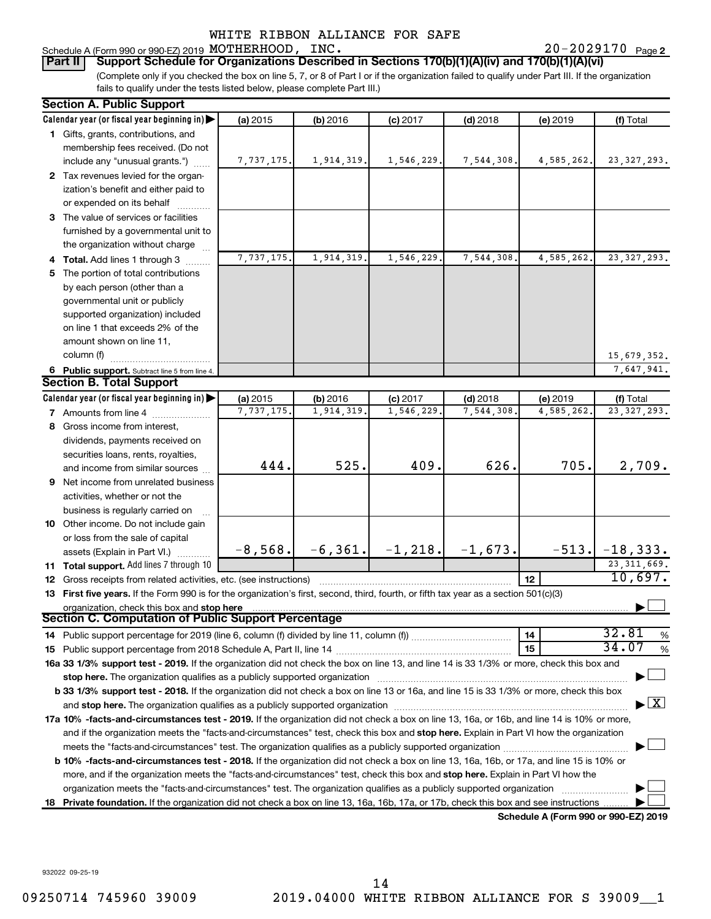### Schedule A (Form 990 or 990-EZ) 2019 Page MOTHERHOOD, INC. 20-2029170

20-2029170 Page 2

(Complete only if you checked the box on line 5, 7, or 8 of Part I or if the organization failed to qualify under Part III. If the organization fails to qualify under the tests listed below, please complete Part III.) **Part II** | Support Schedule for Organizations Described in Sections 170(b)(1)(A)(iv) and 170(b)(1)(A)(vi)

| <b>Section A. Public Support</b>                                                                                                           |            |            |            |            |                                      |                                         |
|--------------------------------------------------------------------------------------------------------------------------------------------|------------|------------|------------|------------|--------------------------------------|-----------------------------------------|
| Calendar year (or fiscal year beginning in)                                                                                                | (a) 2015   | (b) 2016   | $(c)$ 2017 | $(d)$ 2018 | (e) 2019                             | (f) Total                               |
| 1 Gifts, grants, contributions, and                                                                                                        |            |            |            |            |                                      |                                         |
| membership fees received. (Do not                                                                                                          |            |            |            |            |                                      |                                         |
| include any "unusual grants.")                                                                                                             | 7,737,175. | 1,914,319. | 1,546,229. | 7,544,308. | 4,585,262.                           | 23, 327, 293.                           |
| 2 Tax revenues levied for the organ-                                                                                                       |            |            |            |            |                                      |                                         |
| ization's benefit and either paid to                                                                                                       |            |            |            |            |                                      |                                         |
| or expended on its behalf                                                                                                                  |            |            |            |            |                                      |                                         |
| 3 The value of services or facilities                                                                                                      |            |            |            |            |                                      |                                         |
| furnished by a governmental unit to                                                                                                        |            |            |            |            |                                      |                                         |
| the organization without charge                                                                                                            |            |            |            |            |                                      |                                         |
| 4 Total. Add lines 1 through 3                                                                                                             | 7,737,175. | 1,914,319. | 1,546,229. | 7,544,308. | 4,585,262.                           | 23, 327, 293.                           |
| 5 The portion of total contributions                                                                                                       |            |            |            |            |                                      |                                         |
| by each person (other than a                                                                                                               |            |            |            |            |                                      |                                         |
| governmental unit or publicly                                                                                                              |            |            |            |            |                                      |                                         |
| supported organization) included                                                                                                           |            |            |            |            |                                      |                                         |
| on line 1 that exceeds 2% of the                                                                                                           |            |            |            |            |                                      |                                         |
| amount shown on line 11,                                                                                                                   |            |            |            |            |                                      |                                         |
| column (f)                                                                                                                                 |            |            |            |            |                                      | 15,679,352.                             |
| 6 Public support. Subtract line 5 from line 4.                                                                                             |            |            |            |            |                                      | 7,647,941.                              |
| <b>Section B. Total Support</b>                                                                                                            |            |            |            |            |                                      |                                         |
| Calendar year (or fiscal year beginning in)                                                                                                | (a) 2015   | (b) 2016   | $(c)$ 2017 | $(d)$ 2018 | (e) 2019                             | (f) Total                               |
| <b>7</b> Amounts from line 4                                                                                                               | 7,737,175. | 1,914,319  | 1,546,229. | 7,544,308. | 4,585,262                            | 23, 327, 293.                           |
| 8 Gross income from interest,                                                                                                              |            |            |            |            |                                      |                                         |
| dividends, payments received on                                                                                                            |            |            |            |            |                                      |                                         |
| securities loans, rents, royalties,                                                                                                        |            |            |            |            |                                      |                                         |
| and income from similar sources                                                                                                            | 444.       | 525.       | 409.       | 626.       | 705.                                 | 2,709.                                  |
| <b>9</b> Net income from unrelated business                                                                                                |            |            |            |            |                                      |                                         |
| activities, whether or not the                                                                                                             |            |            |            |            |                                      |                                         |
| business is regularly carried on                                                                                                           |            |            |            |            |                                      |                                         |
| 10 Other income. Do not include gain                                                                                                       |            |            |            |            |                                      |                                         |
| or loss from the sale of capital                                                                                                           |            |            |            |            |                                      |                                         |
| assets (Explain in Part VI.)                                                                                                               | $-8,568.$  | $-6, 361.$ | $-1, 218.$ | $-1,673.$  | $-513.$                              | $-18,333.$                              |
| 11 Total support. Add lines 7 through 10                                                                                                   |            |            |            |            |                                      | 23, 311, 669.                           |
| 12 Gross receipts from related activities, etc. (see instructions)                                                                         |            |            |            |            | 12                                   | 10,697.                                 |
| 13 First five years. If the Form 990 is for the organization's first, second, third, fourth, or fifth tax year as a section 501(c)(3)      |            |            |            |            |                                      |                                         |
| organization, check this box and stop here                                                                                                 |            |            |            |            |                                      |                                         |
| Section C. Computation of Public Support Percentage                                                                                        |            |            |            |            |                                      |                                         |
|                                                                                                                                            |            |            |            |            | 14                                   | 32.81<br>%                              |
|                                                                                                                                            |            |            |            |            | 15                                   | 34.07<br>%                              |
| 16a 33 1/3% support test - 2019. If the organization did not check the box on line 13, and line 14 is 33 1/3% or more, check this box and  |            |            |            |            |                                      |                                         |
| stop here. The organization qualifies as a publicly supported organization                                                                 |            |            |            |            |                                      |                                         |
| b 33 1/3% support test - 2018. If the organization did not check a box on line 13 or 16a, and line 15 is 33 1/3% or more, check this box   |            |            |            |            |                                      |                                         |
|                                                                                                                                            |            |            |            |            |                                      | $\blacktriangleright$ $\vert$ X $\vert$ |
| 17a 10% -facts-and-circumstances test - 2019. If the organization did not check a box on line 13, 16a, or 16b, and line 14 is 10% or more, |            |            |            |            |                                      |                                         |
| and if the organization meets the "facts-and-circumstances" test, check this box and stop here. Explain in Part VI how the organization    |            |            |            |            |                                      |                                         |
|                                                                                                                                            |            |            |            |            |                                      |                                         |
| b 10% -facts-and-circumstances test - 2018. If the organization did not check a box on line 13, 16a, 16b, or 17a, and line 15 is 10% or    |            |            |            |            |                                      |                                         |
| more, and if the organization meets the "facts-and-circumstances" test, check this box and stop here. Explain in Part VI how the           |            |            |            |            |                                      |                                         |
| organization meets the "facts-and-circumstances" test. The organization qualifies as a publicly supported organization                     |            |            |            |            |                                      |                                         |
| 18 Private foundation. If the organization did not check a box on line 13, 16a, 16b, 17a, or 17b, check this box and see instructions      |            |            |            |            |                                      |                                         |
|                                                                                                                                            |            |            |            |            | Schedule A (Form 990 or 990-EZ) 2019 |                                         |

932022 09-25-19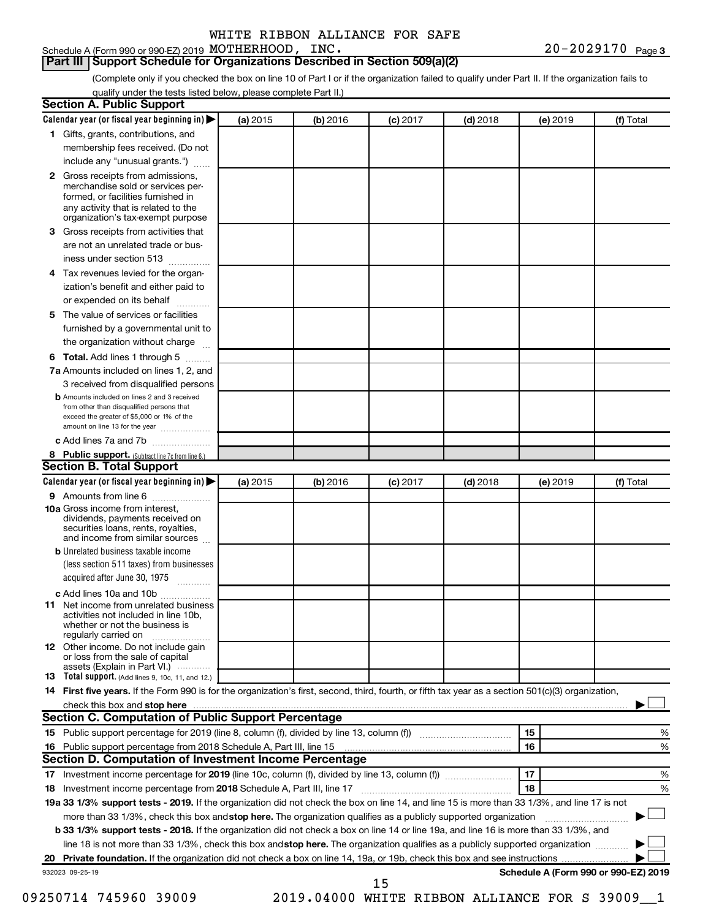### Schedule A (Form 990 or 990-EZ) 2019 Page MOTHERHOOD, INC. 20-2029170 **Part III | Support Schedule for Organizations Described in Section 509(a)(2)**

(Complete only if you checked the box on line 10 of Part I or if the organization failed to qualify under Part II. If the organization fails to qualify under the tests listed below, please complete Part II.)

|    | Calendar year (or fiscal year beginning in)                                                                                                                                                                                                                      | (a) 2015 | (b) 2016 | $(c)$ 2017 | $(d)$ 2018 |    | (e) 2019 | (f) Total        |
|----|------------------------------------------------------------------------------------------------------------------------------------------------------------------------------------------------------------------------------------------------------------------|----------|----------|------------|------------|----|----------|------------------|
|    | 1 Gifts, grants, contributions, and                                                                                                                                                                                                                              |          |          |            |            |    |          |                  |
|    | membership fees received. (Do not                                                                                                                                                                                                                                |          |          |            |            |    |          |                  |
|    | include any "unusual grants.")                                                                                                                                                                                                                                   |          |          |            |            |    |          |                  |
|    | 2 Gross receipts from admissions,<br>merchandise sold or services per-<br>formed, or facilities furnished in<br>any activity that is related to the                                                                                                              |          |          |            |            |    |          |                  |
|    | organization's tax-exempt purpose                                                                                                                                                                                                                                |          |          |            |            |    |          |                  |
| 3. | Gross receipts from activities that                                                                                                                                                                                                                              |          |          |            |            |    |          |                  |
|    | are not an unrelated trade or bus-                                                                                                                                                                                                                               |          |          |            |            |    |          |                  |
|    | iness under section 513                                                                                                                                                                                                                                          |          |          |            |            |    |          |                  |
| 4  | Tax revenues levied for the organ-                                                                                                                                                                                                                               |          |          |            |            |    |          |                  |
|    | ization's benefit and either paid to                                                                                                                                                                                                                             |          |          |            |            |    |          |                  |
|    | or expended on its behalf<br>.                                                                                                                                                                                                                                   |          |          |            |            |    |          |                  |
| 5. | The value of services or facilities<br>furnished by a governmental unit to                                                                                                                                                                                       |          |          |            |            |    |          |                  |
|    | the organization without charge                                                                                                                                                                                                                                  |          |          |            |            |    |          |                  |
| 6  | Total. Add lines 1 through 5                                                                                                                                                                                                                                     |          |          |            |            |    |          |                  |
|    | 7a Amounts included on lines 1, 2, and                                                                                                                                                                                                                           |          |          |            |            |    |          |                  |
|    | 3 received from disqualified persons                                                                                                                                                                                                                             |          |          |            |            |    |          |                  |
|    | <b>b</b> Amounts included on lines 2 and 3 received                                                                                                                                                                                                              |          |          |            |            |    |          |                  |
|    | from other than disqualified persons that<br>exceed the greater of \$5,000 or 1% of the<br>amount on line 13 for the year                                                                                                                                        |          |          |            |            |    |          |                  |
|    | c Add lines 7a and 7b                                                                                                                                                                                                                                            |          |          |            |            |    |          |                  |
|    | 8 Public support. (Subtract line 7c from line 6.)                                                                                                                                                                                                                |          |          |            |            |    |          |                  |
|    | <b>Section B. Total Support</b>                                                                                                                                                                                                                                  |          |          |            |            |    |          |                  |
|    | Calendar year (or fiscal year beginning in)                                                                                                                                                                                                                      | (a) 2015 | (b) 2016 | $(c)$ 2017 | $(d)$ 2018 |    | (e) 2019 | (f) Total        |
|    | 9 Amounts from line 6                                                                                                                                                                                                                                            |          |          |            |            |    |          |                  |
|    | <b>10a</b> Gross income from interest,<br>dividends, payments received on<br>securities loans, rents, royalties,<br>and income from similar sources                                                                                                              |          |          |            |            |    |          |                  |
|    | <b>b</b> Unrelated business taxable income                                                                                                                                                                                                                       |          |          |            |            |    |          |                  |
|    | (less section 511 taxes) from businesses<br>acquired after June 30, 1975                                                                                                                                                                                         |          |          |            |            |    |          |                  |
|    |                                                                                                                                                                                                                                                                  |          |          |            |            |    |          |                  |
|    | c Add lines 10a and 10b<br>11 Net income from unrelated business<br>activities not included in line 10b.<br>whether or not the business is<br>regularly carried on                                                                                               |          |          |            |            |    |          |                  |
|    | 12 Other income. Do not include gain<br>or loss from the sale of capital<br>assets (Explain in Part VI.)                                                                                                                                                         |          |          |            |            |    |          |                  |
|    | <b>13</b> Total support. (Add lines 9, 10c, 11, and 12.)                                                                                                                                                                                                         |          |          |            |            |    |          |                  |
|    |                                                                                                                                                                                                                                                                  |          |          |            |            |    |          |                  |
|    | 14 First five years. If the Form 990 is for the organization's first, second, third, fourth, or fifth tax year as a section 501(c)(3) organization,                                                                                                              |          |          |            |            |    |          |                  |
|    |                                                                                                                                                                                                                                                                  |          |          |            |            |    |          |                  |
|    |                                                                                                                                                                                                                                                                  |          |          |            |            |    |          |                  |
|    | Section C. Computation of Public Support Percentage                                                                                                                                                                                                              |          |          |            |            | 15 |          |                  |
|    |                                                                                                                                                                                                                                                                  |          |          |            |            |    |          |                  |
|    |                                                                                                                                                                                                                                                                  |          |          |            |            | 16 |          |                  |
|    | Section D. Computation of Investment Income Percentage                                                                                                                                                                                                           |          |          |            |            |    |          |                  |
|    |                                                                                                                                                                                                                                                                  |          |          |            |            | 17 |          |                  |
|    |                                                                                                                                                                                                                                                                  |          |          |            |            | 18 |          |                  |
|    | 19a 33 1/3% support tests - 2019. If the organization did not check the box on line 14, and line 15 is more than 33 1/3%, and line 17 is not                                                                                                                     |          |          |            |            |    |          |                  |
|    | more than 33 1/3%, check this box and stop here. The organization qualifies as a publicly supported organization<br><b>b 33 1/3% support tests - 2018.</b> If the organization did not check a box on line 14 or line 19a, and line 16 is more than 33 1/3%, and |          |          |            |            |    |          |                  |
|    |                                                                                                                                                                                                                                                                  |          |          |            |            |    |          | %<br>%<br>%<br>% |
|    | line 18 is not more than 33 1/3%, check this box and stop here. The organization qualifies as a publicly supported organization                                                                                                                                  |          |          |            |            |    |          |                  |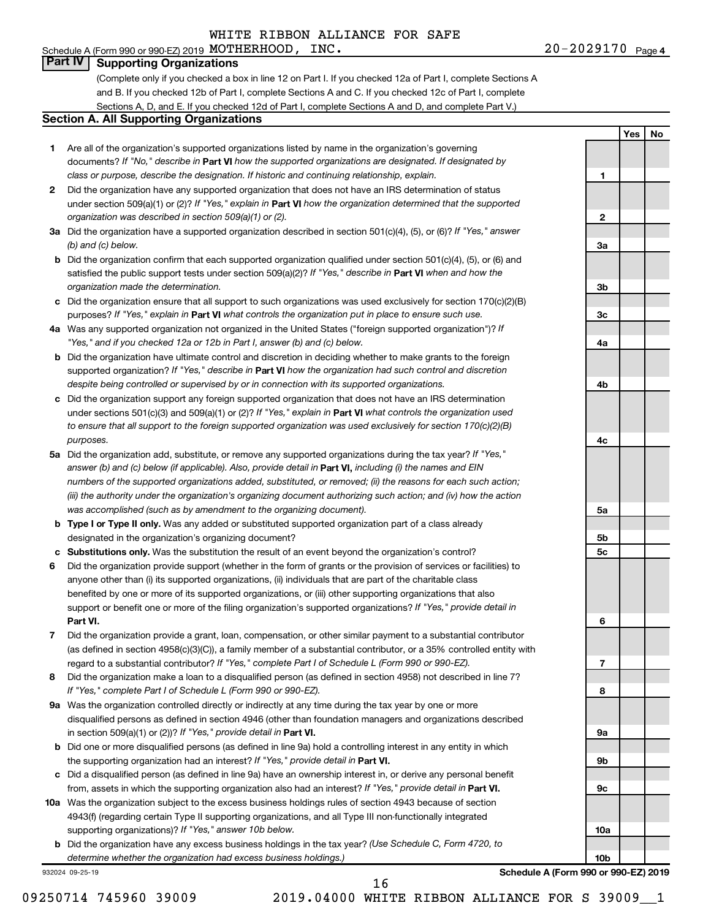### 20-2029170 Page 4 Schedule A (Form 990 or 990-EZ) 2019 MOTHERHOOD, INC.  $20-2029170$  Page

**1**

**2**

**3a**

**3b**

**3c**

**4a**

**4b**

**4c**

**5a**

**5b 5c**

**6**

**7**

**8**

**9a**

**9b**

**9c**

**10a**

**10b**

**Yes No**

### **Part IV Supporting Organizations**

(Complete only if you checked a box in line 12 on Part I. If you checked 12a of Part I, complete Sections A and B. If you checked 12b of Part I, complete Sections A and C. If you checked 12c of Part I, complete Sections A, D, and E. If you checked 12d of Part I, complete Sections A and D, and complete Part V.)

### **Section A. All Supporting Organizations**

- **1** Are all of the organization's supported organizations listed by name in the organization's governing documents? If "No," describe in Part VI how the supported organizations are designated. If designated by *class or purpose, describe the designation. If historic and continuing relationship, explain.*
- **2** Did the organization have any supported organization that does not have an IRS determination of status under section 509(a)(1) or (2)? If "Yes," explain in Part **VI** how the organization determined that the supported *organization was described in section 509(a)(1) or (2).*
- **3a** Did the organization have a supported organization described in section 501(c)(4), (5), or (6)? If "Yes," answer *(b) and (c) below.*
- **b** Did the organization confirm that each supported organization qualified under section 501(c)(4), (5), or (6) and satisfied the public support tests under section 509(a)(2)? If "Yes," describe in Part VI when and how the *organization made the determination.*
- **c** Did the organization ensure that all support to such organizations was used exclusively for section 170(c)(2)(B) purposes? If "Yes," explain in Part VI what controls the organization put in place to ensure such use.
- **4 a** *If* Was any supported organization not organized in the United States ("foreign supported organization")? *"Yes," and if you checked 12a or 12b in Part I, answer (b) and (c) below.*
- **b** Did the organization have ultimate control and discretion in deciding whether to make grants to the foreign supported organization? If "Yes," describe in Part VI how the organization had such control and discretion *despite being controlled or supervised by or in connection with its supported organizations.*
- **c** Did the organization support any foreign supported organization that does not have an IRS determination under sections 501(c)(3) and 509(a)(1) or (2)? If "Yes," explain in Part VI what controls the organization used *to ensure that all support to the foreign supported organization was used exclusively for section 170(c)(2)(B) purposes.*
- **5a** Did the organization add, substitute, or remove any supported organizations during the tax year? If "Yes," answer (b) and (c) below (if applicable). Also, provide detail in **Part VI,** including (i) the names and EIN *numbers of the supported organizations added, substituted, or removed; (ii) the reasons for each such action; (iii) the authority under the organization's organizing document authorizing such action; and (iv) how the action was accomplished (such as by amendment to the organizing document).*
- **b** Type I or Type II only. Was any added or substituted supported organization part of a class already designated in the organization's organizing document?
- **c Substitutions only.**  Was the substitution the result of an event beyond the organization's control?
- **6** Did the organization provide support (whether in the form of grants or the provision of services or facilities) to **Part VI.** support or benefit one or more of the filing organization's supported organizations? If "Yes," provide detail in anyone other than (i) its supported organizations, (ii) individuals that are part of the charitable class benefited by one or more of its supported organizations, or (iii) other supporting organizations that also
- **7** Did the organization provide a grant, loan, compensation, or other similar payment to a substantial contributor regard to a substantial contributor? If "Yes," complete Part I of Schedule L (Form 990 or 990-EZ). (as defined in section 4958(c)(3)(C)), a family member of a substantial contributor, or a 35% controlled entity with
- **8** Did the organization make a loan to a disqualified person (as defined in section 4958) not described in line 7? *If "Yes," complete Part I of Schedule L (Form 990 or 990-EZ).*
- **9 a** Was the organization controlled directly or indirectly at any time during the tax year by one or more in section 509(a)(1) or (2))? If "Yes," provide detail in **Part VI.** disqualified persons as defined in section 4946 (other than foundation managers and organizations described
- **b** Did one or more disqualified persons (as defined in line 9a) hold a controlling interest in any entity in which the supporting organization had an interest? If "Yes," provide detail in Part VI.
- **c** Did a disqualified person (as defined in line 9a) have an ownership interest in, or derive any personal benefit from, assets in which the supporting organization also had an interest? If "Yes," provide detail in Part VI.
- **10 a** Was the organization subject to the excess business holdings rules of section 4943 because of section supporting organizations)? If "Yes," answer 10b below. 4943(f) (regarding certain Type II supporting organizations, and all Type III non-functionally integrated
	- **b** Did the organization have any excess business holdings in the tax year? (Use Schedule C, Form 4720, to *determine whether the organization had excess business holdings.)*

932024 09-25-19

**Schedule A (Form 990 or 990-EZ) 2019**

16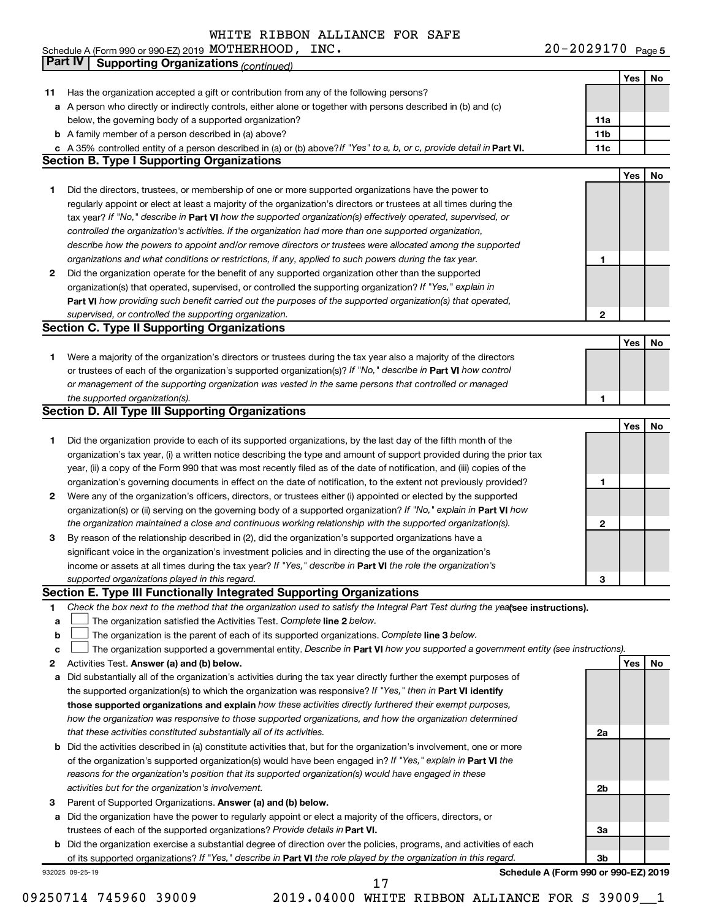20-2029170 Page 5 Schedule A (Form 990 or 990-EZ) 2019 MOTHERHOOD , INC .  $20-2029170$  Page MOTHERHOOD, INC. 20-2029170

|    | <b>Part IV</b>  | <b>Supporting Organizations (continued)</b>                                                                                     |                 |     |     |
|----|-----------------|---------------------------------------------------------------------------------------------------------------------------------|-----------------|-----|-----|
|    |                 |                                                                                                                                 |                 | Yes | No  |
| 11 |                 | Has the organization accepted a gift or contribution from any of the following persons?                                         |                 |     |     |
| а  |                 | A person who directly or indirectly controls, either alone or together with persons described in (b) and (c)                    |                 |     |     |
|    |                 | below, the governing body of a supported organization?                                                                          | 11a             |     |     |
|    |                 | <b>b</b> A family member of a person described in (a) above?                                                                    | 11 <sub>b</sub> |     |     |
|    |                 | c A 35% controlled entity of a person described in (a) or (b) above? If "Yes" to a, b, or c, provide detail in Part VI.         | 11c             |     |     |
|    |                 | <b>Section B. Type I Supporting Organizations</b>                                                                               |                 |     |     |
|    |                 |                                                                                                                                 |                 | Yes | No  |
| 1. |                 | Did the directors, trustees, or membership of one or more supported organizations have the power to                             |                 |     |     |
|    |                 | regularly appoint or elect at least a majority of the organization's directors or trustees at all times during the              |                 |     |     |
|    |                 | tax year? If "No," describe in Part VI how the supported organization(s) effectively operated, supervised, or                   |                 |     |     |
|    |                 | controlled the organization's activities. If the organization had more than one supported organization,                         |                 |     |     |
|    |                 | describe how the powers to appoint and/or remove directors or trustees were allocated among the supported                       |                 |     |     |
|    |                 | organizations and what conditions or restrictions, if any, applied to such powers during the tax year.                          | 1               |     |     |
| 2  |                 | Did the organization operate for the benefit of any supported organization other than the supported                             |                 |     |     |
|    |                 | organization(s) that operated, supervised, or controlled the supporting organization? If "Yes," explain in                      |                 |     |     |
|    |                 | Part VI how providing such benefit carried out the purposes of the supported organization(s) that operated,                     |                 |     |     |
|    |                 | supervised, or controlled the supporting organization.                                                                          | 2               |     |     |
|    |                 | <b>Section C. Type II Supporting Organizations</b>                                                                              |                 |     |     |
|    |                 |                                                                                                                                 |                 | Yes | No  |
| 1. |                 | Were a majority of the organization's directors or trustees during the tax year also a majority of the directors                |                 |     |     |
|    |                 | or trustees of each of the organization's supported organization(s)? If "No," describe in Part VI how control                   |                 |     |     |
|    |                 | or management of the supporting organization was vested in the same persons that controlled or managed                          |                 |     |     |
|    |                 | the supported organization(s).                                                                                                  | 1               |     |     |
|    |                 | <b>Section D. All Type III Supporting Organizations</b>                                                                         |                 |     |     |
|    |                 |                                                                                                                                 |                 | Yes | No  |
| 1. |                 | Did the organization provide to each of its supported organizations, by the last day of the fifth month of the                  |                 |     |     |
|    |                 | organization's tax year, (i) a written notice describing the type and amount of support provided during the prior tax           |                 |     |     |
|    |                 | year, (ii) a copy of the Form 990 that was most recently filed as of the date of notification, and (iii) copies of the          |                 |     |     |
|    |                 | organization's governing documents in effect on the date of notification, to the extent not previously provided?                | 1               |     |     |
| 2  |                 | Were any of the organization's officers, directors, or trustees either (i) appointed or elected by the supported                |                 |     |     |
|    |                 | organization(s) or (ii) serving on the governing body of a supported organization? If "No," explain in Part VI how              |                 |     |     |
|    |                 | the organization maintained a close and continuous working relationship with the supported organization(s).                     | $\mathbf{2}$    |     |     |
| 3  |                 | By reason of the relationship described in (2), did the organization's supported organizations have a                           |                 |     |     |
|    |                 | significant voice in the organization's investment policies and in directing the use of the organization's                      |                 |     |     |
|    |                 | income or assets at all times during the tax year? If "Yes," describe in Part VI the role the organization's                    |                 |     |     |
|    |                 | supported organizations played in this regard.                                                                                  | 3               |     |     |
|    |                 | Section E. Type III Functionally Integrated Supporting Organizations                                                            |                 |     |     |
| 1  |                 | Check the box next to the method that the organization used to satisfy the Integral Part Test during the yealsee instructions). |                 |     |     |
| a  |                 | The organization satisfied the Activities Test. Complete line 2 below.                                                          |                 |     |     |
| b  |                 | The organization is the parent of each of its supported organizations. Complete line 3 below.                                   |                 |     |     |
| c  |                 | The organization supported a governmental entity. Describe in Part VI how you supported a government entity (see instructions). |                 |     |     |
| 2  |                 | Activities Test. Answer (a) and (b) below.                                                                                      |                 | Yes | No. |
| а  |                 | Did substantially all of the organization's activities during the tax year directly further the exempt purposes of              |                 |     |     |
|    |                 | the supported organization(s) to which the organization was responsive? If "Yes," then in Part VI identify                      |                 |     |     |
|    |                 | those supported organizations and explain how these activities directly furthered their exempt purposes,                        |                 |     |     |
|    |                 | how the organization was responsive to those supported organizations, and how the organization determined                       |                 |     |     |
|    |                 | that these activities constituted substantially all of its activities.                                                          | 2a              |     |     |
| b  |                 | Did the activities described in (a) constitute activities that, but for the organization's involvement, one or more             |                 |     |     |
|    |                 | of the organization's supported organization(s) would have been engaged in? If "Yes," explain in Part VI the                    |                 |     |     |
|    |                 | reasons for the organization's position that its supported organization(s) would have engaged in these                          |                 |     |     |
|    |                 | activities but for the organization's involvement.                                                                              | 2b              |     |     |
| 3  |                 | Parent of Supported Organizations. Answer (a) and (b) below.                                                                    |                 |     |     |
| а  |                 | Did the organization have the power to regularly appoint or elect a majority of the officers, directors, or                     |                 |     |     |
|    |                 | trustees of each of the supported organizations? Provide details in Part VI.                                                    | За              |     |     |
|    |                 | <b>b</b> Did the organization exercise a substantial degree of direction over the policies, programs, and activities of each    |                 |     |     |
|    |                 | of its supported organizations? If "Yes," describe in Part VI the role played by the organization in this regard.               | Зb              |     |     |
|    | 932025 09-25-19 | Schedule A (Form 990 or 990-EZ) 2019<br>17                                                                                      |                 |     |     |

<sup>09250714 745960 39009 2019.04000</sup> WHITE RIBBON ALLIANCE FOR S 39009 1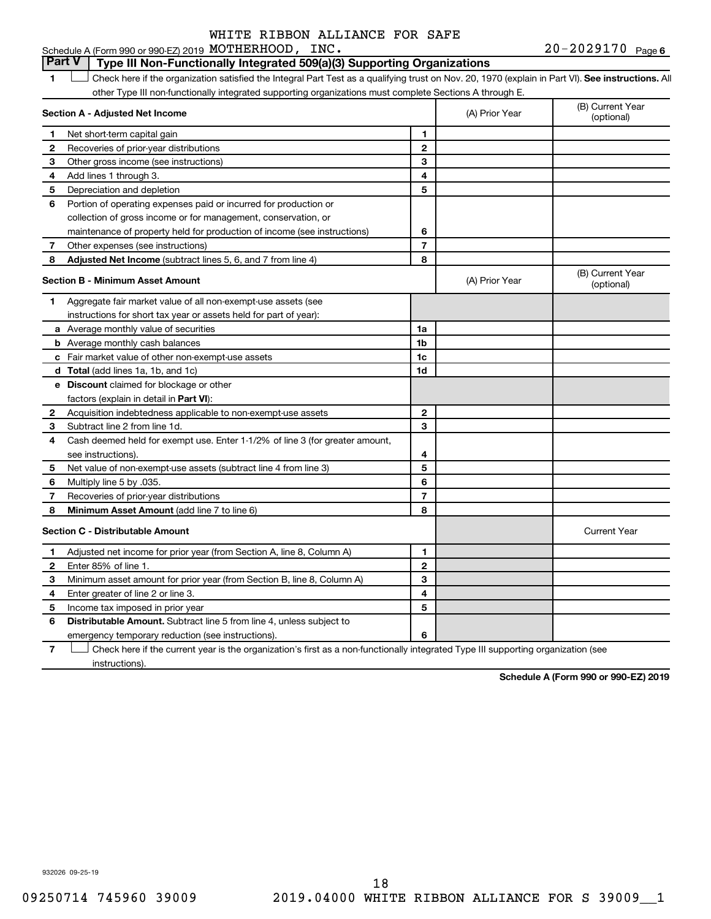### **1 Lett** Check here if the organization satisfied the Integral Part Test as a qualifying trust on Nov. 20, 1970 (explain in Part VI). See instructions. All **Section A - Adjusted Net Income 1 2 3 4 5 6 7 8 1 2 3 4 5 6 7 Adjusted Net Income** (subtract lines 5, 6, and 7 from line 4) **8 8 Section B - Minimum Asset Amount 1 2 3 4 5 6 7 8 a** Average monthly value of securities **b** Average monthly cash balances **c** Fair market value of other non-exempt-use assets **d Total**  (add lines 1a, 1b, and 1c) **e Discount** claimed for blockage or other **1a 1b 1c 1d 2 3 4 5 6 7 8** factors (explain in detail in Part VI): **Minimum Asset Amount**  (add line 7 to line 6) **Section C - Distributable Amount 1 2 3 4 5 6 1 2 3 4 5 6** Distributable Amount. Subtract line 5 from line 4, unless subject to Schedule A (Form 990 or 990-EZ) 2019 MOTHERHOOD , INC .  $20-2029170$  Page other Type III non-functionally integrated supporting organizations must complete Sections A through E. (B) Current Year (A) Prior Year Net short-term capital gain Recoveries of prior-year distributions Other gross income (see instructions) Add lines 1 through 3. Depreciation and depletion Portion of operating expenses paid or incurred for production or collection of gross income or for management, conservation, or maintenance of property held for production of income (see instructions) Other expenses (see instructions) (B) Current Year  $(A)$  Prior Year  $\left\{\n\begin{array}{ccc}\n\end{array}\n\right\}$  (optional) Aggregate fair market value of all non-exempt-use assets (see instructions for short tax year or assets held for part of year): Acquisition indebtedness applicable to non-exempt-use assets Subtract line 2 from line 1d. Cash deemed held for exempt use. Enter 1-1/2% of line 3 (for greater amount, see instructions). Net value of non-exempt-use assets (subtract line 4 from line 3) Multiply line 5 by .035. Recoveries of prior-year distributions Current Year Adjusted net income for prior year (from Section A, line 8, Column A) Enter 85% of line 1. Minimum asset amount for prior year (from Section B, line 8, Column A) Enter greater of line 2 or line 3. Income tax imposed in prior year emergency temporary reduction (see instructions). **Part V Type III Non-Functionally Integrated 509(a)(3) Supporting Organizations**   $\mathbf{f}(\mathbf{r})$

**7** Check here if the current year is the organization's first as a non-functionally integrated Type III supporting organization (see instructions).

**Schedule A (Form 990 or 990-EZ) 2019**

932026 09-25-19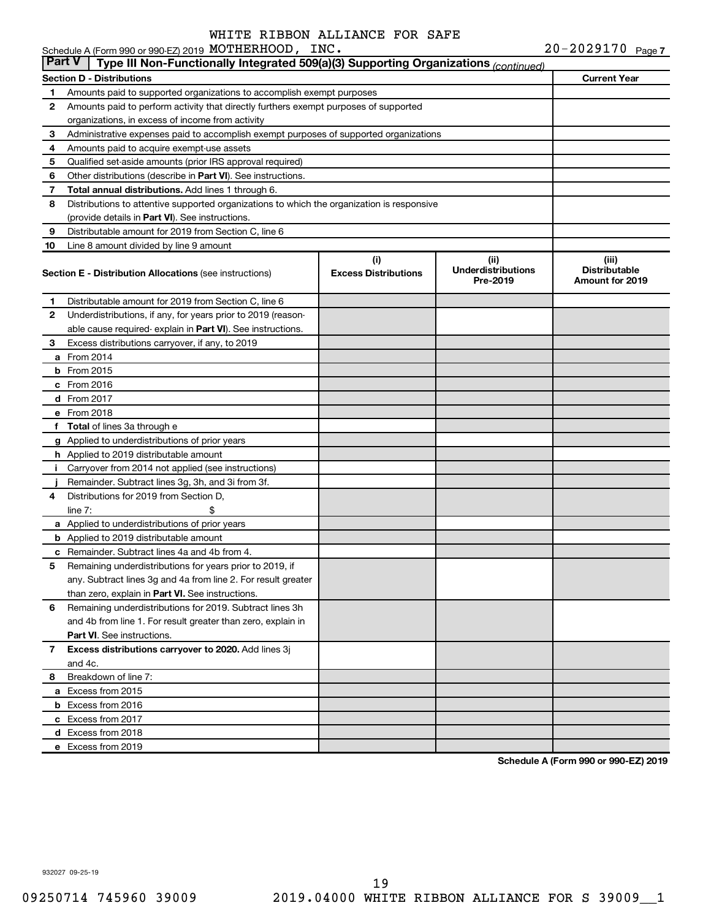|               | Schedule A (Form 990 or 990-EZ) 2019 MOTHERHOOD, INC.                                      |                             |                           | $20 - 2029170$ Page 7  |
|---------------|--------------------------------------------------------------------------------------------|-----------------------------|---------------------------|------------------------|
| <b>Part V</b> | Type III Non-Functionally Integrated 509(a)(3) Supporting Organizations (continued)        |                             |                           |                        |
|               | <b>Section D - Distributions</b>                                                           |                             |                           | <b>Current Year</b>    |
| 1             | Amounts paid to supported organizations to accomplish exempt purposes                      |                             |                           |                        |
| 2             | Amounts paid to perform activity that directly furthers exempt purposes of supported       |                             |                           |                        |
|               | organizations, in excess of income from activity                                           |                             |                           |                        |
| 3             | Administrative expenses paid to accomplish exempt purposes of supported organizations      |                             |                           |                        |
| 4             | Amounts paid to acquire exempt-use assets                                                  |                             |                           |                        |
| 5             | Qualified set-aside amounts (prior IRS approval required)                                  |                             |                           |                        |
| 6             | Other distributions (describe in Part VI). See instructions.                               |                             |                           |                        |
| 7             | Total annual distributions. Add lines 1 through 6.                                         |                             |                           |                        |
| 8             | Distributions to attentive supported organizations to which the organization is responsive |                             |                           |                        |
|               | (provide details in Part VI). See instructions.                                            |                             |                           |                        |
| 9             | Distributable amount for 2019 from Section C, line 6                                       |                             |                           |                        |
| 10            | Line 8 amount divided by line 9 amount                                                     |                             |                           |                        |
|               |                                                                                            | (i)                         | (ii)                      | (iii)                  |
|               | <b>Section E - Distribution Allocations (see instructions)</b>                             | <b>Excess Distributions</b> | <b>Underdistributions</b> | <b>Distributable</b>   |
|               |                                                                                            |                             | Pre-2019                  | <b>Amount for 2019</b> |
| 1.            | Distributable amount for 2019 from Section C, line 6                                       |                             |                           |                        |
| 2             | Underdistributions, if any, for years prior to 2019 (reason-                               |                             |                           |                        |
|               | able cause required-explain in Part VI). See instructions.                                 |                             |                           |                        |
| 3             | Excess distributions carryover, if any, to 2019                                            |                             |                           |                        |
|               | <b>a</b> From 2014                                                                         |                             |                           |                        |
|               | $b$ From 2015                                                                              |                             |                           |                        |
|               | $c$ From 2016                                                                              |                             |                           |                        |
|               | <b>d</b> From 2017                                                                         |                             |                           |                        |
|               | e From 2018                                                                                |                             |                           |                        |
|               | f Total of lines 3a through e                                                              |                             |                           |                        |
|               |                                                                                            |                             |                           |                        |
|               | g Applied to underdistributions of prior years                                             |                             |                           |                        |
|               | <b>h</b> Applied to 2019 distributable amount                                              |                             |                           |                        |
|               | Carryover from 2014 not applied (see instructions)                                         |                             |                           |                        |
|               | Remainder. Subtract lines 3g, 3h, and 3i from 3f.                                          |                             |                           |                        |
| 4             | Distributions for 2019 from Section D,                                                     |                             |                           |                        |
|               | line $7:$                                                                                  |                             |                           |                        |
|               | a Applied to underdistributions of prior years                                             |                             |                           |                        |
|               | <b>b</b> Applied to 2019 distributable amount                                              |                             |                           |                        |
|               | <b>c</b> Remainder. Subtract lines 4a and 4b from 4.                                       |                             |                           |                        |
|               | Remaining underdistributions for years prior to 2019, if                                   |                             |                           |                        |
|               | any. Subtract lines 3g and 4a from line 2. For result greater                              |                             |                           |                        |
|               | than zero, explain in Part VI. See instructions.                                           |                             |                           |                        |
| 6             | Remaining underdistributions for 2019. Subtract lines 3h                                   |                             |                           |                        |
|               | and 4b from line 1. For result greater than zero, explain in                               |                             |                           |                        |
|               | <b>Part VI.</b> See instructions.                                                          |                             |                           |                        |
| 7             | Excess distributions carryover to 2020. Add lines 3j                                       |                             |                           |                        |
|               | and 4c.                                                                                    |                             |                           |                        |
| 8             | Breakdown of line 7:                                                                       |                             |                           |                        |
|               | a Excess from 2015                                                                         |                             |                           |                        |
|               | <b>b</b> Excess from 2016                                                                  |                             |                           |                        |
|               | c Excess from 2017                                                                         |                             |                           |                        |
|               | d Excess from 2018                                                                         |                             |                           |                        |
|               | e Excess from 2019                                                                         |                             |                           |                        |

**Schedule A (Form 990 or 990-EZ) 2019**

932027 09-25-19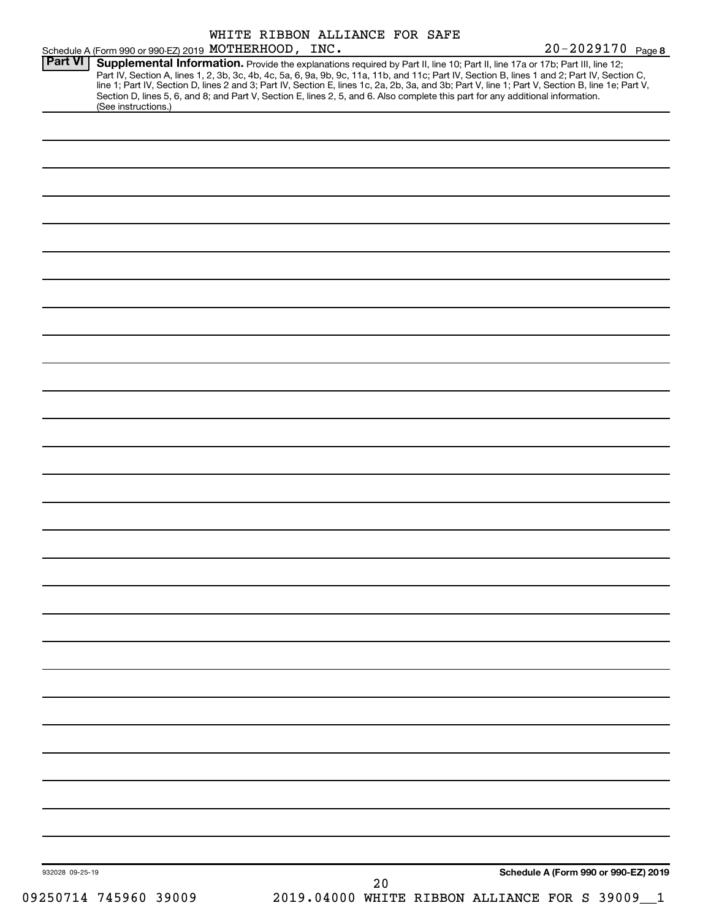| Schedule A (Form 990 or 990-EZ) 2019 MOTHERHOOD, INC.                                                                                                                                                                                                                                                                                                                                                                                                                                                                                                                                                         | WHITE RIBBON ALLIANCE FOR SAFE |    |  | $20 - 2029170$ Page 8                        |
|---------------------------------------------------------------------------------------------------------------------------------------------------------------------------------------------------------------------------------------------------------------------------------------------------------------------------------------------------------------------------------------------------------------------------------------------------------------------------------------------------------------------------------------------------------------------------------------------------------------|--------------------------------|----|--|----------------------------------------------|
| <b>Part VI</b><br>Supplemental Information. Provide the explanations required by Part II, line 10; Part II, line 17a or 17b; Part III, line 12;<br>Part IV, Section A, lines 1, 2, 3b, 3c, 4b, 4c, 5a, 6, 9a, 9b, 9c, 11a, 11b, and 11c; Part IV, Section B, lines 1 and 2; Part IV, Section C,<br>line 1; Part IV, Section D, lines 2 and 3; Part IV, Section E, lines 1c, 2a, 2b, 3a, and 3b; Part V, line 1; Part V, Section B, line 1e; Part V,<br>Section D, lines 5, 6, and 8; and Part V, Section E, lines 2, 5, and 6. Also complete this part for any additional information.<br>(See instructions.) |                                |    |  |                                              |
|                                                                                                                                                                                                                                                                                                                                                                                                                                                                                                                                                                                                               |                                |    |  |                                              |
|                                                                                                                                                                                                                                                                                                                                                                                                                                                                                                                                                                                                               |                                |    |  |                                              |
|                                                                                                                                                                                                                                                                                                                                                                                                                                                                                                                                                                                                               |                                |    |  |                                              |
|                                                                                                                                                                                                                                                                                                                                                                                                                                                                                                                                                                                                               |                                |    |  |                                              |
|                                                                                                                                                                                                                                                                                                                                                                                                                                                                                                                                                                                                               |                                |    |  |                                              |
|                                                                                                                                                                                                                                                                                                                                                                                                                                                                                                                                                                                                               |                                |    |  |                                              |
|                                                                                                                                                                                                                                                                                                                                                                                                                                                                                                                                                                                                               |                                |    |  |                                              |
|                                                                                                                                                                                                                                                                                                                                                                                                                                                                                                                                                                                                               |                                |    |  |                                              |
|                                                                                                                                                                                                                                                                                                                                                                                                                                                                                                                                                                                                               |                                |    |  |                                              |
|                                                                                                                                                                                                                                                                                                                                                                                                                                                                                                                                                                                                               |                                |    |  |                                              |
|                                                                                                                                                                                                                                                                                                                                                                                                                                                                                                                                                                                                               |                                |    |  |                                              |
|                                                                                                                                                                                                                                                                                                                                                                                                                                                                                                                                                                                                               |                                |    |  |                                              |
|                                                                                                                                                                                                                                                                                                                                                                                                                                                                                                                                                                                                               |                                |    |  |                                              |
|                                                                                                                                                                                                                                                                                                                                                                                                                                                                                                                                                                                                               |                                |    |  |                                              |
|                                                                                                                                                                                                                                                                                                                                                                                                                                                                                                                                                                                                               |                                |    |  |                                              |
|                                                                                                                                                                                                                                                                                                                                                                                                                                                                                                                                                                                                               |                                |    |  |                                              |
|                                                                                                                                                                                                                                                                                                                                                                                                                                                                                                                                                                                                               |                                |    |  |                                              |
|                                                                                                                                                                                                                                                                                                                                                                                                                                                                                                                                                                                                               |                                |    |  |                                              |
|                                                                                                                                                                                                                                                                                                                                                                                                                                                                                                                                                                                                               |                                |    |  |                                              |
|                                                                                                                                                                                                                                                                                                                                                                                                                                                                                                                                                                                                               |                                |    |  |                                              |
|                                                                                                                                                                                                                                                                                                                                                                                                                                                                                                                                                                                                               |                                |    |  |                                              |
|                                                                                                                                                                                                                                                                                                                                                                                                                                                                                                                                                                                                               |                                |    |  |                                              |
|                                                                                                                                                                                                                                                                                                                                                                                                                                                                                                                                                                                                               |                                |    |  |                                              |
|                                                                                                                                                                                                                                                                                                                                                                                                                                                                                                                                                                                                               |                                |    |  |                                              |
|                                                                                                                                                                                                                                                                                                                                                                                                                                                                                                                                                                                                               |                                |    |  |                                              |
|                                                                                                                                                                                                                                                                                                                                                                                                                                                                                                                                                                                                               |                                |    |  |                                              |
|                                                                                                                                                                                                                                                                                                                                                                                                                                                                                                                                                                                                               |                                |    |  |                                              |
|                                                                                                                                                                                                                                                                                                                                                                                                                                                                                                                                                                                                               |                                |    |  |                                              |
|                                                                                                                                                                                                                                                                                                                                                                                                                                                                                                                                                                                                               |                                |    |  |                                              |
|                                                                                                                                                                                                                                                                                                                                                                                                                                                                                                                                                                                                               |                                |    |  |                                              |
|                                                                                                                                                                                                                                                                                                                                                                                                                                                                                                                                                                                                               |                                |    |  |                                              |
| 932028 09-25-19                                                                                                                                                                                                                                                                                                                                                                                                                                                                                                                                                                                               |                                |    |  | Schedule A (Form 990 or 990-EZ) 2019         |
| 09250714 745960 39009                                                                                                                                                                                                                                                                                                                                                                                                                                                                                                                                                                                         |                                | 20 |  | 2019.04000 WHITE RIBBON ALLIANCE FOR S 39009 |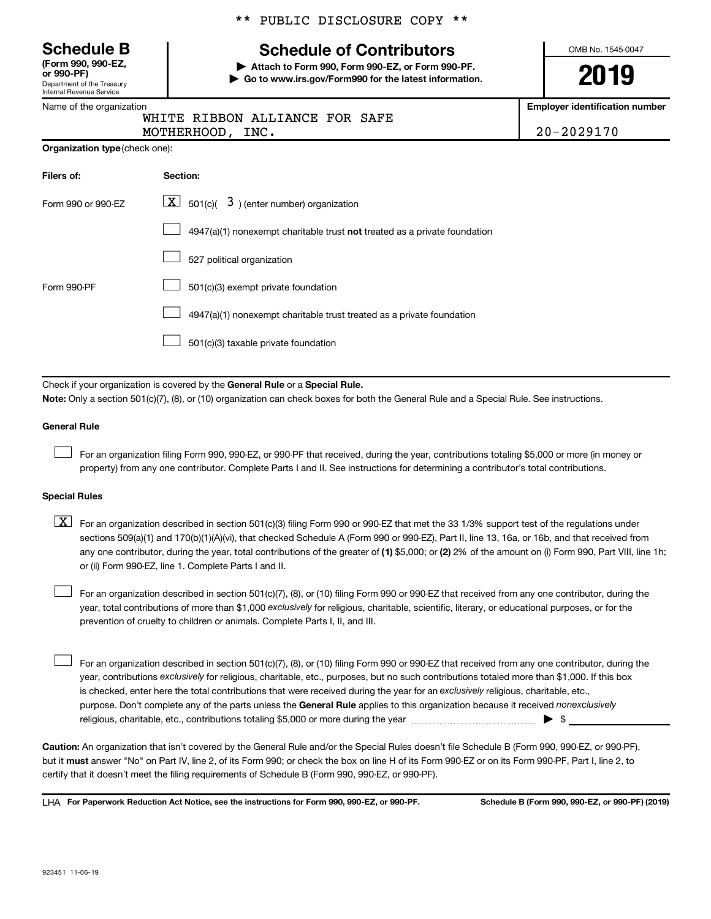Department of the Treasury Internal Revenue Service **(Form 990, 990-EZ,**

Name of the organization

**Organization type** (check one):

### \*\* PUBLIC DISCLOSURE COPY \*\*

# **Schedule B Schedule of Contributors**

**or 990-PF) | Attach to Form 990, Form 990-EZ, or Form 990-PF. | Go to www.irs.gov/Form990 for the latest information.** OMB No. 1545-0047

**2019**

**Employer identification number**

|                  | WHITE RIBBON ALLIANCE FOR SAFE |  |            |
|------------------|--------------------------------|--|------------|
| MOTHERHOOD, INC. |                                |  | 20-2029170 |

| Filers of:         | <b>Section:</b>                                                                    |
|--------------------|------------------------------------------------------------------------------------|
| Form 990 or 990-EZ | $\boxed{\textbf{X}}$ 501(c)( 3) (enter number) organization                        |
|                    | $4947(a)(1)$ nonexempt charitable trust <b>not</b> treated as a private foundation |
|                    | 527 political organization                                                         |
| Form 990-PF        | 501(c)(3) exempt private foundation                                                |
|                    | 4947(a)(1) nonexempt charitable trust treated as a private foundation              |
|                    | 501(c)(3) taxable private foundation                                               |

Check if your organization is covered by the General Rule or a Special Rule. **Note:**  Only a section 501(c)(7), (8), or (10) organization can check boxes for both the General Rule and a Special Rule. See instructions.

### **General Rule**

 $\mathcal{L}^{\text{eff}}$ 

For an organization filing Form 990, 990-EZ, or 990-PF that received, during the year, contributions totaling \$5,000 or more (in money or property) from any one contributor. Complete Parts I and II. See instructions for determining a contributor's total contributions.

### **Special Rules**

any one contributor, during the year, total contributions of the greater of (1) \$5,000; or (2) 2% of the amount on (i) Form 990, Part VIII, line 1h;  $\boxed{\text{X}}$  For an organization described in section 501(c)(3) filing Form 990 or 990-EZ that met the 33 1/3% support test of the regulations under sections 509(a)(1) and 170(b)(1)(A)(vi), that checked Schedule A (Form 990 or 990-EZ), Part II, line 13, 16a, or 16b, and that received from or (ii) Form 990-EZ, line 1. Complete Parts I and II.

year, total contributions of more than \$1,000 *exclusively* for religious, charitable, scientific, literary, or educational purposes, or for the For an organization described in section 501(c)(7), (8), or (10) filing Form 990 or 990-EZ that received from any one contributor, during the prevention of cruelty to children or animals. Complete Parts I, II, and III.  $\mathcal{L}^{\text{eff}}$ 

purpose. Don't complete any of the parts unless the General Rule applies to this organization because it received nonexclusively year, contributions exclusively for religious, charitable, etc., purposes, but no such contributions totaled more than \$1,000. If this box is checked, enter here the total contributions that were received during the year for an exclusively religious, charitable, etc., For an organization described in section 501(c)(7), (8), or (10) filing Form 990 or 990-EZ that received from any one contributor, during the religious, charitable, etc., contributions totaling \$5,000 or more during the year  $\ldots$  $\ldots$  $\ldots$  $\ldots$  $\ldots$  $\ldots$  $\mathcal{L}^{\text{eff}}$ 

**Caution:**  An organization that isn't covered by the General Rule and/or the Special Rules doesn't file Schedule B (Form 990, 990-EZ, or 990-PF),  **must** but it answer "No" on Part IV, line 2, of its Form 990; or check the box on line H of its Form 990-EZ or on its Form 990-PF, Part I, line 2, to certify that it doesn't meet the filing requirements of Schedule B (Form 990, 990-EZ, or 990-PF).

LHA For Paperwork Reduction Act Notice, see the instructions for Form 990, 990-EZ, or 990-PF. Schedule B (Form 990, 990-EZ, or 990-PF) (2019)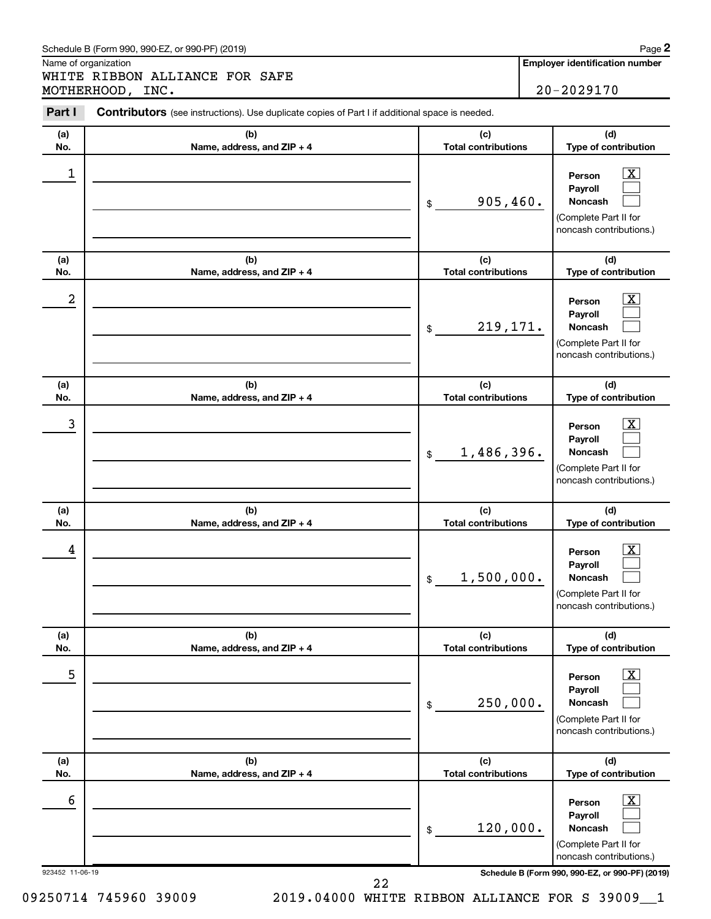### Schedule B (Form 990, 990-EZ, or 990-PF) (2019)

Name of organization

WHITE RIBBON ALLIANCE FOR SAFE MOTHERHOOD, INC. 20-2029170

**Employer identification number**

| Part I               | <b>Contributors</b> (see instructions). Use duplicate copies of Part I if additional space is needed. |                                   |                                                                                                                                          |
|----------------------|-------------------------------------------------------------------------------------------------------|-----------------------------------|------------------------------------------------------------------------------------------------------------------------------------------|
| (a)<br>No.           | (b)<br>Name, address, and ZIP + 4                                                                     | (c)<br><b>Total contributions</b> | (d)<br>Type of contribution                                                                                                              |
| 1                    |                                                                                                       | 905,460.<br>\$                    | $\overline{\mathbf{X}}$<br>Person<br>Payroll<br>Noncash<br>(Complete Part II for<br>noncash contributions.)                              |
| (a)<br>No.           | (b)<br>Name, address, and ZIP + 4                                                                     | (c)<br><b>Total contributions</b> | (d)<br>Type of contribution                                                                                                              |
| 2                    |                                                                                                       | 219,171.<br>\$                    | $\mathbf{X}$<br>Person<br>Payroll<br>Noncash<br>(Complete Part II for<br>noncash contributions.)                                         |
| (a)<br>No.           | (b)<br>Name, address, and ZIP + 4                                                                     | (c)<br><b>Total contributions</b> | (d)<br>Type of contribution                                                                                                              |
| 3                    |                                                                                                       | 1,486,396.<br>$\$$                | $\mathbf{X}$<br>Person<br>Payroll<br>Noncash<br>(Complete Part II for<br>noncash contributions.)                                         |
|                      |                                                                                                       |                                   |                                                                                                                                          |
| (a)<br>No.           | (b)<br>Name, address, and ZIP + 4                                                                     | (c)<br><b>Total contributions</b> | (d)<br>Type of contribution                                                                                                              |
| 4                    |                                                                                                       | 1,500,000.<br>\$                  | $\overline{\mathbf{X}}$<br>Person<br>Payroll<br>Noncash<br>(Complete Part II for<br>noncash contributions.)                              |
| (a)<br>No.           | (b)<br>Name, address, and ZIP + 4                                                                     | (c)<br><b>Total contributions</b> | (d)<br>Type of contribution                                                                                                              |
| 5                    |                                                                                                       | 250,000.<br>\$                    | $\overline{\text{X}}$<br>Person<br>Payroll<br>Noncash<br>(Complete Part II for<br>noncash contributions.)                                |
| (a)<br>No.           | (b)<br>Name, address, and ZIP + 4                                                                     | (c)<br><b>Total contributions</b> | (d)<br>Type of contribution                                                                                                              |
| 6<br>923452 11-06-19 |                                                                                                       | 120,000.<br>\$                    | х<br>Person<br>Payroll<br>Noncash<br>(Complete Part II for<br>noncash contributions.)<br>Schedule B (Form 990, 990-EZ, or 990-PF) (2019) |

09250714 745960 39009 2019.04000 WHITE RIBBON ALLIANCE FOR S 39009\_1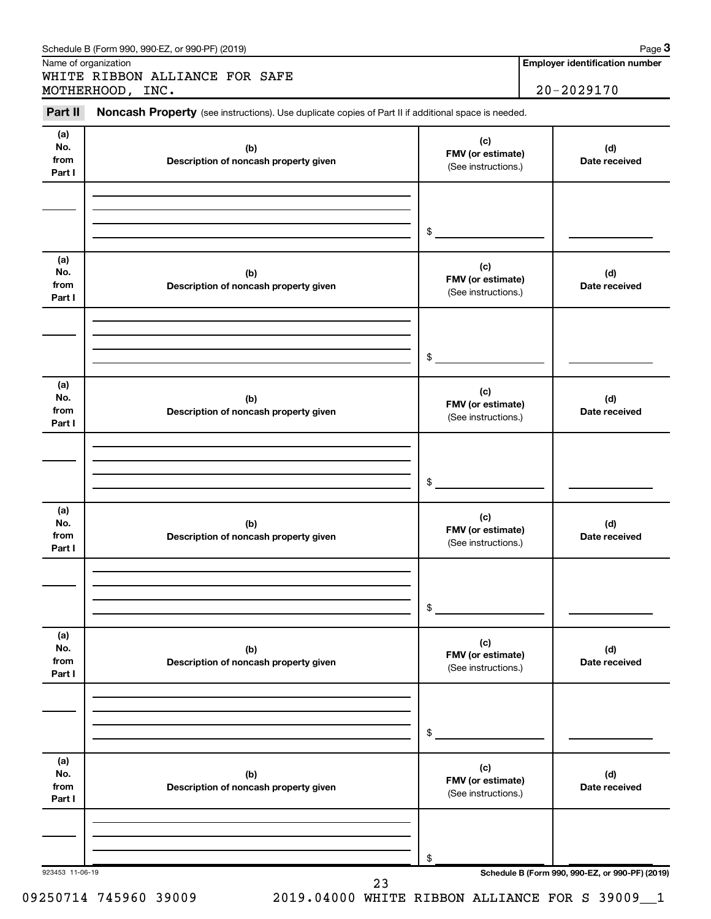| Part II                      | Noncash Property (see instructions). Use duplicate copies of Part II if additional space is needed. |                                                 |                      |
|------------------------------|-----------------------------------------------------------------------------------------------------|-------------------------------------------------|----------------------|
| (a)<br>No.<br>from<br>Part I | (b)<br>Description of noncash property given                                                        | (c)<br>FMV (or estimate)<br>(See instructions.) | (d)<br>Date received |
|                              |                                                                                                     | \$                                              |                      |
| (a)                          |                                                                                                     |                                                 |                      |
| No.<br>from<br>Part I        | (b)<br>Description of noncash property given                                                        | (c)<br>FMV (or estimate)<br>(See instructions.) | (d)<br>Date received |
|                              |                                                                                                     |                                                 |                      |
|                              |                                                                                                     | \$                                              |                      |
| (a)<br>No.<br>from<br>Part I | (b)<br>Description of noncash property given                                                        | (c)<br>FMV (or estimate)<br>(See instructions.) | (d)<br>Date received |
|                              |                                                                                                     |                                                 |                      |
|                              |                                                                                                     | \$                                              |                      |
| (a)<br>No.<br>from<br>Part I | (b)<br>Description of noncash property given                                                        | (c)<br>FMV (or estimate)<br>(See instructions.) | (d)<br>Date received |
|                              |                                                                                                     |                                                 |                      |
|                              |                                                                                                     | \$                                              |                      |
| (a)<br>No.<br>from<br>Part I | (b)<br>Description of noncash property given                                                        | (c)<br>FMV (or estimate)<br>(See instructions.) | (d)<br>Date received |
|                              |                                                                                                     |                                                 |                      |
|                              |                                                                                                     | \$                                              |                      |
| (a)<br>No.<br>from<br>Part I | (b)<br>Description of noncash property given                                                        | (c)<br>FMV (or estimate)<br>(See instructions.) | (d)<br>Date received |
|                              |                                                                                                     |                                                 |                      |
| 923453 11-06-19              |                                                                                                     | \$                                              |                      |

### Schedule B (Form 990, 990-EZ, or 990-PF) (2019)

Name of organization

**Employer identification number**

**3**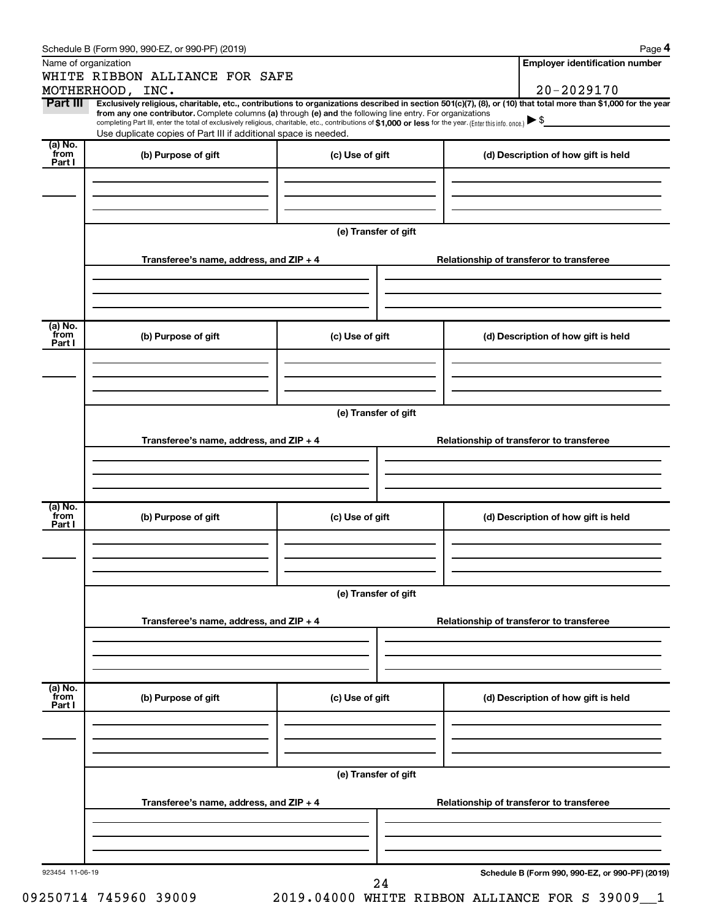|                 | Schedule B (Form 990, 990-EZ, or 990-PF) (2019)                                                                                                                                                                             |                      |                                          | Page 4                                          |  |  |  |  |  |
|-----------------|-----------------------------------------------------------------------------------------------------------------------------------------------------------------------------------------------------------------------------|----------------------|------------------------------------------|-------------------------------------------------|--|--|--|--|--|
|                 | Name of organization                                                                                                                                                                                                        |                      |                                          | <b>Employer identification number</b>           |  |  |  |  |  |
|                 | WHITE RIBBON ALLIANCE FOR SAFE                                                                                                                                                                                              |                      |                                          |                                                 |  |  |  |  |  |
| Part III        | MOTHERHOOD, INC.<br>Exclusively religious, charitable, etc., contributions to organizations described in section 501(c)(7), (8), or (10) that total more than \$1,000 for the year                                          |                      |                                          | 20-2029170                                      |  |  |  |  |  |
|                 | from any one contributor. Complete columns (a) through (e) and the following line entry. For organizations                                                                                                                  |                      |                                          |                                                 |  |  |  |  |  |
|                 | completing Part III, enter the total of exclusively religious, charitable, etc., contributions of \$1,000 or less for the year. (Enter this info. once.)<br>Use duplicate copies of Part III if additional space is needed. |                      |                                          |                                                 |  |  |  |  |  |
| (a) No.         |                                                                                                                                                                                                                             |                      |                                          |                                                 |  |  |  |  |  |
| from<br>Part I  | (b) Purpose of gift                                                                                                                                                                                                         | (c) Use of gift      |                                          | (d) Description of how gift is held             |  |  |  |  |  |
|                 |                                                                                                                                                                                                                             |                      |                                          |                                                 |  |  |  |  |  |
|                 |                                                                                                                                                                                                                             |                      |                                          |                                                 |  |  |  |  |  |
|                 |                                                                                                                                                                                                                             |                      |                                          |                                                 |  |  |  |  |  |
|                 |                                                                                                                                                                                                                             | (e) Transfer of gift |                                          |                                                 |  |  |  |  |  |
|                 |                                                                                                                                                                                                                             |                      |                                          |                                                 |  |  |  |  |  |
|                 | Transferee's name, address, and ZIP + 4                                                                                                                                                                                     |                      | Relationship of transferor to transferee |                                                 |  |  |  |  |  |
|                 |                                                                                                                                                                                                                             |                      |                                          |                                                 |  |  |  |  |  |
|                 |                                                                                                                                                                                                                             |                      |                                          |                                                 |  |  |  |  |  |
|                 |                                                                                                                                                                                                                             |                      |                                          |                                                 |  |  |  |  |  |
| (a) No.         |                                                                                                                                                                                                                             |                      |                                          |                                                 |  |  |  |  |  |
| from<br>Part I  | (b) Purpose of gift                                                                                                                                                                                                         | (c) Use of gift      |                                          | (d) Description of how gift is held             |  |  |  |  |  |
|                 |                                                                                                                                                                                                                             |                      |                                          |                                                 |  |  |  |  |  |
|                 |                                                                                                                                                                                                                             |                      |                                          |                                                 |  |  |  |  |  |
|                 |                                                                                                                                                                                                                             |                      |                                          |                                                 |  |  |  |  |  |
|                 | (e) Transfer of gift                                                                                                                                                                                                        |                      |                                          |                                                 |  |  |  |  |  |
|                 |                                                                                                                                                                                                                             |                      |                                          |                                                 |  |  |  |  |  |
|                 | Transferee's name, address, and ZIP + 4                                                                                                                                                                                     |                      | Relationship of transferor to transferee |                                                 |  |  |  |  |  |
|                 |                                                                                                                                                                                                                             |                      |                                          |                                                 |  |  |  |  |  |
|                 |                                                                                                                                                                                                                             |                      |                                          |                                                 |  |  |  |  |  |
|                 |                                                                                                                                                                                                                             |                      |                                          |                                                 |  |  |  |  |  |
| (a) No.<br>from | (b) Purpose of gift                                                                                                                                                                                                         | (c) Use of gift      |                                          | (d) Description of how gift is held             |  |  |  |  |  |
| Part I          |                                                                                                                                                                                                                             |                      |                                          |                                                 |  |  |  |  |  |
|                 |                                                                                                                                                                                                                             |                      |                                          |                                                 |  |  |  |  |  |
|                 |                                                                                                                                                                                                                             |                      |                                          |                                                 |  |  |  |  |  |
|                 |                                                                                                                                                                                                                             |                      |                                          |                                                 |  |  |  |  |  |
|                 | (e) Transfer of gift                                                                                                                                                                                                        |                      |                                          |                                                 |  |  |  |  |  |
|                 | Transferee's name, address, and ZIP + 4                                                                                                                                                                                     |                      | Relationship of transferor to transferee |                                                 |  |  |  |  |  |
|                 |                                                                                                                                                                                                                             |                      |                                          |                                                 |  |  |  |  |  |
|                 |                                                                                                                                                                                                                             |                      |                                          |                                                 |  |  |  |  |  |
|                 |                                                                                                                                                                                                                             |                      |                                          |                                                 |  |  |  |  |  |
| (a) No.         |                                                                                                                                                                                                                             |                      |                                          |                                                 |  |  |  |  |  |
| from<br>Part I  | (b) Purpose of gift                                                                                                                                                                                                         | (c) Use of gift      |                                          | (d) Description of how gift is held             |  |  |  |  |  |
|                 |                                                                                                                                                                                                                             |                      |                                          |                                                 |  |  |  |  |  |
|                 |                                                                                                                                                                                                                             |                      |                                          |                                                 |  |  |  |  |  |
|                 |                                                                                                                                                                                                                             |                      |                                          |                                                 |  |  |  |  |  |
|                 |                                                                                                                                                                                                                             | (e) Transfer of gift |                                          |                                                 |  |  |  |  |  |
|                 |                                                                                                                                                                                                                             |                      |                                          |                                                 |  |  |  |  |  |
|                 | Transferee's name, address, and ZIP + 4                                                                                                                                                                                     |                      | Relationship of transferor to transferee |                                                 |  |  |  |  |  |
|                 |                                                                                                                                                                                                                             |                      |                                          |                                                 |  |  |  |  |  |
|                 |                                                                                                                                                                                                                             |                      |                                          |                                                 |  |  |  |  |  |
|                 |                                                                                                                                                                                                                             |                      |                                          |                                                 |  |  |  |  |  |
| 923454 11-06-19 |                                                                                                                                                                                                                             |                      |                                          | Schedule B (Form 990, 990-EZ, or 990-PF) (2019) |  |  |  |  |  |
|                 |                                                                                                                                                                                                                             | 24                   |                                          |                                                 |  |  |  |  |  |

09250714 745960 39009 2019.04000 WHITE RIBBON ALLIANCE FOR S 39009\_1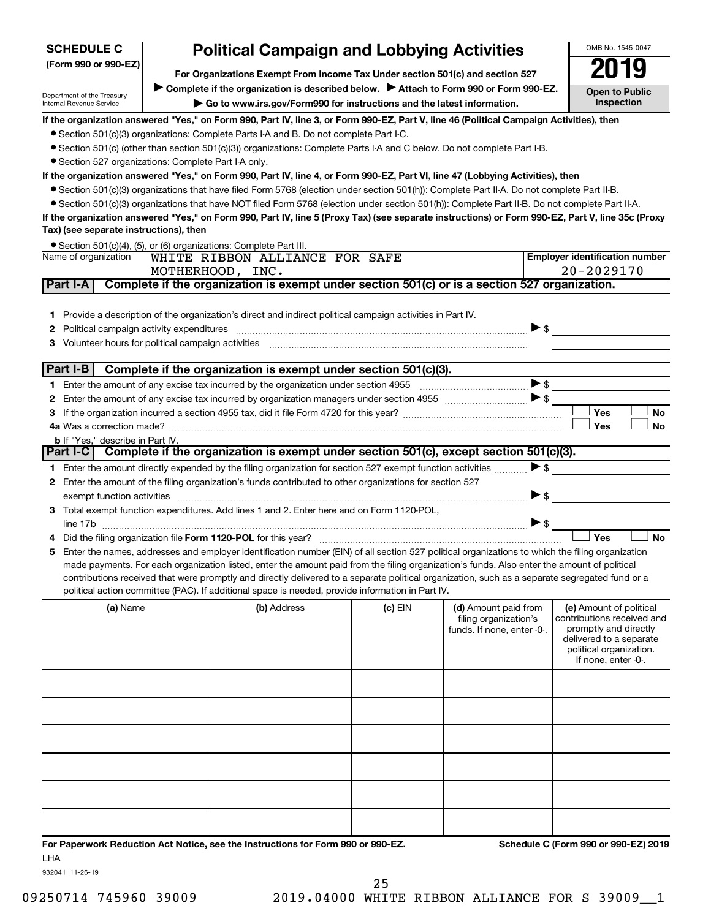| <b>SCHEDULE C</b>                                                                                                      | <b>Political Campaign and Lobbying Activities</b>                                                                                                                                                                                                                                                                                                                                                                                                                                                                                                                                                                                                                                                                                                                                                                                                                                                                                                                                                                                                                                                                                                           |           |                                                                             |                     | OMB No. 1545-0047                                                                                                                                           |
|------------------------------------------------------------------------------------------------------------------------|-------------------------------------------------------------------------------------------------------------------------------------------------------------------------------------------------------------------------------------------------------------------------------------------------------------------------------------------------------------------------------------------------------------------------------------------------------------------------------------------------------------------------------------------------------------------------------------------------------------------------------------------------------------------------------------------------------------------------------------------------------------------------------------------------------------------------------------------------------------------------------------------------------------------------------------------------------------------------------------------------------------------------------------------------------------------------------------------------------------------------------------------------------------|-----------|-----------------------------------------------------------------------------|---------------------|-------------------------------------------------------------------------------------------------------------------------------------------------------------|
| (Form 990 or 990-EZ)                                                                                                   | 19                                                                                                                                                                                                                                                                                                                                                                                                                                                                                                                                                                                                                                                                                                                                                                                                                                                                                                                                                                                                                                                                                                                                                          |           |                                                                             |                     |                                                                                                                                                             |
| Department of the Treasury<br>Internal Revenue Service                                                                 | <b>Open to Public</b><br><b>Inspection</b>                                                                                                                                                                                                                                                                                                                                                                                                                                                                                                                                                                                                                                                                                                                                                                                                                                                                                                                                                                                                                                                                                                                  |           |                                                                             |                     |                                                                                                                                                             |
| · Section 527 organizations: Complete Part I-A only.<br>Tax) (see separate instructions), then<br>Name of organization | Go to www.irs.gov/Form990 for instructions and the latest information.<br>If the organization answered "Yes," on Form 990, Part IV, line 3, or Form 990-EZ, Part V, line 46 (Political Campaign Activities), then<br>• Section 501(c)(3) organizations: Complete Parts I-A and B. Do not complete Part I-C.<br>• Section 501(c) (other than section 501(c)(3)) organizations: Complete Parts I-A and C below. Do not complete Part I-B.<br>If the organization answered "Yes," on Form 990, Part IV, line 4, or Form 990-EZ, Part VI, line 47 (Lobbying Activities), then<br>• Section 501(c)(3) organizations that have filed Form 5768 (election under section 501(h)): Complete Part II-A. Do not complete Part II-B.<br>• Section 501(c)(3) organizations that have NOT filed Form 5768 (election under section 501(h)): Complete Part II-B. Do not complete Part II-A.<br>If the organization answered "Yes," on Form 990, Part IV, line 5 (Proxy Tax) (see separate instructions) or Form 990-EZ, Part V, line 35c (Proxy<br>• Section 501(c)(4), (5), or (6) organizations: Complete Part III.<br>WHITE RIBBON ALLIANCE FOR SAFE<br>MOTHERHOOD, INC. |           |                                                                             |                     | <b>Employer identification number</b><br>20-2029170                                                                                                         |
| Part I-A                                                                                                               | Complete if the organization is exempt under section 501(c) or is a section 527 organization.                                                                                                                                                                                                                                                                                                                                                                                                                                                                                                                                                                                                                                                                                                                                                                                                                                                                                                                                                                                                                                                               |           |                                                                             |                     |                                                                                                                                                             |
| Political campaign activity expenditures<br>2<br>3 Volunteer hours for political campaign activities                   | 1 Provide a description of the organization's direct and indirect political campaign activities in Part IV.                                                                                                                                                                                                                                                                                                                                                                                                                                                                                                                                                                                                                                                                                                                                                                                                                                                                                                                                                                                                                                                 |           |                                                                             | $\triangleright$ \$ |                                                                                                                                                             |
|                                                                                                                        | Part I-B $\vert$ Complete if the organization is exempt under section 501(c)(3).                                                                                                                                                                                                                                                                                                                                                                                                                                                                                                                                                                                                                                                                                                                                                                                                                                                                                                                                                                                                                                                                            |           |                                                                             |                     |                                                                                                                                                             |
|                                                                                                                        |                                                                                                                                                                                                                                                                                                                                                                                                                                                                                                                                                                                                                                                                                                                                                                                                                                                                                                                                                                                                                                                                                                                                                             |           |                                                                             |                     |                                                                                                                                                             |
|                                                                                                                        |                                                                                                                                                                                                                                                                                                                                                                                                                                                                                                                                                                                                                                                                                                                                                                                                                                                                                                                                                                                                                                                                                                                                                             |           |                                                                             |                     |                                                                                                                                                             |
|                                                                                                                        |                                                                                                                                                                                                                                                                                                                                                                                                                                                                                                                                                                                                                                                                                                                                                                                                                                                                                                                                                                                                                                                                                                                                                             |           |                                                                             |                     | Yes<br>No<br>Yes<br>No                                                                                                                                      |
| <b>b</b> If "Yes," describe in Part IV.                                                                                | Part I-C Complete if the organization is exempt under section 501(c), except section 501(c)(3).                                                                                                                                                                                                                                                                                                                                                                                                                                                                                                                                                                                                                                                                                                                                                                                                                                                                                                                                                                                                                                                             |           |                                                                             |                     |                                                                                                                                                             |
|                                                                                                                        | 1 Enter the amount directly expended by the filing organization for section 527 exempt function activities                                                                                                                                                                                                                                                                                                                                                                                                                                                                                                                                                                                                                                                                                                                                                                                                                                                                                                                                                                                                                                                  |           |                                                                             | $\triangleright$ s  |                                                                                                                                                             |
|                                                                                                                        | 2 Enter the amount of the filing organization's funds contributed to other organizations for section 527                                                                                                                                                                                                                                                                                                                                                                                                                                                                                                                                                                                                                                                                                                                                                                                                                                                                                                                                                                                                                                                    |           |                                                                             |                     |                                                                                                                                                             |
|                                                                                                                        | exempt function activities [11,11] activities [11] activities [11] activities [11] activities [11] activities [11] activities [11] activities [11] activities [11] activities [11] activities [11] activities [11] activities                                                                                                                                                                                                                                                                                                                                                                                                                                                                                                                                                                                                                                                                                                                                                                                                                                                                                                                               |           |                                                                             | ▶ \$                |                                                                                                                                                             |
|                                                                                                                        | 3 Total exempt function expenditures. Add lines 1 and 2. Enter here and on Form 1120-POL,                                                                                                                                                                                                                                                                                                                                                                                                                                                                                                                                                                                                                                                                                                                                                                                                                                                                                                                                                                                                                                                                   |           |                                                                             | $\triangleright$ \$ |                                                                                                                                                             |
|                                                                                                                        |                                                                                                                                                                                                                                                                                                                                                                                                                                                                                                                                                                                                                                                                                                                                                                                                                                                                                                                                                                                                                                                                                                                                                             |           |                                                                             |                     | <b>No</b><br>Yes                                                                                                                                            |
|                                                                                                                        | 5 Enter the names, addresses and employer identification number (EIN) of all section 527 political organizations to which the filing organization<br>made payments. For each organization listed, enter the amount paid from the filing organization's funds. Also enter the amount of political<br>contributions received that were promptly and directly delivered to a separate political organization, such as a separate segregated fund or a<br>political action committee (PAC). If additional space is needed, provide information in Part IV.                                                                                                                                                                                                                                                                                                                                                                                                                                                                                                                                                                                                      |           |                                                                             |                     |                                                                                                                                                             |
| (a) Name                                                                                                               | (b) Address                                                                                                                                                                                                                                                                                                                                                                                                                                                                                                                                                                                                                                                                                                                                                                                                                                                                                                                                                                                                                                                                                                                                                 | $(c)$ EIN | (d) Amount paid from<br>filing organization's<br>funds. If none, enter -0-. |                     | (e) Amount of political<br>contributions received and<br>promptly and directly<br>delivered to a separate<br>political organization.<br>If none, enter -0-. |
|                                                                                                                        |                                                                                                                                                                                                                                                                                                                                                                                                                                                                                                                                                                                                                                                                                                                                                                                                                                                                                                                                                                                                                                                                                                                                                             |           |                                                                             |                     |                                                                                                                                                             |

| For Paperwork Reduction Act Notice, see the Instructions for Form 990 or 990-EZ. |  |
|----------------------------------------------------------------------------------|--|
| LHA                                                                              |  |

932041 11-26-19

**Schedule C (Form 990 or 990-EZ) 2019** 

25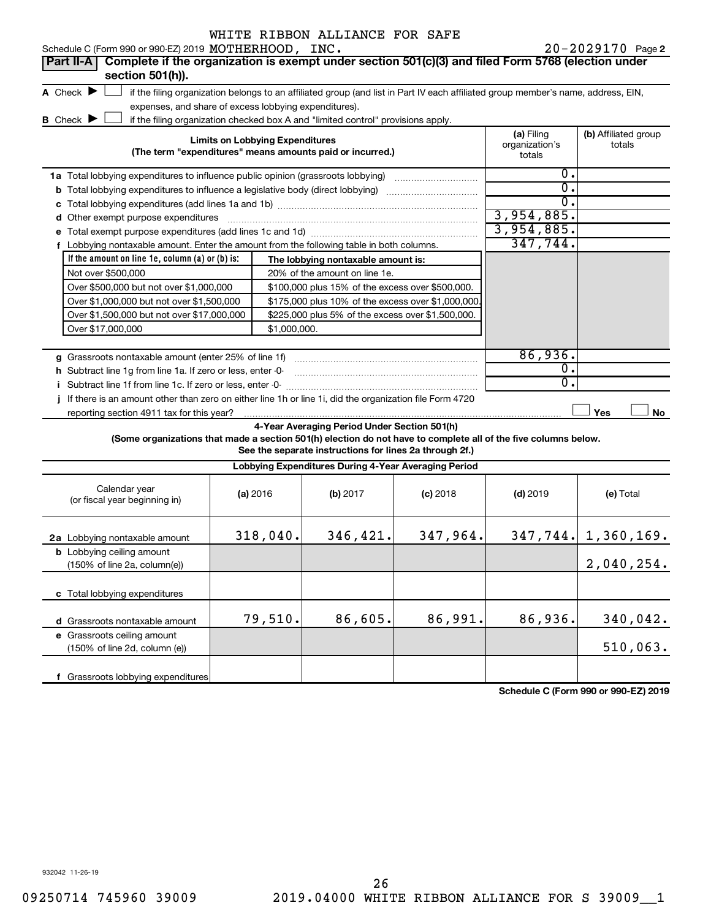# WHITE RIBBON ALLIANCE FOR SAFE<br>MOTHERHOOD INC

|                                      | Schedule C (Form 990 or 990-EZ) 2019 MOTHERHOOD, INC.                                                          |                                                       |                                                                                                                                   |            |                                        | $20 - 2029170$ Page 2          |
|--------------------------------------|----------------------------------------------------------------------------------------------------------------|-------------------------------------------------------|-----------------------------------------------------------------------------------------------------------------------------------|------------|----------------------------------------|--------------------------------|
| Part II-A                            | Complete if the organization is exempt under section 501(c)(3) and filed Form 5768 (election under             |                                                       |                                                                                                                                   |            |                                        |                                |
|                                      | section 501(h)).                                                                                               |                                                       |                                                                                                                                   |            |                                        |                                |
| A Check $\blacktriangleright$        |                                                                                                                |                                                       | if the filing organization belongs to an affiliated group (and list in Part IV each affiliated group member's name, address, EIN, |            |                                        |                                |
|                                      |                                                                                                                | expenses, and share of excess lobbying expenditures). |                                                                                                                                   |            |                                        |                                |
| <b>B</b> Check $\blacktriangleright$ |                                                                                                                |                                                       | if the filing organization checked box A and "limited control" provisions apply.                                                  |            |                                        |                                |
|                                      |                                                                                                                | <b>Limits on Lobbying Expenditures</b>                | (The term "expenditures" means amounts paid or incurred.)                                                                         |            | (a) Filing<br>organization's<br>totals | (b) Affiliated group<br>totals |
|                                      | 1a Total lobbying expenditures to influence public opinion (grassroots lobbying)                               |                                                       |                                                                                                                                   |            | 0.                                     |                                |
|                                      | <b>b</b> Total lobbying expenditures to influence a legislative body (direct lobbying) <i>manumumumum</i>      |                                                       |                                                                                                                                   |            | 0.                                     |                                |
|                                      |                                                                                                                |                                                       |                                                                                                                                   |            | 0.                                     |                                |
| c                                    | d Other exempt purpose expenditures                                                                            |                                                       |                                                                                                                                   |            | 3,954,885.                             |                                |
|                                      |                                                                                                                |                                                       |                                                                                                                                   |            | 3,954,885.                             |                                |
|                                      | f Lobbying nontaxable amount. Enter the amount from the following table in both columns.                       |                                                       |                                                                                                                                   |            | 347,744.                               |                                |
|                                      | If the amount on line 1e, column $(a)$ or $(b)$ is:                                                            |                                                       | The lobbying nontaxable amount is:                                                                                                |            |                                        |                                |
|                                      | Not over \$500,000                                                                                             |                                                       | 20% of the amount on line 1e.                                                                                                     |            |                                        |                                |
|                                      | Over \$500,000 but not over \$1,000,000                                                                        |                                                       | \$100,000 plus 15% of the excess over \$500,000.                                                                                  |            |                                        |                                |
|                                      | Over \$1,000,000 but not over \$1,500,000                                                                      |                                                       | \$175,000 plus 10% of the excess over \$1,000,000                                                                                 |            |                                        |                                |
|                                      | Over \$1,500,000 but not over \$17,000,000                                                                     |                                                       | \$225,000 plus 5% of the excess over \$1,500,000.                                                                                 |            |                                        |                                |
|                                      | Over \$17,000,000                                                                                              | \$1,000,000.                                          |                                                                                                                                   |            |                                        |                                |
|                                      |                                                                                                                |                                                       |                                                                                                                                   |            |                                        |                                |
|                                      | g Grassroots nontaxable amount (enter 25% of line 1f)                                                          |                                                       |                                                                                                                                   |            | 86,936.                                |                                |
|                                      | h Subtract line 1g from line 1a. If zero or less, enter -0-                                                    |                                                       |                                                                                                                                   |            | 0.                                     |                                |
|                                      | Subtract line 1f from line 1c. If zero or less, enter -0-                                                      |                                                       |                                                                                                                                   |            | 0.                                     |                                |
|                                      | If there is an amount other than zero on either line 1h or line 1i, did the organization file Form 4720        |                                                       |                                                                                                                                   |            |                                        |                                |
|                                      | reporting section 4911 tax for this year?                                                                      |                                                       |                                                                                                                                   |            |                                        | Yes<br><b>No</b>               |
|                                      |                                                                                                                |                                                       | 4-Year Averaging Period Under Section 501(h)                                                                                      |            |                                        |                                |
|                                      | (Some organizations that made a section 501(h) election do not have to complete all of the five columns below. |                                                       | See the separate instructions for lines 2a through 2f.)                                                                           |            |                                        |                                |
|                                      |                                                                                                                |                                                       | Lobbying Expenditures During 4-Year Averaging Period                                                                              |            |                                        |                                |
|                                      | Calendar year<br>(or fiscal year beginning in)                                                                 | (a) 2016                                              | (b) 2017                                                                                                                          | $(c)$ 2018 | $(d)$ 2019                             | (e) Total                      |

| (or fiscal year beginning in)                                    | $1 - 7 - 7 - 7$ | $\mathbf{v}$ | $\mathbf{v}$ | $\mathbf{v}$ | $\mathbf{v}$ |
|------------------------------------------------------------------|-----------------|--------------|--------------|--------------|--------------|
| 2a Lobbying nontaxable amount                                    | 318,040.        | 346, 421.    | 347,964.     | 347,744.     | 1,360,169.   |
| <b>b</b> Lobbying ceiling amount<br>(150% of line 2a, column(e)) |                 |              |              |              | 2,040,254.   |
| c Total lobbying expenditures                                    |                 |              |              |              |              |
| d Grassroots nontaxable amount                                   | 79,510.         | 86,605.      | 86,991.      | 86,936.      | 340,042.     |
| e Grassroots ceiling amount<br>(150% of line 2d, column (e))     |                 |              |              |              | 510,063.     |
| Grassroots lobbying expenditures                                 |                 |              |              |              |              |

**Schedule C (Form 990 or 990-EZ) 2019**

932042 11-26-19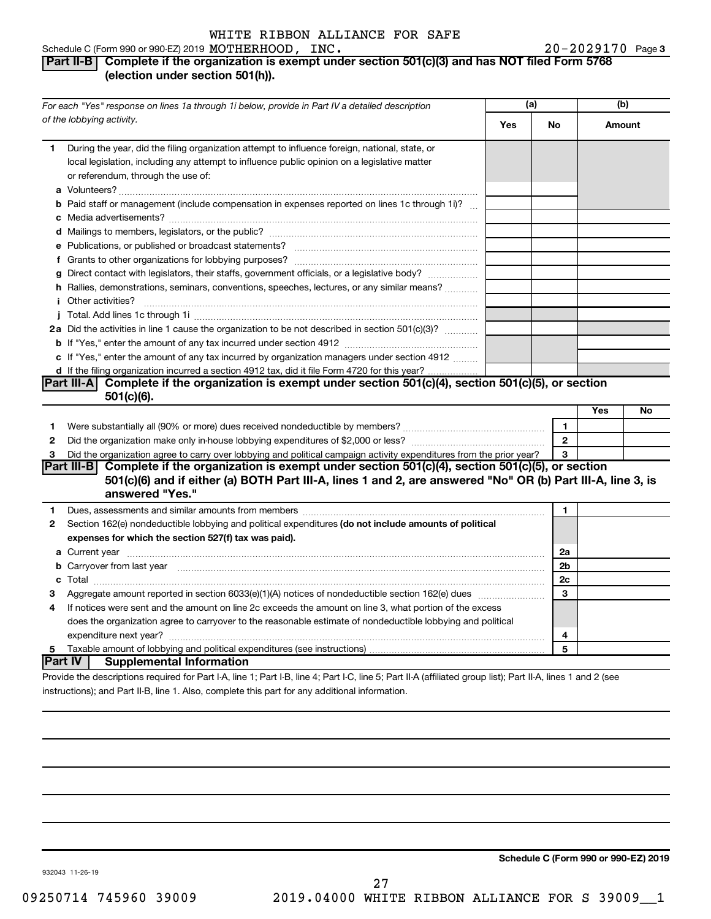### **Part II-B** Complete if the organization is exempt under section 501(c)(3) and has NOT filed Form 5768 **(election under section 501(h)).**

|              | For each "Yes" response on lines 1a through 1i below, provide in Part IV a detailed description                                                                                                                                      | (a) |                |     | (b)    |
|--------------|--------------------------------------------------------------------------------------------------------------------------------------------------------------------------------------------------------------------------------------|-----|----------------|-----|--------|
|              | of the lobbying activity.                                                                                                                                                                                                            | Yes | No             |     | Amount |
| 1            | During the year, did the filing organization attempt to influence foreign, national, state, or<br>local legislation, including any attempt to influence public opinion on a legislative matter<br>or referendum, through the use of: |     |                |     |        |
|              | <b>b</b> Paid staff or management (include compensation in expenses reported on lines 1c through 1i)?                                                                                                                                |     |                |     |        |
|              |                                                                                                                                                                                                                                      |     |                |     |        |
|              |                                                                                                                                                                                                                                      |     |                |     |        |
|              |                                                                                                                                                                                                                                      |     |                |     |        |
|              | g Direct contact with legislators, their staffs, government officials, or a legislative body?                                                                                                                                        |     |                |     |        |
|              | h Rallies, demonstrations, seminars, conventions, speeches, lectures, or any similar means?                                                                                                                                          |     |                |     |        |
|              |                                                                                                                                                                                                                                      |     |                |     |        |
|              |                                                                                                                                                                                                                                      |     |                |     |        |
|              | 2a Did the activities in line 1 cause the organization to be not described in section 501(c)(3)?                                                                                                                                     |     |                |     |        |
|              |                                                                                                                                                                                                                                      |     |                |     |        |
|              | c If "Yes," enter the amount of any tax incurred by organization managers under section 4912                                                                                                                                         |     |                |     |        |
|              | d If the filing organization incurred a section 4912 tax, did it file Form 4720 for this year?                                                                                                                                       |     |                |     |        |
|              | Part III-A Complete if the organization is exempt under section 501(c)(4), section 501(c)(5), or section<br>$501(c)(6)$ .                                                                                                            |     |                |     |        |
|              |                                                                                                                                                                                                                                      |     |                | Yes | No     |
|              |                                                                                                                                                                                                                                      |     |                |     |        |
| 1            |                                                                                                                                                                                                                                      |     | 1              |     |        |
| $\mathbf{2}$ |                                                                                                                                                                                                                                      |     | $\mathbf{2}$   |     |        |
| З            | Did the organization agree to carry over lobbying and political campaign activity expenditures from the prior year?<br>Part III-B Complete if the organization is exempt under section 501(c)(4), section 501(c)(5), or section      |     | 3              |     |        |
|              | 501(c)(6) and if either (a) BOTH Part III-A, lines 1 and 2, are answered "No" OR (b) Part III-A, line 3, is<br>answered "Yes."                                                                                                       |     |                |     |        |
| 1            |                                                                                                                                                                                                                                      |     | 1              |     |        |
| $\mathbf{2}$ | Section 162(e) nondeductible lobbying and political expenditures (do not include amounts of political                                                                                                                                |     |                |     |        |
|              | expenses for which the section 527(f) tax was paid).                                                                                                                                                                                 |     |                |     |        |
|              |                                                                                                                                                                                                                                      |     | 2a             |     |        |
|              | <b>b</b> Carryover from last year manufactured and contain the control of the control of the control of the control of the control of the control of the control of the control of the control of the control of the control of the  |     | 2 <sub>b</sub> |     |        |
|              |                                                                                                                                                                                                                                      |     | 2c             |     |        |
| 3            | Aggregate amount reported in section 6033(e)(1)(A) notices of nondeductible section 162(e) dues                                                                                                                                      |     | 3              |     |        |
| 4            | If notices were sent and the amount on line 2c exceeds the amount on line 3, what portion of the excess                                                                                                                              |     |                |     |        |
|              | does the organization agree to carryover to the reasonable estimate of nondeductible lobbying and political                                                                                                                          |     |                |     |        |
|              |                                                                                                                                                                                                                                      |     | 4              |     |        |
| 5.           |                                                                                                                                                                                                                                      |     | 5              |     |        |
|              | Part IV  <br><b>Supplemental Information</b>                                                                                                                                                                                         |     |                |     |        |
|              | Drovide the descriptions required for Dart LA line 1: Dart LR line 4: Dart LC line 5: Dart ILA (affiliated group list): Dart ILA lines 1 and 2 (see                                                                                  |     |                |     |        |

criptions required for Part I-A, line 1; Part I-B, line 4; Part I-C, line 5; Part II-A (affiliated group list); Part II-A, lines 1 and 2 (see instructions); and Part II-B, line 1. Also, complete this part for any additional information.

**Schedule C (Form 990 or 990-EZ) 2019**

932043 11-26-19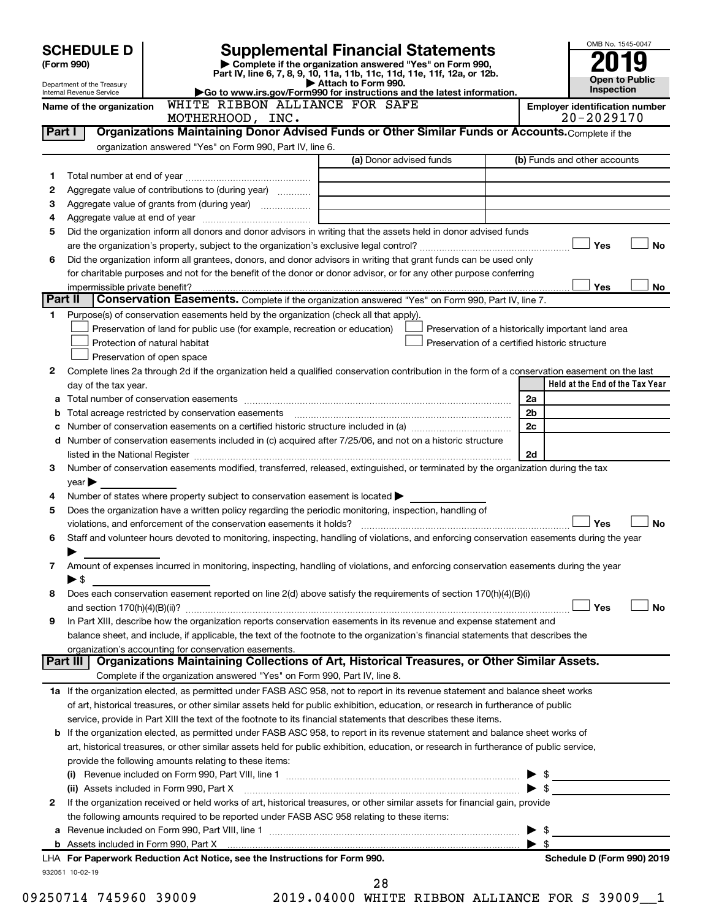|         |                                                        |                                                                                                        |                                                                                                                                                |                              | OMB No. 1545-0047                     |
|---------|--------------------------------------------------------|--------------------------------------------------------------------------------------------------------|------------------------------------------------------------------------------------------------------------------------------------------------|------------------------------|---------------------------------------|
|         | <b>SCHEDULE D</b><br>(Form 990)                        |                                                                                                        | <b>Supplemental Financial Statements</b><br>Complete if the organization answered "Yes" on Form 990,                                           |                              |                                       |
|         |                                                        |                                                                                                        | Part IV, line 6, 7, 8, 9, 10, 11a, 11b, 11c, 11d, 11e, 11f, 12a, or 12b.                                                                       |                              | <b>Open to Public</b>                 |
|         | Department of the Treasury<br>Internal Revenue Service |                                                                                                        | Attach to Form 990.<br>Go to www.irs.gov/Form990 for instructions and the latest information.                                                  |                              | Inspection                            |
|         | Name of the organization                               | WHITE RIBBON ALLIANCE FOR SAFE                                                                         |                                                                                                                                                |                              | <b>Employer identification number</b> |
|         |                                                        | MOTHERHOOD, INC.                                                                                       |                                                                                                                                                |                              | 20-2029170                            |
| Part I  |                                                        |                                                                                                        | Organizations Maintaining Donor Advised Funds or Other Similar Funds or Accounts. Complete if the                                              |                              |                                       |
|         |                                                        | organization answered "Yes" on Form 990, Part IV, line 6.                                              | (a) Donor advised funds                                                                                                                        | (b) Funds and other accounts |                                       |
|         |                                                        |                                                                                                        |                                                                                                                                                |                              |                                       |
| 1<br>2  |                                                        | Aggregate value of contributions to (during year)                                                      |                                                                                                                                                |                              |                                       |
| 3       |                                                        | Aggregate value of grants from (during year)                                                           |                                                                                                                                                |                              |                                       |
| 4       |                                                        |                                                                                                        |                                                                                                                                                |                              |                                       |
| 5       |                                                        |                                                                                                        | Did the organization inform all donors and donor advisors in writing that the assets held in donor advised funds                               |                              |                                       |
|         |                                                        |                                                                                                        |                                                                                                                                                |                              | Yes<br><b>No</b>                      |
| 6       |                                                        |                                                                                                        | Did the organization inform all grantees, donors, and donor advisors in writing that grant funds can be used only                              |                              |                                       |
|         |                                                        |                                                                                                        | for charitable purposes and not for the benefit of the donor or donor advisor, or for any other purpose conferring                             |                              |                                       |
|         | impermissible private benefit?                         |                                                                                                        |                                                                                                                                                |                              | Yes<br>No                             |
| Part II |                                                        |                                                                                                        | Conservation Easements. Complete if the organization answered "Yes" on Form 990, Part IV, line 7.                                              |                              |                                       |
| 1.      |                                                        | Purpose(s) of conservation easements held by the organization (check all that apply).                  |                                                                                                                                                |                              |                                       |
|         |                                                        | Preservation of land for public use (for example, recreation or education)                             | Preservation of a historically important land area<br>Preservation of a certified historic structure                                           |                              |                                       |
|         |                                                        | Protection of natural habitat<br>Preservation of open space                                            |                                                                                                                                                |                              |                                       |
| 2       |                                                        |                                                                                                        | Complete lines 2a through 2d if the organization held a qualified conservation contribution in the form of a conservation easement on the last |                              |                                       |
|         | day of the tax year.                                   |                                                                                                        |                                                                                                                                                |                              | Held at the End of the Tax Year       |
| а       |                                                        |                                                                                                        |                                                                                                                                                | 2a                           |                                       |
| b       |                                                        | Total acreage restricted by conservation easements                                                     |                                                                                                                                                | 2b                           |                                       |
| с       |                                                        |                                                                                                        |                                                                                                                                                | 2c                           |                                       |
|         |                                                        |                                                                                                        | d Number of conservation easements included in (c) acquired after 7/25/06, and not on a historic structure                                     |                              |                                       |
|         |                                                        |                                                                                                        |                                                                                                                                                | 2d                           |                                       |
| 3       |                                                        |                                                                                                        | Number of conservation easements modified, transferred, released, extinguished, or terminated by the organization during the tax               |                              |                                       |
|         | year                                                   |                                                                                                        |                                                                                                                                                |                              |                                       |
| 4       |                                                        | Number of states where property subject to conservation easement is located >                          |                                                                                                                                                |                              |                                       |
| 5       |                                                        | Does the organization have a written policy regarding the periodic monitoring, inspection, handling of |                                                                                                                                                |                              |                                       |
|         |                                                        | violations, and enforcement of the conservation easements it holds?                                    |                                                                                                                                                |                              | Yes<br><b>No</b>                      |
| 6       |                                                        |                                                                                                        | Staff and volunteer hours devoted to monitoring, inspecting, handling of violations, and enforcing conservation easements during the year      |                              |                                       |
|         |                                                        |                                                                                                        | Amount of expenses incurred in monitoring, inspecting, handling of violations, and enforcing conservation easements during the year            |                              |                                       |
| 7       | $\blacktriangleright$ \$                               |                                                                                                        |                                                                                                                                                |                              |                                       |
| 8       |                                                        |                                                                                                        | Does each conservation easement reported on line 2(d) above satisfy the requirements of section 170(h)(4)(B)(i)                                |                              |                                       |
|         |                                                        |                                                                                                        |                                                                                                                                                |                              | Yes<br><b>No</b>                      |
| 9       |                                                        |                                                                                                        | In Part XIII, describe how the organization reports conservation easements in its revenue and expense statement and                            |                              |                                       |
|         |                                                        |                                                                                                        | balance sheet, and include, if applicable, the text of the footnote to the organization's financial statements that describes the              |                              |                                       |
|         |                                                        | organization's accounting for conservation easements.                                                  |                                                                                                                                                |                              |                                       |
|         |                                                        |                                                                                                        | Part III   Organizations Maintaining Collections of Art, Historical Treasures, or Other Similar Assets.                                        |                              |                                       |
|         |                                                        | Complete if the organization answered "Yes" on Form 990, Part IV, line 8.                              |                                                                                                                                                |                              |                                       |
|         |                                                        |                                                                                                        | 1a If the organization elected, as permitted under FASB ASC 958, not to report in its revenue statement and balance sheet works                |                              |                                       |
|         |                                                        |                                                                                                        | of art, historical treasures, or other similar assets held for public exhibition, education, or research in furtherance of public              |                              |                                       |
|         |                                                        |                                                                                                        | service, provide in Part XIII the text of the footnote to its financial statements that describes these items.                                 |                              |                                       |
|         |                                                        |                                                                                                        | <b>b</b> If the organization elected, as permitted under FASB ASC 958, to report in its revenue statement and balance sheet works of           |                              |                                       |
|         |                                                        |                                                                                                        | art, historical treasures, or other similar assets held for public exhibition, education, or research in furtherance of public service,        |                              |                                       |
|         |                                                        | provide the following amounts relating to these items:                                                 |                                                                                                                                                |                              |                                       |
|         |                                                        |                                                                                                        | (ii) Assets included in Form 990, Part X <b>mature in the contract of the Contract of Tana</b> in Tana and Tana in the                         | $\blacktriangleright$ \$     |                                       |
| 2       |                                                        |                                                                                                        | If the organization received or held works of art, historical treasures, or other similar assets for financial gain, provide                   |                              |                                       |
|         |                                                        | the following amounts required to be reported under FASB ASC 958 relating to these items:              |                                                                                                                                                |                              |                                       |
| а       |                                                        |                                                                                                        |                                                                                                                                                | \$                           |                                       |
|         |                                                        |                                                                                                        |                                                                                                                                                | \$                           |                                       |
|         |                                                        | LHA For Paperwork Reduction Act Notice, see the Instructions for Form 990.                             |                                                                                                                                                |                              | Schedule D (Form 990) 2019            |
|         | 932051 10-02-19                                        |                                                                                                        |                                                                                                                                                |                              |                                       |
|         |                                                        |                                                                                                        | 28                                                                                                                                             |                              |                                       |

09250714 745960 39009 2019.04000 WHITE RIBBON ALLIANCE FOR S 39009\_\_1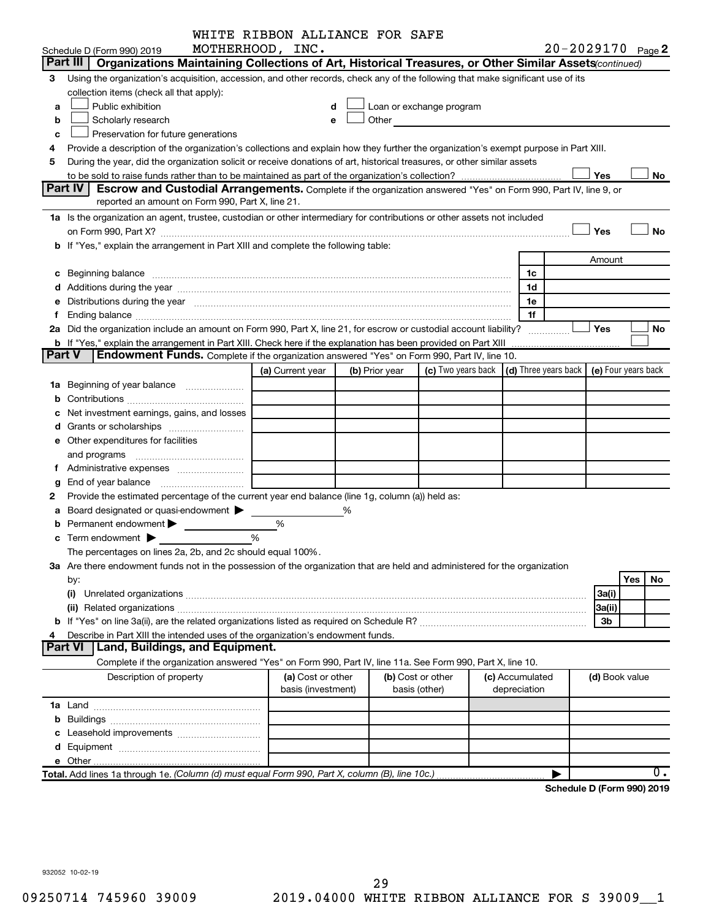|               |                                                                                                                                                                                                                                | WHITE RIBBON ALLIANCE FOR SAFE |   |                |                                                                                                                                                                                                                               |                 |                            |     |                  |
|---------------|--------------------------------------------------------------------------------------------------------------------------------------------------------------------------------------------------------------------------------|--------------------------------|---|----------------|-------------------------------------------------------------------------------------------------------------------------------------------------------------------------------------------------------------------------------|-----------------|----------------------------|-----|------------------|
|               | Schedule D (Form 990) 2019                                                                                                                                                                                                     | MOTHERHOOD, INC.               |   |                |                                                                                                                                                                                                                               |                 | $20 - 2029170$ Page 2      |     |                  |
|               | Part III  <br>Organizations Maintaining Collections of Art, Historical Treasures, or Other Similar Assets (continued)                                                                                                          |                                |   |                |                                                                                                                                                                                                                               |                 |                            |     |                  |
| 3             | Using the organization's acquisition, accession, and other records, check any of the following that make significant use of its                                                                                                |                                |   |                |                                                                                                                                                                                                                               |                 |                            |     |                  |
|               | collection items (check all that apply):                                                                                                                                                                                       |                                |   |                |                                                                                                                                                                                                                               |                 |                            |     |                  |
| a             | Public exhibition                                                                                                                                                                                                              | d                              |   |                | Loan or exchange program                                                                                                                                                                                                      |                 |                            |     |                  |
| b             | Scholarly research                                                                                                                                                                                                             | е                              |   |                | Other and the contract of the contract of the contract of the contract of the contract of the contract of the contract of the contract of the contract of the contract of the contract of the contract of the contract of the |                 |                            |     |                  |
| c             | Preservation for future generations                                                                                                                                                                                            |                                |   |                |                                                                                                                                                                                                                               |                 |                            |     |                  |
| 4             | Provide a description of the organization's collections and explain how they further the organization's exempt purpose in Part XIII.                                                                                           |                                |   |                |                                                                                                                                                                                                                               |                 |                            |     |                  |
| 5             | During the year, did the organization solicit or receive donations of art, historical treasures, or other similar assets                                                                                                       |                                |   |                |                                                                                                                                                                                                                               |                 |                            |     |                  |
|               |                                                                                                                                                                                                                                |                                |   |                |                                                                                                                                                                                                                               |                 | Yes                        |     | No               |
|               | Part IV<br><b>Escrow and Custodial Arrangements.</b> Complete if the organization answered "Yes" on Form 990, Part IV, line 9, or                                                                                              |                                |   |                |                                                                                                                                                                                                                               |                 |                            |     |                  |
|               | reported an amount on Form 990, Part X, line 21.                                                                                                                                                                               |                                |   |                |                                                                                                                                                                                                                               |                 |                            |     |                  |
|               | 1a Is the organization an agent, trustee, custodian or other intermediary for contributions or other assets not included                                                                                                       |                                |   |                |                                                                                                                                                                                                                               |                 |                            |     |                  |
|               |                                                                                                                                                                                                                                |                                |   |                |                                                                                                                                                                                                                               |                 | Yes                        |     | <b>No</b>        |
|               | b If "Yes," explain the arrangement in Part XIII and complete the following table:                                                                                                                                             |                                |   |                |                                                                                                                                                                                                                               |                 |                            |     |                  |
|               |                                                                                                                                                                                                                                |                                |   |                |                                                                                                                                                                                                                               |                 | Amount                     |     |                  |
|               |                                                                                                                                                                                                                                |                                |   |                |                                                                                                                                                                                                                               | 1c              |                            |     |                  |
|               |                                                                                                                                                                                                                                |                                |   |                |                                                                                                                                                                                                                               | 1d              |                            |     |                  |
|               | e Distributions during the year manufactured and continuum control of the control of the control of the state of the state of the control of the control of the control of the control of the control of the control of the co |                                |   |                |                                                                                                                                                                                                                               | 1e              |                            |     |                  |
| Ť.            |                                                                                                                                                                                                                                |                                |   |                |                                                                                                                                                                                                                               | 1f              |                            |     |                  |
|               | 2a Did the organization include an amount on Form 990, Part X, line 21, for escrow or custodial account liability?                                                                                                             |                                |   |                |                                                                                                                                                                                                                               |                 | Yes                        |     | No               |
|               | <b>b</b> If "Yes," explain the arrangement in Part XIII. Check here if the explanation has been provided on Part XIII                                                                                                          |                                |   |                |                                                                                                                                                                                                                               |                 |                            |     |                  |
| <b>Part V</b> | <b>Endowment Funds.</b> Complete if the organization answered "Yes" on Form 990, Part IV, line 10.                                                                                                                             |                                |   |                |                                                                                                                                                                                                                               |                 |                            |     |                  |
|               |                                                                                                                                                                                                                                | (a) Current year               |   | (b) Prior year | (c) Two years back $\vert$ (d) Three years back $\vert$                                                                                                                                                                       |                 | (e) Four years back        |     |                  |
|               | <b>1a</b> Beginning of year balance <i>manumumum</i>                                                                                                                                                                           |                                |   |                |                                                                                                                                                                                                                               |                 |                            |     |                  |
|               |                                                                                                                                                                                                                                |                                |   |                |                                                                                                                                                                                                                               |                 |                            |     |                  |
|               | c Net investment earnings, gains, and losses                                                                                                                                                                                   |                                |   |                |                                                                                                                                                                                                                               |                 |                            |     |                  |
|               |                                                                                                                                                                                                                                |                                |   |                |                                                                                                                                                                                                                               |                 |                            |     |                  |
|               | e Other expenditures for facilities                                                                                                                                                                                            |                                |   |                |                                                                                                                                                                                                                               |                 |                            |     |                  |
|               |                                                                                                                                                                                                                                |                                |   |                |                                                                                                                                                                                                                               |                 |                            |     |                  |
|               | f Administrative expenses                                                                                                                                                                                                      |                                |   |                |                                                                                                                                                                                                                               |                 |                            |     |                  |
|               | <b>g</b> End of year balance $\ldots$                                                                                                                                                                                          |                                |   |                |                                                                                                                                                                                                                               |                 |                            |     |                  |
| 2.            | Provide the estimated percentage of the current year end balance (line 1g, column (a)) held as:                                                                                                                                |                                |   |                |                                                                                                                                                                                                                               |                 |                            |     |                  |
|               | a Board designated or quasi-endowment >                                                                                                                                                                                        |                                | % |                |                                                                                                                                                                                                                               |                 |                            |     |                  |
|               | Permanent endowment >                                                                                                                                                                                                          | %                              |   |                |                                                                                                                                                                                                                               |                 |                            |     |                  |
|               | <b>c</b> Term endowment $\blacktriangleright$                                                                                                                                                                                  | $\frac{0}{0}$                  |   |                |                                                                                                                                                                                                                               |                 |                            |     |                  |
|               | The percentages on lines 2a, 2b, and 2c should equal 100%.                                                                                                                                                                     |                                |   |                |                                                                                                                                                                                                                               |                 |                            |     |                  |
|               | 3a Are there endowment funds not in the possession of the organization that are held and administered for the organization                                                                                                     |                                |   |                |                                                                                                                                                                                                                               |                 |                            |     |                  |
|               | by:                                                                                                                                                                                                                            |                                |   |                |                                                                                                                                                                                                                               |                 |                            | Yes | No               |
|               | (i)                                                                                                                                                                                                                            |                                |   |                |                                                                                                                                                                                                                               |                 | 3a(i)                      |     |                  |
|               |                                                                                                                                                                                                                                |                                |   |                |                                                                                                                                                                                                                               |                 | 3a(ii)                     |     |                  |
|               |                                                                                                                                                                                                                                |                                |   |                |                                                                                                                                                                                                                               |                 | 3b                         |     |                  |
| 4             | Describe in Part XIII the intended uses of the organization's endowment funds.                                                                                                                                                 |                                |   |                |                                                                                                                                                                                                                               |                 |                            |     |                  |
|               | Land, Buildings, and Equipment.<br><b>Part VI</b>                                                                                                                                                                              |                                |   |                |                                                                                                                                                                                                                               |                 |                            |     |                  |
|               | Complete if the organization answered "Yes" on Form 990, Part IV, line 11a. See Form 990, Part X, line 10.                                                                                                                     |                                |   |                |                                                                                                                                                                                                                               |                 |                            |     |                  |
|               | Description of property                                                                                                                                                                                                        | (a) Cost or other              |   |                | (b) Cost or other                                                                                                                                                                                                             | (c) Accumulated | (d) Book value             |     |                  |
|               |                                                                                                                                                                                                                                | basis (investment)             |   |                | basis (other)                                                                                                                                                                                                                 | depreciation    |                            |     |                  |
|               |                                                                                                                                                                                                                                |                                |   |                |                                                                                                                                                                                                                               |                 |                            |     |                  |
|               |                                                                                                                                                                                                                                |                                |   |                |                                                                                                                                                                                                                               |                 |                            |     |                  |
|               |                                                                                                                                                                                                                                |                                |   |                |                                                                                                                                                                                                                               |                 |                            |     |                  |
|               |                                                                                                                                                                                                                                |                                |   |                |                                                                                                                                                                                                                               |                 |                            |     |                  |
|               |                                                                                                                                                                                                                                |                                |   |                |                                                                                                                                                                                                                               |                 |                            |     |                  |
|               | Total. Add lines 1a through 1e. (Column (d) must equal Form 990, Part X, column (B), line 10c.)                                                                                                                                |                                |   |                |                                                                                                                                                                                                                               |                 |                            |     | $\overline{0}$ . |
|               |                                                                                                                                                                                                                                |                                |   |                |                                                                                                                                                                                                                               |                 | Schedule D (Form 990) 2019 |     |                  |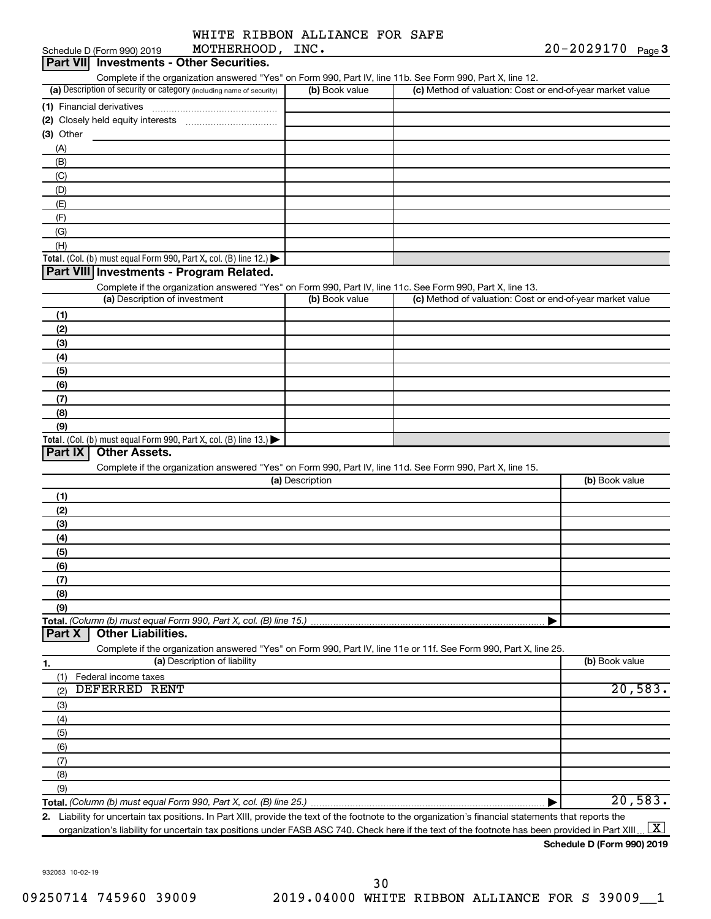|  | WHITE RIBBON ALLIANCE FOR SAFE |  |
|--|--------------------------------|--|
|  |                                |  |

|           | Schedule D (Form 990) 2019    | MOTHERHOOD, INC.                                                     |                 |                                                                                                                                                      | $20 - 2029170$ Page 3 |
|-----------|-------------------------------|----------------------------------------------------------------------|-----------------|------------------------------------------------------------------------------------------------------------------------------------------------------|-----------------------|
|           |                               | Part VII Investments - Other Securities.                             |                 |                                                                                                                                                      |                       |
|           |                               |                                                                      |                 | Complete if the organization answered "Yes" on Form 990, Part IV, line 11b. See Form 990, Part X, line 12.                                           |                       |
|           |                               | (a) Description of security or category (including name of security) | (b) Book value  | (c) Method of valuation: Cost or end-of-year market value                                                                                            |                       |
|           |                               |                                                                      |                 |                                                                                                                                                      |                       |
|           |                               |                                                                      |                 |                                                                                                                                                      |                       |
|           |                               |                                                                      |                 |                                                                                                                                                      |                       |
| (3) Other |                               |                                                                      |                 |                                                                                                                                                      |                       |
| (A)       |                               |                                                                      |                 |                                                                                                                                                      |                       |
| (B)       |                               |                                                                      |                 |                                                                                                                                                      |                       |
| (C)       |                               |                                                                      |                 |                                                                                                                                                      |                       |
| (D)       |                               |                                                                      |                 |                                                                                                                                                      |                       |
| (E)       |                               |                                                                      |                 |                                                                                                                                                      |                       |
| (F)       |                               |                                                                      |                 |                                                                                                                                                      |                       |
| (G)       |                               |                                                                      |                 |                                                                                                                                                      |                       |
| (H)       |                               |                                                                      |                 |                                                                                                                                                      |                       |
|           |                               | Total. (Col. (b) must equal Form 990, Part X, col. (B) line 12.)     |                 |                                                                                                                                                      |                       |
|           |                               | Part VIII Investments - Program Related.                             |                 |                                                                                                                                                      |                       |
|           |                               |                                                                      |                 |                                                                                                                                                      |                       |
|           | (a) Description of investment |                                                                      |                 | Complete if the organization answered "Yes" on Form 990, Part IV, line 11c. See Form 990, Part X, line 13.                                           |                       |
|           |                               |                                                                      | (b) Book value  | (c) Method of valuation: Cost or end-of-year market value                                                                                            |                       |
| (1)       |                               |                                                                      |                 |                                                                                                                                                      |                       |
| (2)       |                               |                                                                      |                 |                                                                                                                                                      |                       |
| (3)       |                               |                                                                      |                 |                                                                                                                                                      |                       |
| (4)       |                               |                                                                      |                 |                                                                                                                                                      |                       |
| (5)       |                               |                                                                      |                 |                                                                                                                                                      |                       |
| (6)       |                               |                                                                      |                 |                                                                                                                                                      |                       |
| (7)       |                               |                                                                      |                 |                                                                                                                                                      |                       |
| (8)       |                               |                                                                      |                 |                                                                                                                                                      |                       |
|           |                               |                                                                      |                 |                                                                                                                                                      |                       |
| (9)       |                               |                                                                      |                 |                                                                                                                                                      |                       |
| Part IX   | <b>Other Assets.</b>          | Total. (Col. (b) must equal Form 990, Part X, col. (B) line 13.)     |                 |                                                                                                                                                      |                       |
|           |                               |                                                                      |                 |                                                                                                                                                      |                       |
|           |                               |                                                                      |                 | Complete if the organization answered "Yes" on Form 990, Part IV, line 11d. See Form 990, Part X, line 15.                                           |                       |
|           |                               |                                                                      | (a) Description |                                                                                                                                                      | (b) Book value        |
| (1)       |                               |                                                                      |                 |                                                                                                                                                      |                       |
| (2)       |                               |                                                                      |                 |                                                                                                                                                      |                       |
| (3)       |                               |                                                                      |                 |                                                                                                                                                      |                       |
| (4)       |                               |                                                                      |                 |                                                                                                                                                      |                       |
| (5)       |                               |                                                                      |                 |                                                                                                                                                      |                       |
| (6)       |                               |                                                                      |                 |                                                                                                                                                      |                       |
| (7)       |                               |                                                                      |                 |                                                                                                                                                      |                       |
| (8)       |                               |                                                                      |                 |                                                                                                                                                      |                       |
|           |                               |                                                                      |                 |                                                                                                                                                      |                       |
| (9)       |                               |                                                                      |                 |                                                                                                                                                      |                       |
|           |                               | Total. (Column (b) must equal Form 990, Part X, col. (B) line 15.)   |                 |                                                                                                                                                      |                       |
| Part X    | <b>Other Liabilities.</b>     |                                                                      |                 |                                                                                                                                                      |                       |
|           |                               |                                                                      |                 | Complete if the organization answered "Yes" on Form 990, Part IV, line 11e or 11f. See Form 990, Part X, line 25.                                    |                       |
| 1.        |                               | (a) Description of liability                                         |                 |                                                                                                                                                      | (b) Book value        |
| (1)       | Federal income taxes          |                                                                      |                 |                                                                                                                                                      |                       |
| (2)       | DEFERRED RENT                 |                                                                      |                 |                                                                                                                                                      | 20,583.               |
| (3)       |                               |                                                                      |                 |                                                                                                                                                      |                       |
| (4)       |                               |                                                                      |                 |                                                                                                                                                      |                       |
| (5)       |                               |                                                                      |                 |                                                                                                                                                      |                       |
| (6)       |                               |                                                                      |                 |                                                                                                                                                      |                       |
| (7)       |                               |                                                                      |                 |                                                                                                                                                      |                       |
|           |                               |                                                                      |                 |                                                                                                                                                      |                       |
| (8)       |                               |                                                                      |                 |                                                                                                                                                      |                       |
| (9)       |                               |                                                                      |                 |                                                                                                                                                      |                       |
|           |                               |                                                                      |                 |                                                                                                                                                      | 20,583.               |
|           |                               |                                                                      |                 | 2. Liability for uncertain tax positions. In Part XIII, provide the text of the footnote to the organization's financial statements that reports the | ॎ⊷                    |

organization's liability for uncertain tax positions under FASB ASC 740. Check here if the text of the footnote has been provided in Part XIII…  $\boxed{\mathrm{X}}$ 

**Schedule D (Form 990) 2019**

932053 10-02-19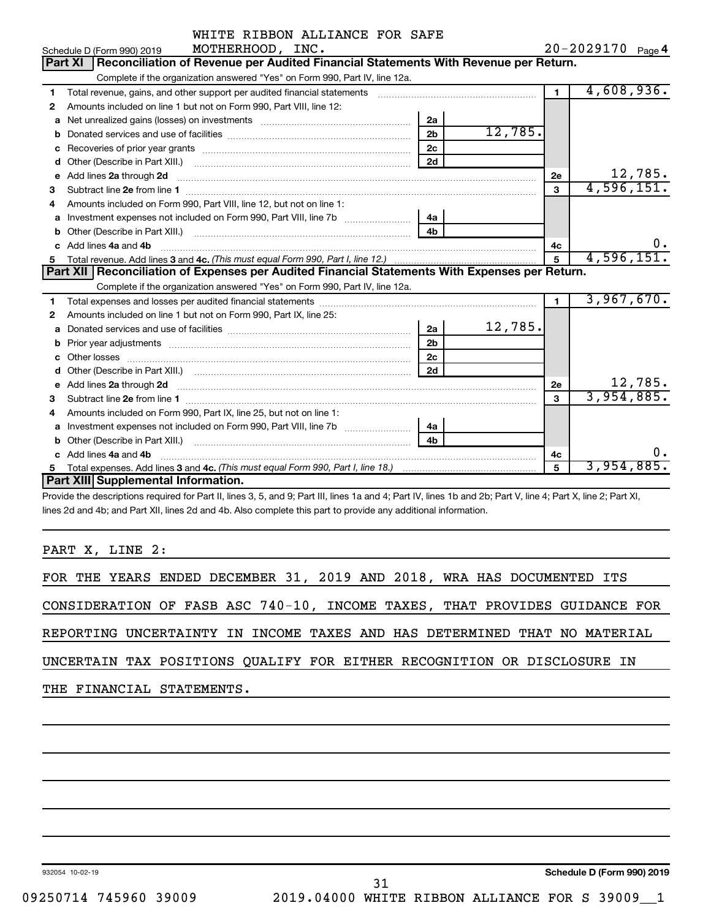| WHITE RIBBON ALLIANCE FOR SAFE                                                                        |                           |                |                   |
|-------------------------------------------------------------------------------------------------------|---------------------------|----------------|-------------------|
| MOTHERHOOD, INC.<br>Schedule D (Form 990) 2019                                                        |                           |                | 20-2029170 Page 4 |
| Reconciliation of Revenue per Audited Financial Statements With Revenue per Return.<br><b>Part XI</b> |                           |                |                   |
| Complete if the organization answered "Yes" on Form 990, Part IV, line 12a.                           |                           |                |                   |
| Total revenue, gains, and other support per audited financial statements<br>1                         |                           | $\mathbf{1}$   | 4,608,936.        |
| Amounts included on line 1 but not on Form 990, Part VIII, line 12:<br>2                              |                           |                |                   |
| a                                                                                                     | 2a                        |                |                   |
| b                                                                                                     | 12,785.<br>2 <sub>b</sub> |                |                   |
|                                                                                                       | 2c                        |                |                   |
| d                                                                                                     | 2d                        |                |                   |
| Add lines 2a through 2d<br>e                                                                          |                           | 2e             | 12,785.           |
| Subtract line 2e from line 1 <b>manufacture in the contract of the 2e</b> from line 1<br>З            |                           | 3              | 4,596,151.        |
| Amounts included on Form 990, Part VIII, line 12, but not on line 1:<br>4                             |                           |                |                   |
| a                                                                                                     | 4a                        |                |                   |
| b                                                                                                     | 4 <sub>h</sub>            |                |                   |
| Add lines 4a and 4b                                                                                   |                           | 4c             | υ.                |
|                                                                                                       | $\overline{5}$            | 4,596,151.     |                   |
| Part XII   Reconciliation of Expenses per Audited Financial Statements With Expenses per Return.      |                           |                |                   |
| Complete if the organization answered "Yes" on Form 990, Part IV, line 12a.                           |                           |                |                   |
| 1                                                                                                     |                           | $\blacksquare$ | 3,967,670.        |
| Amounts included on line 1 but not on Form 990, Part IX, line 25:<br>2                                |                           |                |                   |
| a                                                                                                     | 12,785.<br>2a             |                |                   |
| b                                                                                                     | 2 <sub>b</sub>            |                |                   |
| с                                                                                                     | 2c                        |                |                   |
|                                                                                                       | 2d                        |                |                   |
|                                                                                                       |                           | 2e             | 12,785.           |
| З                                                                                                     |                           | 3              | 3,954,885.        |
| Amounts included on Form 990, Part IX, line 25, but not on line 1:<br>4                               |                           |                |                   |
| a                                                                                                     | 4a                        |                |                   |
| b                                                                                                     | 4b                        |                |                   |
| c Add lines 4a and 4b                                                                                 |                           | 4с             |                   |
| 5                                                                                                     |                           | 5              | 3,954,885.        |
| Part XIII Supplemental Information.                                                                   |                           |                |                   |

Provide the descriptions required for Part II, lines 3, 5, and 9; Part III, lines 1a and 4; Part IV, lines 1b and 2b; Part V, line 4; Part X, line 2; Part XI, lines 2d and 4b; and Part XII, lines 2d and 4b. Also complete this part to provide any additional information.

PART X, LINE 2:

|  |                           | FOR THE YEARS ENDED DECEMBER 31, 2019 AND 2018, WRA HAS DOCUMENTED ITS     |  |  |  |  |  |
|--|---------------------------|----------------------------------------------------------------------------|--|--|--|--|--|
|  |                           | CONSIDERATION OF FASB ASC 740-10, INCOME TAXES, THAT PROVIDES GUIDANCE FOR |  |  |  |  |  |
|  |                           | REPORTING UNCERTAINTY IN INCOME TAXES AND HAS DETERMINED THAT NO MATERIAL  |  |  |  |  |  |
|  |                           | UNCERTAIN TAX POSITIONS QUALIFY FOR EITHER RECOGNITION OR DISCLOSURE IN    |  |  |  |  |  |
|  | THE FINANCIAL STATEMENTS. |                                                                            |  |  |  |  |  |

932054 10-02-19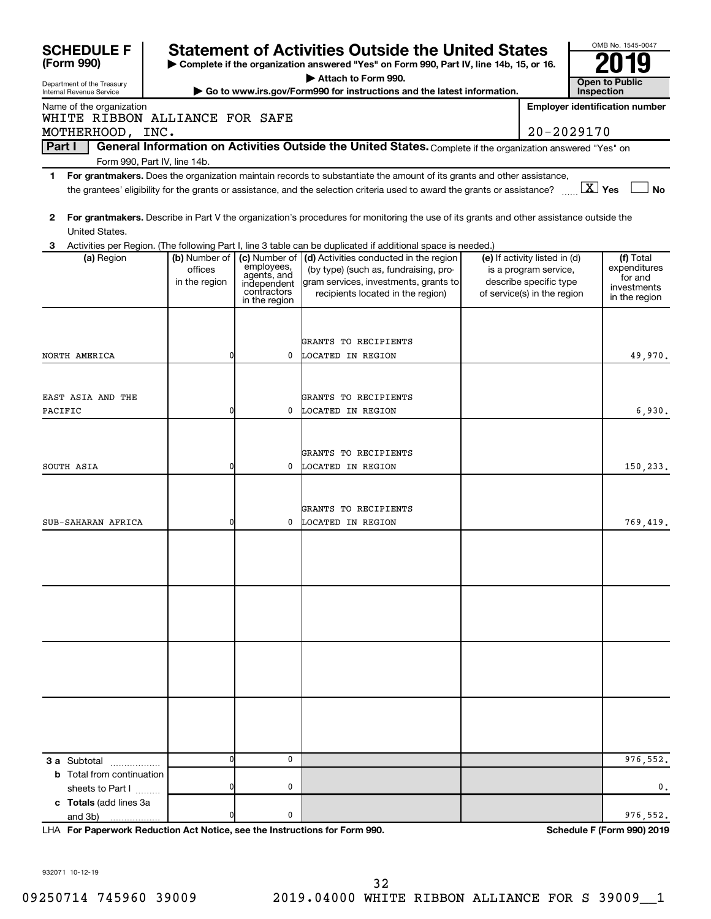| <b>Statement of Activities Outside the United States</b><br><b>SCHEDULE F</b> |                                           |                                                                                           |                                                                                                                                                                                                                                                      |  |                                                                                                                 |                        | OMB No. 1545-0047                                                    |
|-------------------------------------------------------------------------------|-------------------------------------------|-------------------------------------------------------------------------------------------|------------------------------------------------------------------------------------------------------------------------------------------------------------------------------------------------------------------------------------------------------|--|-----------------------------------------------------------------------------------------------------------------|------------------------|----------------------------------------------------------------------|
| (Form 990)                                                                    |                                           |                                                                                           | Complete if the organization answered "Yes" on Form 990, Part IV, line 14b, 15, or 16.                                                                                                                                                               |  |                                                                                                                 |                        |                                                                      |
| Department of the Treasury<br>Internal Revenue Service                        |                                           |                                                                                           | Attach to Form 990.<br>Go to www.irs.gov/Form990 for instructions and the latest information.                                                                                                                                                        |  |                                                                                                                 | Inspection             | <b>Open to Public</b>                                                |
| Name of the organization                                                      |                                           |                                                                                           |                                                                                                                                                                                                                                                      |  |                                                                                                                 |                        | <b>Employer identification number</b>                                |
| WHITE RIBBON ALLIANCE FOR SAFE                                                |                                           |                                                                                           |                                                                                                                                                                                                                                                      |  |                                                                                                                 |                        |                                                                      |
| MOTHERHOOD, INC.<br>Part I                                                    |                                           |                                                                                           | General Information on Activities Outside the United States. Complete if the organization answered "Yes" on                                                                                                                                          |  | $20 - 2029170$                                                                                                  |                        |                                                                      |
| Form 990, Part IV, line 14b.                                                  |                                           |                                                                                           |                                                                                                                                                                                                                                                      |  |                                                                                                                 |                        |                                                                      |
| $\mathbf 1$                                                                   |                                           |                                                                                           | For grantmakers. Does the organization maintain records to substantiate the amount of its grants and other assistance,<br>the grantees' eligibility for the grants or assistance, and the selection criteria used to award the grants or assistance? |  |                                                                                                                 | $\boxed{\text{X}}$ Yes | <b>No</b>                                                            |
| $\mathbf{2}$<br>United States.                                                |                                           |                                                                                           | For grantmakers. Describe in Part V the organization's procedures for monitoring the use of its grants and other assistance outside the                                                                                                              |  |                                                                                                                 |                        |                                                                      |
| 3.                                                                            |                                           |                                                                                           | Activities per Region. (The following Part I, line 3 table can be duplicated if additional space is needed.)                                                                                                                                         |  |                                                                                                                 |                        |                                                                      |
| (a) Region                                                                    | (b) Number of<br>offices<br>in the region | (c) Number of<br>employees,<br>agents, and<br>independent<br>contractors<br>in the region | (d) Activities conducted in the region<br>(by type) (such as, fundraising, pro-<br>gram services, investments, grants to<br>recipients located in the region)                                                                                        |  | (e) If activity listed in (d)<br>is a program service,<br>describe specific type<br>of service(s) in the region |                        | (f) Total<br>expenditures<br>for and<br>investments<br>in the region |
|                                                                               |                                           |                                                                                           |                                                                                                                                                                                                                                                      |  |                                                                                                                 |                        |                                                                      |
|                                                                               |                                           |                                                                                           | GRANTS TO RECIPIENTS                                                                                                                                                                                                                                 |  |                                                                                                                 |                        |                                                                      |
| NORTH AMERICA                                                                 | 0                                         | 0                                                                                         | LOCATED IN REGION                                                                                                                                                                                                                                    |  |                                                                                                                 |                        | 49,970.                                                              |
|                                                                               |                                           |                                                                                           |                                                                                                                                                                                                                                                      |  |                                                                                                                 |                        |                                                                      |
| EAST ASIA AND THE                                                             |                                           |                                                                                           | GRANTS TO RECIPIENTS                                                                                                                                                                                                                                 |  |                                                                                                                 |                        |                                                                      |
| PACIFIC                                                                       | $\Omega$                                  | 0                                                                                         | LOCATED IN REGION                                                                                                                                                                                                                                    |  |                                                                                                                 |                        | 6,930.                                                               |
|                                                                               |                                           |                                                                                           |                                                                                                                                                                                                                                                      |  |                                                                                                                 |                        |                                                                      |
|                                                                               |                                           |                                                                                           | GRANTS TO RECIPIENTS                                                                                                                                                                                                                                 |  |                                                                                                                 |                        |                                                                      |
| SOUTH ASIA                                                                    | 0                                         | 0                                                                                         | LOCATED IN REGION                                                                                                                                                                                                                                    |  |                                                                                                                 |                        | 150,233.                                                             |
|                                                                               |                                           |                                                                                           |                                                                                                                                                                                                                                                      |  |                                                                                                                 |                        |                                                                      |
|                                                                               |                                           |                                                                                           | GRANTS TO RECIPIENTS                                                                                                                                                                                                                                 |  |                                                                                                                 |                        |                                                                      |
| SUB-SAHARAN AFRICA                                                            | 0                                         | 0                                                                                         | LOCATED IN REGION                                                                                                                                                                                                                                    |  |                                                                                                                 |                        | 769,419.                                                             |
|                                                                               |                                           |                                                                                           |                                                                                                                                                                                                                                                      |  |                                                                                                                 |                        |                                                                      |
|                                                                               |                                           |                                                                                           |                                                                                                                                                                                                                                                      |  |                                                                                                                 |                        |                                                                      |
|                                                                               |                                           |                                                                                           |                                                                                                                                                                                                                                                      |  |                                                                                                                 |                        |                                                                      |
|                                                                               |                                           |                                                                                           |                                                                                                                                                                                                                                                      |  |                                                                                                                 |                        |                                                                      |
|                                                                               |                                           |                                                                                           |                                                                                                                                                                                                                                                      |  |                                                                                                                 |                        |                                                                      |
|                                                                               |                                           |                                                                                           |                                                                                                                                                                                                                                                      |  |                                                                                                                 |                        |                                                                      |
|                                                                               |                                           |                                                                                           |                                                                                                                                                                                                                                                      |  |                                                                                                                 |                        |                                                                      |
|                                                                               |                                           |                                                                                           |                                                                                                                                                                                                                                                      |  |                                                                                                                 |                        |                                                                      |
|                                                                               |                                           |                                                                                           |                                                                                                                                                                                                                                                      |  |                                                                                                                 |                        |                                                                      |
|                                                                               |                                           |                                                                                           |                                                                                                                                                                                                                                                      |  |                                                                                                                 |                        |                                                                      |
|                                                                               |                                           |                                                                                           |                                                                                                                                                                                                                                                      |  |                                                                                                                 |                        |                                                                      |
|                                                                               |                                           |                                                                                           |                                                                                                                                                                                                                                                      |  |                                                                                                                 |                        |                                                                      |
| 3 a Subtotal                                                                  | ſ                                         | 0                                                                                         |                                                                                                                                                                                                                                                      |  |                                                                                                                 |                        | 976,552.                                                             |
| <b>b</b> Total from continuation                                              |                                           |                                                                                           |                                                                                                                                                                                                                                                      |  |                                                                                                                 |                        |                                                                      |
| sheets to Part I                                                              |                                           | 0                                                                                         |                                                                                                                                                                                                                                                      |  |                                                                                                                 |                        | 0.                                                                   |
| c Totals (add lines 3a                                                        |                                           | 0                                                                                         |                                                                                                                                                                                                                                                      |  |                                                                                                                 |                        |                                                                      |
| and 3b)                                                                       |                                           |                                                                                           |                                                                                                                                                                                                                                                      |  |                                                                                                                 |                        | 976, 552.                                                            |

**For Paperwork Reduction Act Notice, see the Instructions for Form 990. Schedule F (Form 990) 2019** LHA

932071 10-12-19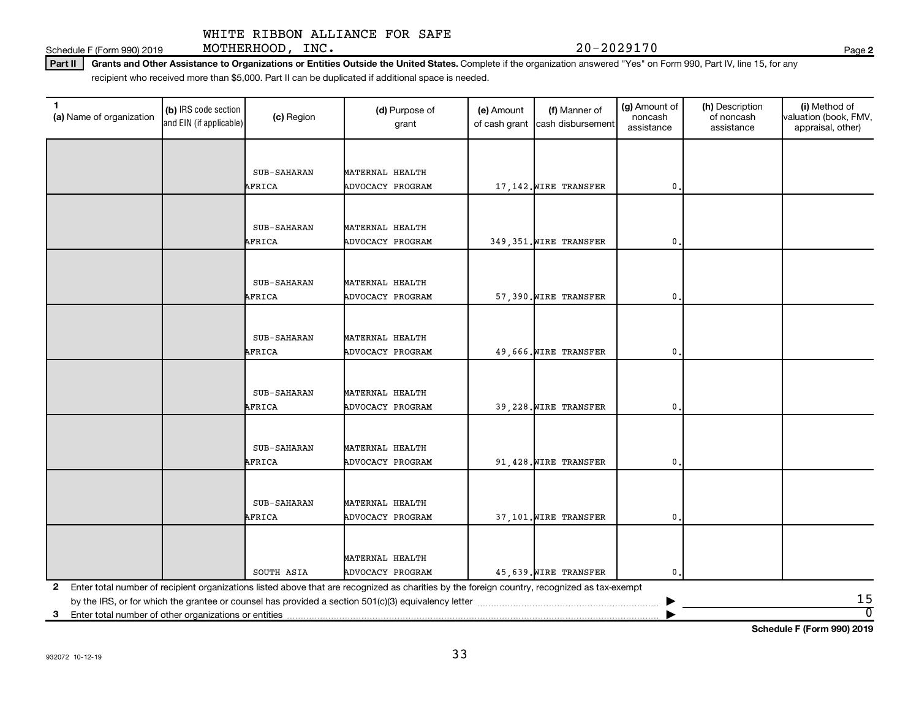Schedule F (Form 990) 2019 MOTHERHOOD, INC. 20-2029170 Page

Part II | Grants and Other Assistance to Organizations or Entities Outside the United States. Complete if the organization answered "Yes" on Form 990, Part IV, line 15, for any recipient who received more than \$5,000. Part II can be duplicated if additional space is needed.

| $\mathbf{1}$<br>(a) Name of organization                   | (b) IRS code section<br>and EIN (if applicable) | (c) Region            | (d) Purpose of<br>grant                                                                                                                      | (e) Amount<br>of cash grant | (f) Manner of<br>cash disbursement | (g) Amount of<br>noncash<br>assistance | (h) Description<br>of noncash<br>assistance | (i) Method of<br>valuation (book, FMV,<br>appraisal, other) |
|------------------------------------------------------------|-------------------------------------------------|-----------------------|----------------------------------------------------------------------------------------------------------------------------------------------|-----------------------------|------------------------------------|----------------------------------------|---------------------------------------------|-------------------------------------------------------------|
|                                                            |                                                 |                       |                                                                                                                                              |                             |                                    |                                        |                                             |                                                             |
|                                                            |                                                 | SUB-SAHARAN           | MATERNAL HEALTH                                                                                                                              |                             |                                    |                                        |                                             |                                                             |
|                                                            |                                                 | AFRICA                | ADVOCACY PROGRAM                                                                                                                             |                             | 17,142. WIRE TRANSFER              | 0                                      |                                             |                                                             |
|                                                            |                                                 |                       |                                                                                                                                              |                             |                                    |                                        |                                             |                                                             |
|                                                            |                                                 |                       |                                                                                                                                              |                             |                                    |                                        |                                             |                                                             |
|                                                            |                                                 | SUB-SAHARAN           | MATERNAL HEALTH                                                                                                                              |                             |                                    |                                        |                                             |                                                             |
|                                                            |                                                 | AFRICA                | ADVOCACY PROGRAM                                                                                                                             |                             | 349, 351. WIRE TRANSFER            | $\mathbf{0}$                           |                                             |                                                             |
|                                                            |                                                 |                       |                                                                                                                                              |                             |                                    |                                        |                                             |                                                             |
|                                                            |                                                 |                       |                                                                                                                                              |                             |                                    |                                        |                                             |                                                             |
|                                                            |                                                 | SUB-SAHARAN<br>AFRICA | MATERNAL HEALTH<br><b>ADVOCACY PROGRAM</b>                                                                                                   |                             | 57,390. WIRE TRANSFER              | $\mathbf{0}$                           |                                             |                                                             |
|                                                            |                                                 |                       |                                                                                                                                              |                             |                                    |                                        |                                             |                                                             |
|                                                            |                                                 |                       |                                                                                                                                              |                             |                                    |                                        |                                             |                                                             |
|                                                            |                                                 | SUB-SAHARAN           | MATERNAL HEALTH                                                                                                                              |                             |                                    |                                        |                                             |                                                             |
|                                                            |                                                 | AFRICA                | ADVOCACY PROGRAM                                                                                                                             |                             | 49,666. WIRE TRANSFER              | 0                                      |                                             |                                                             |
|                                                            |                                                 |                       |                                                                                                                                              |                             |                                    |                                        |                                             |                                                             |
|                                                            |                                                 |                       |                                                                                                                                              |                             |                                    |                                        |                                             |                                                             |
|                                                            |                                                 | SUB-SAHARAN           | MATERNAL HEALTH                                                                                                                              |                             |                                    |                                        |                                             |                                                             |
|                                                            |                                                 | AFRICA                | ADVOCACY PROGRAM                                                                                                                             |                             | 39,228. WIRE TRANSFER              | 0                                      |                                             |                                                             |
|                                                            |                                                 |                       |                                                                                                                                              |                             |                                    |                                        |                                             |                                                             |
|                                                            |                                                 |                       |                                                                                                                                              |                             |                                    |                                        |                                             |                                                             |
|                                                            |                                                 | SUB-SAHARAN<br>AFRICA | MATERNAL HEALTH<br>ADVOCACY PROGRAM                                                                                                          |                             | 91,428. WIRE TRANSFER              | $\mathbf{0}$                           |                                             |                                                             |
|                                                            |                                                 |                       |                                                                                                                                              |                             |                                    |                                        |                                             |                                                             |
|                                                            |                                                 |                       |                                                                                                                                              |                             |                                    |                                        |                                             |                                                             |
|                                                            |                                                 | SUB-SAHARAN           | MATERNAL HEALTH                                                                                                                              |                             |                                    |                                        |                                             |                                                             |
|                                                            |                                                 | AFRICA                | ADVOCACY PROGRAM                                                                                                                             |                             | 37,101. WIRE TRANSFER              | 0                                      |                                             |                                                             |
|                                                            |                                                 |                       |                                                                                                                                              |                             |                                    |                                        |                                             |                                                             |
|                                                            |                                                 |                       |                                                                                                                                              |                             |                                    |                                        |                                             |                                                             |
|                                                            |                                                 |                       | MATERNAL HEALTH                                                                                                                              |                             |                                    |                                        |                                             |                                                             |
|                                                            |                                                 | SOUTH ASIA            | ADVOCACY PROGRAM                                                                                                                             |                             | 45,639. WIRE TRANSFER              | $\mathbf{0}$                           |                                             |                                                             |
| 2                                                          |                                                 |                       | Enter total number of recipient organizations listed above that are recognized as charities by the foreign country, recognized as tax-exempt |                             |                                    |                                        |                                             |                                                             |
|                                                            |                                                 |                       |                                                                                                                                              |                             |                                    |                                        |                                             | 15<br>$\overline{0}$                                        |
| Enter total number of other organizations or entities<br>3 |                                                 |                       |                                                                                                                                              |                             |                                    |                                        |                                             |                                                             |

**2**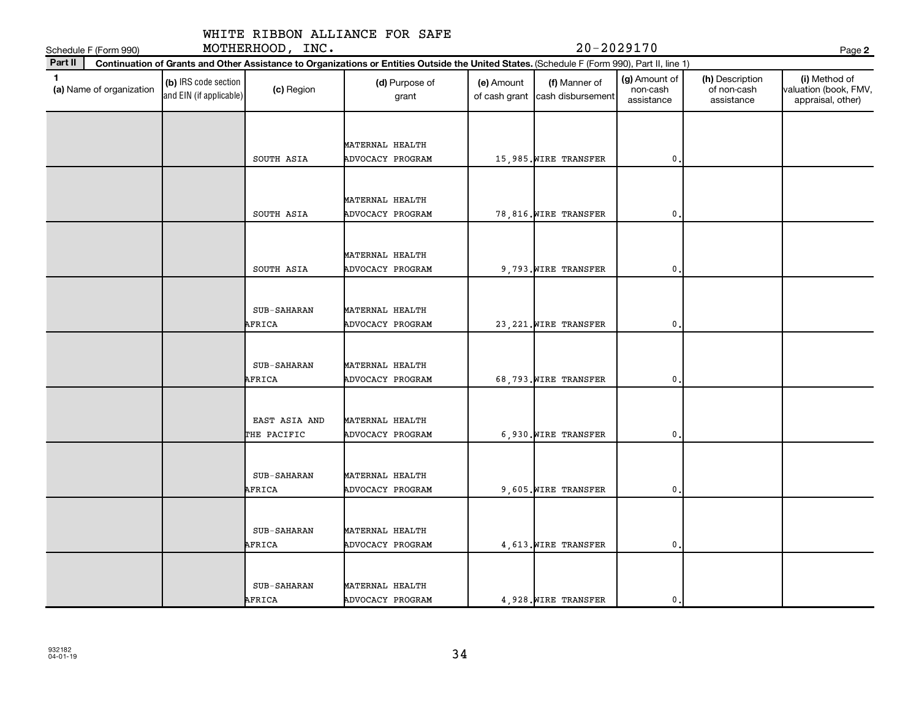| WHITE RIBBON ALLIANCE FOR SAFE |  |  |
|--------------------------------|--|--|
|--------------------------------|--|--|

MOTHERHOOD, INC. 20-2029170

|         | Schedule F (Form 990)    |                                                 | MOTHERHOOD, INC.    |                                                                                                                                              |                             | $20 - 2029170$                     |                                         |                                              | Page 2                                                      |
|---------|--------------------------|-------------------------------------------------|---------------------|----------------------------------------------------------------------------------------------------------------------------------------------|-----------------------------|------------------------------------|-----------------------------------------|----------------------------------------------|-------------------------------------------------------------|
| Part II |                          |                                                 |                     | Continuation of Grants and Other Assistance to Organizations or Entities Outside the United States. (Schedule F (Form 990), Part II, line 1) |                             |                                    |                                         |                                              |                                                             |
| 1       | (a) Name of organization | (b) IRS code section<br>and EIN (if applicable) | (c) Region          | (d) Purpose of<br>grant                                                                                                                      | (e) Amount<br>of cash grant | (f) Manner of<br>cash disbursement | (g) Amount of<br>non-cash<br>assistance | (h) Description<br>of non-cash<br>assistance | (i) Method of<br>valuation (book, FMV,<br>appraisal, other) |
|         |                          |                                                 |                     |                                                                                                                                              |                             |                                    |                                         |                                              |                                                             |
|         |                          |                                                 |                     | MATERNAL HEALTH                                                                                                                              |                             |                                    |                                         |                                              |                                                             |
|         |                          |                                                 | SOUTH ASIA          | ADVOCACY PROGRAM                                                                                                                             |                             | 15,985. WIRE TRANSFER              | 0                                       |                                              |                                                             |
|         |                          |                                                 |                     |                                                                                                                                              |                             |                                    |                                         |                                              |                                                             |
|         |                          |                                                 |                     | MATERNAL HEALTH                                                                                                                              |                             |                                    |                                         |                                              |                                                             |
|         |                          |                                                 | SOUTH ASIA          | ADVOCACY PROGRAM                                                                                                                             |                             | 78,816. WIRE TRANSFER              | $\mathbf 0$                             |                                              |                                                             |
|         |                          |                                                 |                     |                                                                                                                                              |                             |                                    |                                         |                                              |                                                             |
|         |                          |                                                 |                     | MATERNAL HEALTH                                                                                                                              |                             |                                    |                                         |                                              |                                                             |
|         |                          |                                                 | SOUTH ASIA          | ADVOCACY PROGRAM                                                                                                                             |                             | 9,793. WIRE TRANSFER               | 0.                                      |                                              |                                                             |
|         |                          |                                                 |                     |                                                                                                                                              |                             |                                    |                                         |                                              |                                                             |
|         |                          |                                                 | SUB-SAHARAN         | MATERNAL HEALTH                                                                                                                              |                             |                                    |                                         |                                              |                                                             |
|         |                          |                                                 | <b>AFRICA</b>       | <b>ADVOCACY PROGRAM</b>                                                                                                                      |                             | 23, 221. WIRE TRANSFER             | $\mathbf 0$ .                           |                                              |                                                             |
|         |                          |                                                 |                     |                                                                                                                                              |                             |                                    |                                         |                                              |                                                             |
|         |                          |                                                 | SUB-SAHARAN         | MATERNAL HEALTH                                                                                                                              |                             |                                    |                                         |                                              |                                                             |
|         |                          |                                                 | <b>AFRICA</b>       | ADVOCACY PROGRAM                                                                                                                             |                             | 68,793. WIRE TRANSFER              | 0                                       |                                              |                                                             |
|         |                          |                                                 |                     |                                                                                                                                              |                             |                                    |                                         |                                              |                                                             |
|         |                          |                                                 | EAST ASIA AND       | MATERNAL HEALTH                                                                                                                              |                             |                                    |                                         |                                              |                                                             |
|         |                          |                                                 | THE PACIFIC         | ADVOCACY PROGRAM                                                                                                                             |                             | 6,930. WIRE TRANSFER               | 0                                       |                                              |                                                             |
|         |                          |                                                 |                     |                                                                                                                                              |                             |                                    |                                         |                                              |                                                             |
|         |                          |                                                 | SUB-SAHARAN         | MATERNAL HEALTH                                                                                                                              |                             |                                    |                                         |                                              |                                                             |
|         |                          |                                                 | AFRICA              | ADVOCACY PROGRAM                                                                                                                             |                             | 9,605. WIRE TRANSFER               | 0.                                      |                                              |                                                             |
|         |                          |                                                 |                     |                                                                                                                                              |                             |                                    |                                         |                                              |                                                             |
|         |                          |                                                 | ${\tt SUB-SAHARAN}$ | MATERNAL HEALTH                                                                                                                              |                             |                                    |                                         |                                              |                                                             |
|         |                          |                                                 | <b>AFRICA</b>       | <b>ADVOCACY PROGRAM</b>                                                                                                                      |                             | 4,613. WIRE TRANSFER               | $\mathbf 0$ .                           |                                              |                                                             |
|         |                          |                                                 |                     |                                                                                                                                              |                             |                                    |                                         |                                              |                                                             |
|         |                          |                                                 | SUB-SAHARAN         | MATERNAL HEALTH                                                                                                                              |                             |                                    |                                         |                                              |                                                             |
|         |                          |                                                 | AFRICA              | ADVOCACY PROGRAM                                                                                                                             |                             | 4.928. WIRE TRANSFER               | $\mathfrak{o}$ .                        |                                              |                                                             |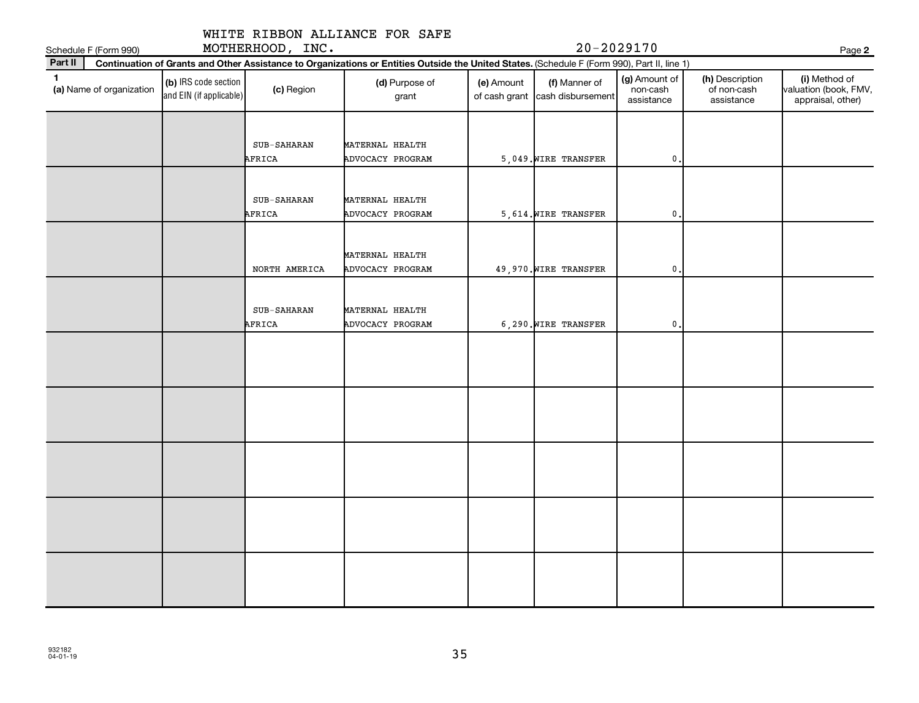| WHITE RIBBON ALLIANCE FOR SAFE |
|--------------------------------|
|--------------------------------|

| Schedule F (Form 990) |  |
|-----------------------|--|

Schedule F (Form 990) MOTHERHOOD, INC. 20-2029170

| Schedule F (Form 990)                    |                                                 | MOTHERHOOD, INC.        |                                                                                                                                              | 20-2029170<br>Page 2 |                                                  |                                         |                                              |                                                             |  |
|------------------------------------------|-------------------------------------------------|-------------------------|----------------------------------------------------------------------------------------------------------------------------------------------|----------------------|--------------------------------------------------|-----------------------------------------|----------------------------------------------|-------------------------------------------------------------|--|
| Part II                                  |                                                 |                         | Continuation of Grants and Other Assistance to Organizations or Entities Outside the United States. (Schedule F (Form 990), Part II, line 1) |                      |                                                  |                                         |                                              |                                                             |  |
| $\mathbf{1}$<br>(a) Name of organization | (b) IRS code section<br>and EIN (if applicable) | (c) Region              | (d) Purpose of<br>grant                                                                                                                      | (e) Amount           | (f) Manner of<br>of cash grant cash disbursement | (g) Amount of<br>non-cash<br>assistance | (h) Description<br>of non-cash<br>assistance | (i) Method of<br>valuation (book, FMV,<br>appraisal, other) |  |
|                                          |                                                 | SUB-SAHARAN<br>AFRICA   | MATERNAL HEALTH<br>ADVOCACY PROGRAM                                                                                                          |                      | 5,049. WIRE TRANSFER                             | 0                                       |                                              |                                                             |  |
|                                          |                                                 | SUB-SAHARAN<br>AFRICA   | <b>MATERNAL HEALTH</b><br>ADVOCACY PROGRAM                                                                                                   |                      | 5,614. WIRE TRANSFER                             | $\pmb{0}$                               |                                              |                                                             |  |
|                                          |                                                 | NORTH AMERICA           | MATERNAL HEALTH<br>ADVOCACY PROGRAM                                                                                                          |                      | 49,970. WIRE TRANSFER                            | 0                                       |                                              |                                                             |  |
|                                          |                                                 | $SUB-SAHARAN$<br>AFRICA | MATERNAL HEALTH<br>ADVOCACY PROGRAM                                                                                                          |                      | 6,290. WIRE TRANSFER                             | 0                                       |                                              |                                                             |  |
|                                          |                                                 |                         |                                                                                                                                              |                      |                                                  |                                         |                                              |                                                             |  |
|                                          |                                                 |                         |                                                                                                                                              |                      |                                                  |                                         |                                              |                                                             |  |
|                                          |                                                 |                         |                                                                                                                                              |                      |                                                  |                                         |                                              |                                                             |  |
|                                          |                                                 |                         |                                                                                                                                              |                      |                                                  |                                         |                                              |                                                             |  |
|                                          |                                                 |                         |                                                                                                                                              |                      |                                                  |                                         |                                              |                                                             |  |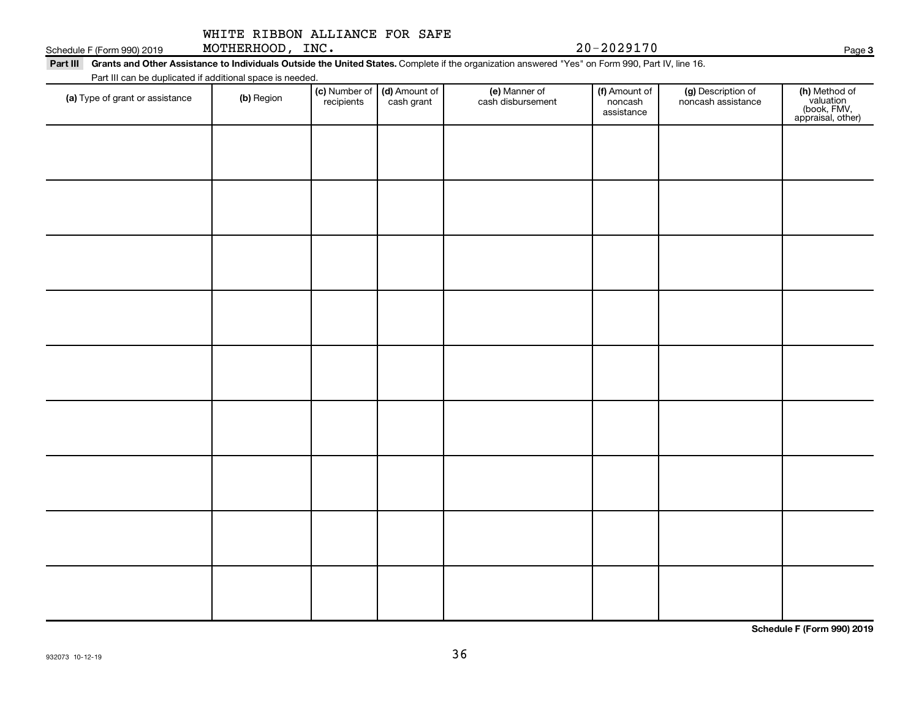|          | Schedule F (Form 990) 2019                                | MOTHERHOOD, INC. |                             |                             |                                                                                                                                                  | ZU-ZUZYI/U                             |                                          | Page                                                           |
|----------|-----------------------------------------------------------|------------------|-----------------------------|-----------------------------|--------------------------------------------------------------------------------------------------------------------------------------------------|----------------------------------------|------------------------------------------|----------------------------------------------------------------|
| Part III |                                                           |                  |                             |                             | Grants and Other Assistance to Individuals Outside the United States. Complete if the organization answered "Yes" on Form 990, Part IV, line 16. |                                        |                                          |                                                                |
|          | Part III can be duplicated if additional space is needed. |                  |                             |                             |                                                                                                                                                  |                                        |                                          |                                                                |
|          | (a) Type of grant or assistance                           | (b) Region       | (c) Number of<br>recipients | (d) Amount of<br>cash grant | (e) Manner of<br>cash disbursement                                                                                                               | (f) Amount of<br>noncash<br>assistance | (g) Description of<br>noncash assistance | (h) Method of<br>valuation<br>(book, FMV,<br>appraisal, other) |
|          |                                                           |                  |                             |                             |                                                                                                                                                  |                                        |                                          |                                                                |
|          |                                                           |                  |                             |                             |                                                                                                                                                  |                                        |                                          |                                                                |
|          |                                                           |                  |                             |                             |                                                                                                                                                  |                                        |                                          |                                                                |
|          |                                                           |                  |                             |                             |                                                                                                                                                  |                                        |                                          |                                                                |

36

**Schedule F (Form 990) 2019**

### WHITE RIBBON ALLIANCE FOR SAFE MOTHERHOOD, INC. 20-2029170

**Page 3**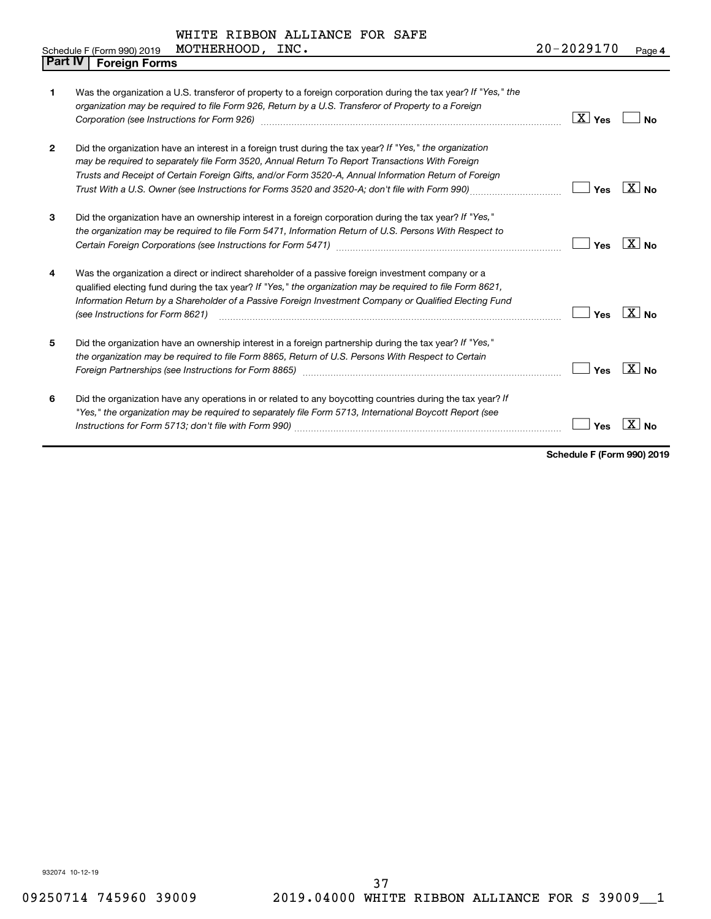| <b>Part IV</b> | <b>Foreign Forms</b>                                                                                                                                                                                                                                                                                                                                                                                                   |                        |                    |
|----------------|------------------------------------------------------------------------------------------------------------------------------------------------------------------------------------------------------------------------------------------------------------------------------------------------------------------------------------------------------------------------------------------------------------------------|------------------------|--------------------|
| 1              | Was the organization a U.S. transferor of property to a foreign corporation during the tax year? If "Yes," the<br>organization may be required to file Form 926, Return by a U.S. Transferor of Property to a Foreign<br>Corporation (see Instructions for Form 926) manufactured controller controller to the control of the control of                                                                               | $\boxed{\text{X}}$ Yes | N٥                 |
| $\mathbf{2}$   | Did the organization have an interest in a foreign trust during the tax year? If "Yes," the organization<br>may be required to separately file Form 3520, Annual Return To Report Transactions With Foreign<br>Trusts and Receipt of Certain Foreign Gifts, and/or Form 3520-A, Annual Information Return of Foreign<br>Trust With a U.S. Owner (see Instructions for Forms 3520 and 3520-A; don't file with Form 990) | Yes                    | $X _{\text{No}}$   |
| 3              | Did the organization have an ownership interest in a foreign corporation during the tax year? If "Yes,"<br>the organization may be required to file Form 5471, Information Return of U.S. Persons With Respect to                                                                                                                                                                                                      | Yes                    | $ X $ No           |
| 4              | Was the organization a direct or indirect shareholder of a passive foreign investment company or a<br>qualified electing fund during the tax year? If "Yes," the organization may be required to file Form 8621,<br>Information Return by a Shareholder of a Passive Foreign Investment Company or Qualified Electing Fund<br>(see Instructions for Form 8621)                                                         | Yes                    | $X _{N_{\Omega}}$  |
| 5              | Did the organization have an ownership interest in a foreign partnership during the tax year? If "Yes,"<br>the organization may be required to file Form 8865, Return of U.S. Persons With Respect to Certain                                                                                                                                                                                                          | Yes                    | $X _{\textsf{No}}$ |
| 6              | Did the organization have any operations in or related to any boycotting countries during the tax year? If<br>"Yes," the organization may be required to separately file Form 5713, International Boycott Report (see                                                                                                                                                                                                  | Yes                    |                    |

**Schedule F (Form 990) 2019**

932074 10-12-19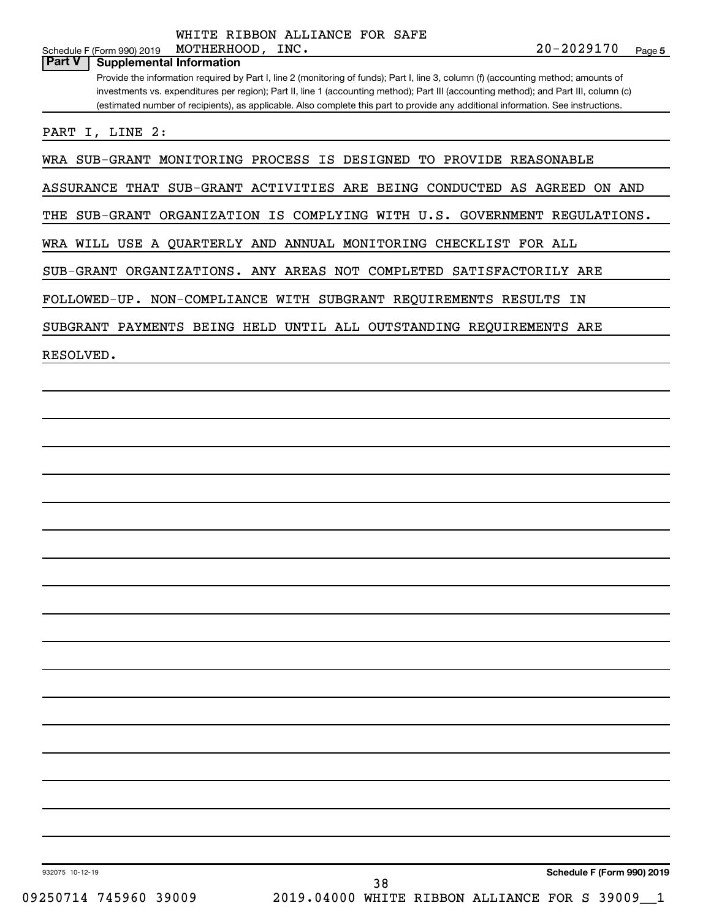| WHITE RIBBON ALLIANCE FOR SAFE<br>$20 - 2029170$<br>MOTHERHOOD, INC.<br>Schedule F (Form 990) 2019<br>Page 5                                                                                                                                                                                                                                                                                                                                                          |
|-----------------------------------------------------------------------------------------------------------------------------------------------------------------------------------------------------------------------------------------------------------------------------------------------------------------------------------------------------------------------------------------------------------------------------------------------------------------------|
| <b>Part V</b><br><b>Supplemental Information</b><br>Provide the information required by Part I, line 2 (monitoring of funds); Part I, line 3, column (f) (accounting method; amounts of<br>investments vs. expenditures per region); Part II, line 1 (accounting method); Part III (accounting method); and Part III, column (c)<br>(estimated number of recipients), as applicable. Also complete this part to provide any additional information. See instructions. |
| PART I, LINE 2:                                                                                                                                                                                                                                                                                                                                                                                                                                                       |
| WRA SUB-GRANT MONITORING PROCESS IS DESIGNED TO PROVIDE REASONABLE                                                                                                                                                                                                                                                                                                                                                                                                    |
| ASSURANCE THAT SUB-GRANT ACTIVITIES ARE BEING CONDUCTED AS AGREED ON AND                                                                                                                                                                                                                                                                                                                                                                                              |
| THE SUB-GRANT ORGANIZATION IS COMPLYING WITH U.S. GOVERNMENT REGULATIONS.                                                                                                                                                                                                                                                                                                                                                                                             |
| WRA WILL USE A QUARTERLY AND ANNUAL MONITORING CHECKLIST FOR ALL                                                                                                                                                                                                                                                                                                                                                                                                      |
| SUB-GRANT ORGANIZATIONS. ANY AREAS NOT COMPLETED SATISFACTORILY ARE                                                                                                                                                                                                                                                                                                                                                                                                   |
| FOLLOWED-UP. NON-COMPLIANCE WITH SUBGRANT REQUIREMENTS RESULTS IN                                                                                                                                                                                                                                                                                                                                                                                                     |
| SUBGRANT PAYMENTS BEING HELD UNTIL ALL OUTSTANDING REQUIREMENTS ARE                                                                                                                                                                                                                                                                                                                                                                                                   |
| RESOLVED.                                                                                                                                                                                                                                                                                                                                                                                                                                                             |
|                                                                                                                                                                                                                                                                                                                                                                                                                                                                       |
|                                                                                                                                                                                                                                                                                                                                                                                                                                                                       |
|                                                                                                                                                                                                                                                                                                                                                                                                                                                                       |
|                                                                                                                                                                                                                                                                                                                                                                                                                                                                       |
|                                                                                                                                                                                                                                                                                                                                                                                                                                                                       |
|                                                                                                                                                                                                                                                                                                                                                                                                                                                                       |
|                                                                                                                                                                                                                                                                                                                                                                                                                                                                       |
|                                                                                                                                                                                                                                                                                                                                                                                                                                                                       |
|                                                                                                                                                                                                                                                                                                                                                                                                                                                                       |
|                                                                                                                                                                                                                                                                                                                                                                                                                                                                       |
|                                                                                                                                                                                                                                                                                                                                                                                                                                                                       |
|                                                                                                                                                                                                                                                                                                                                                                                                                                                                       |
|                                                                                                                                                                                                                                                                                                                                                                                                                                                                       |
|                                                                                                                                                                                                                                                                                                                                                                                                                                                                       |
|                                                                                                                                                                                                                                                                                                                                                                                                                                                                       |
|                                                                                                                                                                                                                                                                                                                                                                                                                                                                       |
|                                                                                                                                                                                                                                                                                                                                                                                                                                                                       |

932075 10-12-19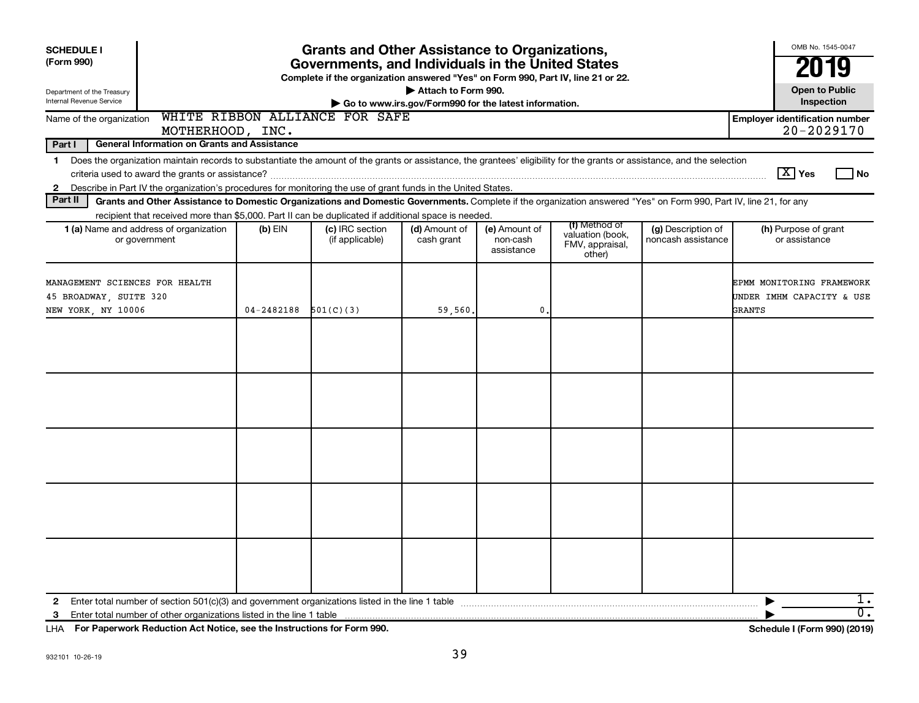| <b>SCHEDULE I</b>                                                                                                                                                                                                                                                                                                        |                | <b>Grants and Other Assistance to Organizations,</b>                                                                                  |                                                                              |                                         |                                                                |                                          | OMB No. 1545-0047                                       |
|--------------------------------------------------------------------------------------------------------------------------------------------------------------------------------------------------------------------------------------------------------------------------------------------------------------------------|----------------|---------------------------------------------------------------------------------------------------------------------------------------|------------------------------------------------------------------------------|-----------------------------------------|----------------------------------------------------------------|------------------------------------------|---------------------------------------------------------|
| (Form 990)                                                                                                                                                                                                                                                                                                               |                | Governments, and Individuals in the United States<br>Complete if the organization answered "Yes" on Form 990, Part IV, line 21 or 22. |                                                                              |                                         |                                                                |                                          | 2019                                                    |
| Department of the Treasury<br>Internal Revenue Service                                                                                                                                                                                                                                                                   |                |                                                                                                                                       | Attach to Form 990.<br>Go to www.irs.gov/Form990 for the latest information. |                                         |                                                                |                                          | <b>Open to Public</b><br>Inspection                     |
| Name of the organization<br>MOTHERHOOD, INC.                                                                                                                                                                                                                                                                             |                | WHITE RIBBON ALLIANCE FOR SAFE                                                                                                        |                                                                              |                                         |                                                                |                                          | <b>Employer identification number</b><br>$20 - 2029170$ |
| Part I<br><b>General Information on Grants and Assistance</b>                                                                                                                                                                                                                                                            |                |                                                                                                                                       |                                                                              |                                         |                                                                |                                          |                                                         |
| Does the organization maintain records to substantiate the amount of the grants or assistance, the grantees' eligibility for the grants or assistance, and the selection<br>$\mathbf 1$<br>Describe in Part IV the organization's procedures for monitoring the use of grant funds in the United States.<br>$\mathbf{2}$ |                |                                                                                                                                       |                                                                              |                                         |                                                                |                                          | $ \mathbf{X} $ Yes<br>  No                              |
| Part II<br>Grants and Other Assistance to Domestic Organizations and Domestic Governments. Complete if the organization answered "Yes" on Form 990, Part IV, line 21, for any                                                                                                                                            |                |                                                                                                                                       |                                                                              |                                         |                                                                |                                          |                                                         |
| recipient that received more than \$5,000. Part II can be duplicated if additional space is needed.<br>1 (a) Name and address of organization<br>or government                                                                                                                                                           | $(b)$ EIN      | (c) IRC section<br>(if applicable)                                                                                                    | (d) Amount of<br>cash grant                                                  | (e) Amount of<br>non-cash<br>assistance | (f) Method of<br>valuation (book,<br>FMV, appraisal,<br>other) | (g) Description of<br>noncash assistance | (h) Purpose of grant<br>or assistance                   |
| MANAGEMENT SCIENCES FOR HEALTH<br>45 BROADWAY, SUITE 320                                                                                                                                                                                                                                                                 |                |                                                                                                                                       |                                                                              |                                         |                                                                |                                          | EPMM MONITORING FRAMEWORK<br>UNDER IMHM CAPACITY & USE  |
| NEW YORK, NY 10006                                                                                                                                                                                                                                                                                                       | $04 - 2482188$ | 501(C)(3)                                                                                                                             | 59,560.                                                                      | $\mathbf{0}$ .                          |                                                                |                                          | GRANTS                                                  |
|                                                                                                                                                                                                                                                                                                                          |                |                                                                                                                                       |                                                                              |                                         |                                                                |                                          |                                                         |
|                                                                                                                                                                                                                                                                                                                          |                |                                                                                                                                       |                                                                              |                                         |                                                                |                                          |                                                         |
|                                                                                                                                                                                                                                                                                                                          |                |                                                                                                                                       |                                                                              |                                         |                                                                |                                          |                                                         |
|                                                                                                                                                                                                                                                                                                                          |                |                                                                                                                                       |                                                                              |                                         |                                                                |                                          |                                                         |
|                                                                                                                                                                                                                                                                                                                          |                |                                                                                                                                       |                                                                              |                                         |                                                                |                                          |                                                         |
| Enter total number of other organizations listed in the line 1 table<br>3                                                                                                                                                                                                                                                |                |                                                                                                                                       |                                                                              |                                         |                                                                |                                          | ı.<br>$\overline{0}$ .                                  |

**For Paperwork Reduction Act Notice, see the Instructions for Form 990. Schedule I (Form 990) (2019)** LHA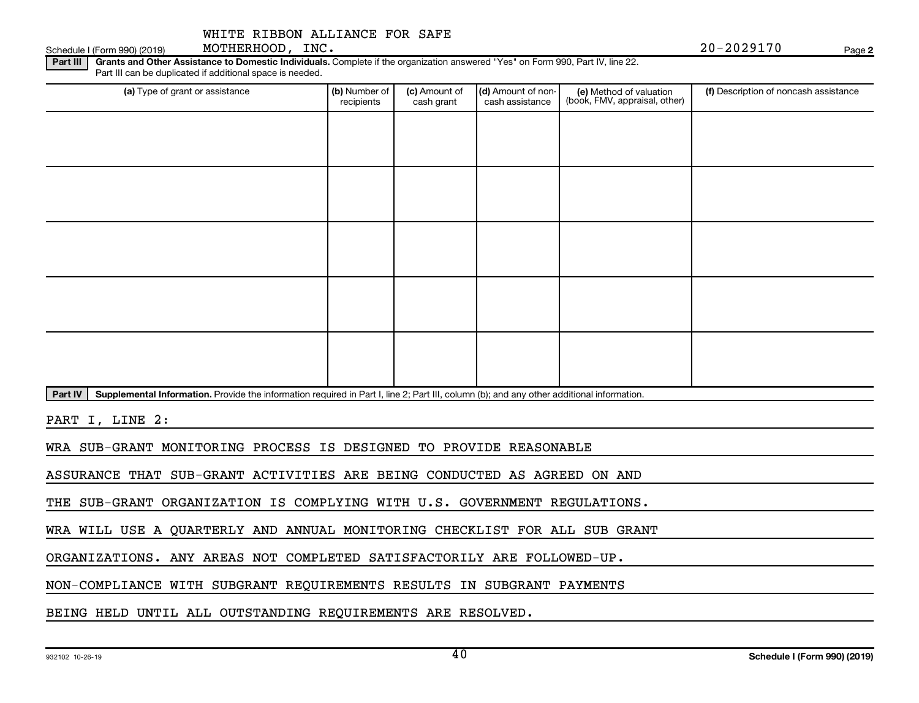MOTHERHOOD, INC.

Schedule I (Form 990) (2019) Page 100 MOTHERHOOD ,  $INC.$ 

**2**

Part III | Grants and Other Assistance to Domestic Individuals. Complete if the organization answered "Yes" on Form 990, Part IV, line 22. Part III can be duplicated if additional space is needed.

| (a) Type of grant or assistance | (b) Number of<br>recipients | (c) Amount of<br>cash grant | (d) Amount of non-<br>cash assistance | (e) Method of valuation<br>(book, FMV, appraisal, other) | (f) Description of noncash assistance |
|---------------------------------|-----------------------------|-----------------------------|---------------------------------------|----------------------------------------------------------|---------------------------------------|
|                                 |                             |                             |                                       |                                                          |                                       |
|                                 |                             |                             |                                       |                                                          |                                       |
|                                 |                             |                             |                                       |                                                          |                                       |
|                                 |                             |                             |                                       |                                                          |                                       |
|                                 |                             |                             |                                       |                                                          |                                       |
|                                 |                             |                             |                                       |                                                          |                                       |
|                                 |                             |                             |                                       |                                                          |                                       |
|                                 |                             |                             |                                       |                                                          |                                       |
|                                 |                             |                             |                                       |                                                          |                                       |
|                                 |                             |                             |                                       |                                                          |                                       |

Part IV | Supplemental Information. Provide the information required in Part I, line 2; Part III, column (b); and any other additional information.

PART I, LINE 2:

WRA SUB-GRANT MONITORING PROCESS IS DESIGNED TO PROVIDE REASONABLE

ASSURANCE THAT SUB-GRANT ACTIVITIES ARE BEING CONDUCTED AS AGREED ON AND

THE SUB-GRANT ORGANIZATION IS COMPLYING WITH U.S. GOVERNMENT REGULATIONS.

WRA WILL USE A QUARTERLY AND ANNUAL MONITORING CHECKLIST FOR ALL SUB GRANT

ORGANIZATIONS. ANY AREAS NOT COMPLETED SATISFACTORILY ARE FOLLOWED-UP.

NON-COMPLIANCE WITH SUBGRANT REQUIREMENTS RESULTS IN SUBGRANT PAYMENTS

BEING HELD UNTIL ALL OUTSTANDING REQUIREMENTS ARE RESOLVED.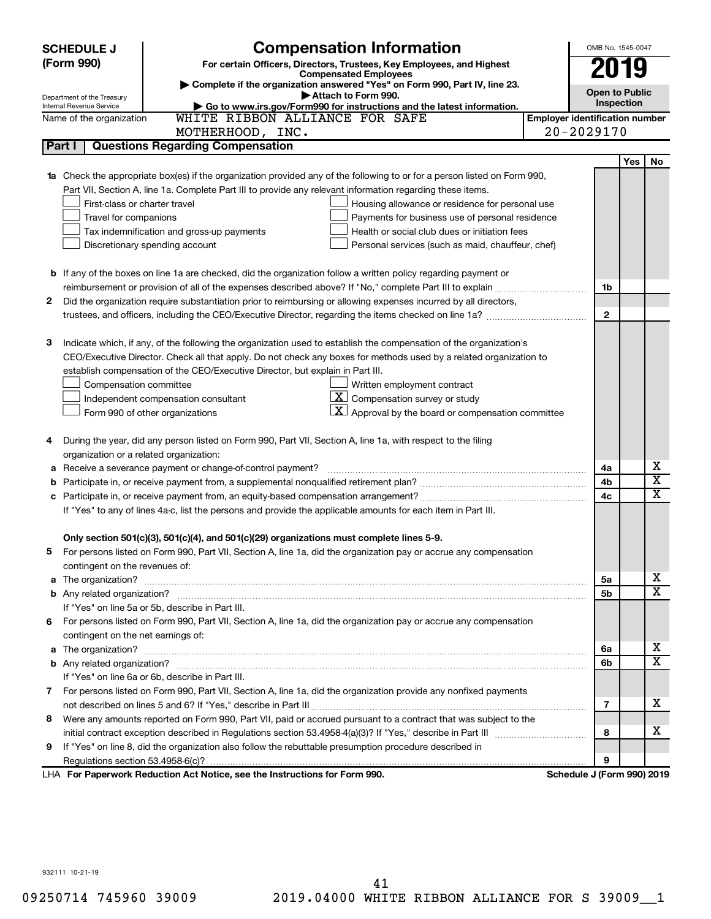|   | <b>Compensation Information</b><br><b>SCHEDULE J</b>                                                                            |                                       |              | OMB No. 1545-0047     |                         |
|---|---------------------------------------------------------------------------------------------------------------------------------|---------------------------------------|--------------|-----------------------|-------------------------|
|   | (Form 990)<br>For certain Officers, Directors, Trustees, Key Employees, and Highest                                             |                                       |              | 2019                  |                         |
|   | <b>Compensated Employees</b>                                                                                                    |                                       |              |                       |                         |
|   | Complete if the organization answered "Yes" on Form 990, Part IV, line 23.<br>Attach to Form 990.<br>Department of the Treasury |                                       |              | <b>Open to Public</b> |                         |
|   | Go to www.irs.gov/Form990 for instructions and the latest information.<br>Internal Revenue Service                              |                                       | Inspection   |                       |                         |
|   | WHITE RIBBON ALLIANCE FOR SAFE<br>Name of the organization                                                                      | <b>Employer identification number</b> |              |                       |                         |
|   | MOTHERHOOD, INC.                                                                                                                | $20 - 2029170$                        |              |                       |                         |
|   | <b>Questions Regarding Compensation</b><br>Part I                                                                               |                                       |              |                       |                         |
|   |                                                                                                                                 |                                       |              | <b>Yes</b>            | No                      |
|   | Check the appropriate box(es) if the organization provided any of the following to or for a person listed on Form 990,          |                                       |              |                       |                         |
|   | Part VII, Section A, line 1a. Complete Part III to provide any relevant information regarding these items.                      |                                       |              |                       |                         |
|   | First-class or charter travel<br>Housing allowance or residence for personal use                                                |                                       |              |                       |                         |
|   | Travel for companions<br>Payments for business use of personal residence                                                        |                                       |              |                       |                         |
|   | Health or social club dues or initiation fees<br>Tax indemnification and gross-up payments                                      |                                       |              |                       |                         |
|   | Discretionary spending account<br>Personal services (such as maid, chauffeur, chef)                                             |                                       |              |                       |                         |
|   |                                                                                                                                 |                                       |              |                       |                         |
|   | <b>b</b> If any of the boxes on line 1a are checked, did the organization follow a written policy regarding payment or          |                                       |              |                       |                         |
|   |                                                                                                                                 |                                       | 1b           |                       |                         |
| 2 | Did the organization require substantiation prior to reimbursing or allowing expenses incurred by all directors,                |                                       |              |                       |                         |
|   | trustees, and officers, including the CEO/Executive Director, regarding the items checked on line 1a?                           |                                       | $\mathbf{2}$ |                       |                         |
|   |                                                                                                                                 |                                       |              |                       |                         |
| З | Indicate which, if any, of the following the organization used to establish the compensation of the organization's              |                                       |              |                       |                         |
|   | CEO/Executive Director. Check all that apply. Do not check any boxes for methods used by a related organization to              |                                       |              |                       |                         |
|   | establish compensation of the CEO/Executive Director, but explain in Part III.                                                  |                                       |              |                       |                         |
|   | Written employment contract<br>Compensation committee                                                                           |                                       |              |                       |                         |
|   | $ \mathbf{X} $ Compensation survey or study<br>Independent compensation consultant                                              |                                       |              |                       |                         |
|   | $ \mathbf{X} $ Approval by the board or compensation committee<br>Form 990 of other organizations                               |                                       |              |                       |                         |
|   |                                                                                                                                 |                                       |              |                       |                         |
| 4 | During the year, did any person listed on Form 990, Part VII, Section A, line 1a, with respect to the filing                    |                                       |              |                       |                         |
|   | organization or a related organization:                                                                                         |                                       |              |                       | х                       |
| а | Receive a severance payment or change-of-control payment?                                                                       |                                       | 4a<br>4b     |                       | $\overline{\mathbf{x}}$ |
| b |                                                                                                                                 |                                       | 4c           |                       | $\mathbf x$             |
|   |                                                                                                                                 |                                       |              |                       |                         |
|   | If "Yes" to any of lines 4a-c, list the persons and provide the applicable amounts for each item in Part III.                   |                                       |              |                       |                         |
|   | Only section 501(c)(3), 501(c)(4), and 501(c)(29) organizations must complete lines 5-9.                                        |                                       |              |                       |                         |
| 5 | For persons listed on Form 990, Part VII, Section A, line 1a, did the organization pay or accrue any compensation               |                                       |              |                       |                         |
|   | contingent on the revenues of:                                                                                                  |                                       |              |                       |                         |
| a |                                                                                                                                 |                                       | 5a           |                       | х                       |
|   |                                                                                                                                 |                                       | 5b           |                       | X                       |
|   | If "Yes" on line 5a or 5b, describe in Part III.                                                                                |                                       |              |                       |                         |
|   | 6 For persons listed on Form 990, Part VII, Section A, line 1a, did the organization pay or accrue any compensation             |                                       |              |                       |                         |
|   | contingent on the net earnings of:                                                                                              |                                       |              |                       |                         |
| а |                                                                                                                                 |                                       | 6а           |                       | х                       |
|   |                                                                                                                                 |                                       | 6b           |                       | X                       |
|   | If "Yes" on line 6a or 6b, describe in Part III.                                                                                |                                       |              |                       |                         |
|   | 7 For persons listed on Form 990, Part VII, Section A, line 1a, did the organization provide any nonfixed payments              |                                       |              |                       |                         |
|   |                                                                                                                                 |                                       | 7            |                       | x                       |
| 8 | Were any amounts reported on Form 990, Part VII, paid or accrued pursuant to a contract that was subject to the                 |                                       |              |                       |                         |
|   |                                                                                                                                 |                                       | 8            |                       | x                       |
| 9 | If "Yes" on line 8, did the organization also follow the rebuttable presumption procedure described in                          |                                       |              |                       |                         |
|   |                                                                                                                                 |                                       | 9            |                       |                         |
|   | LHA For Paperwork Reduction Act Notice, see the Instructions for Form 990.                                                      | Schedule J (Form 990) 2019            |              |                       |                         |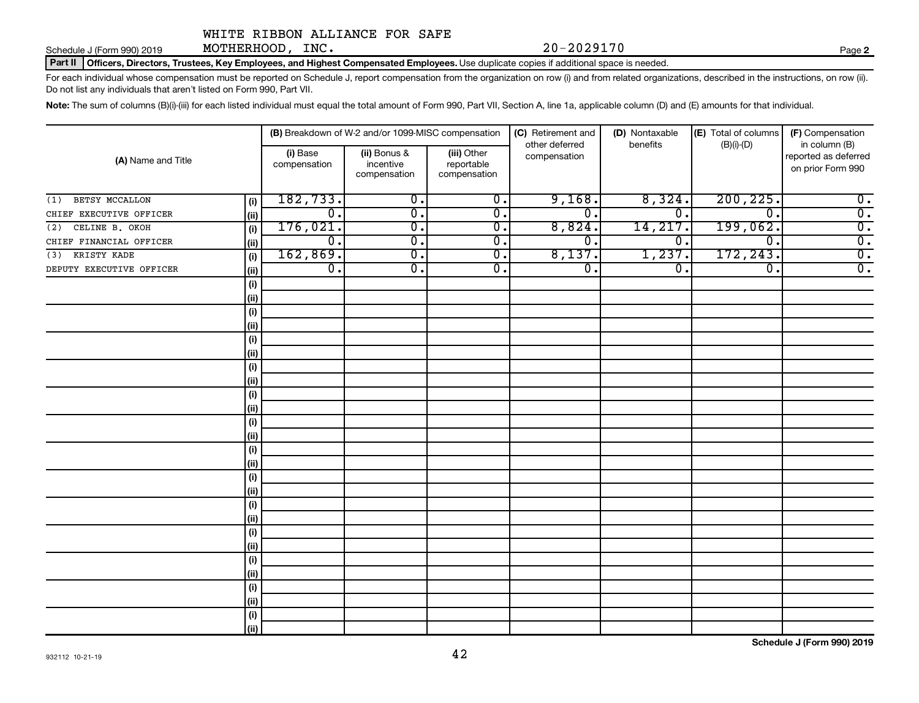Schedule J (Form 990) 2019 MOTHERHOOD, INC. 20-2029170 20-2029170

Part II | Officers, Directors, Trustees, Key Employees, and Highest Compensated Employees. Use duplicate copies if additional space is needed.

For each individual whose compensation must be reported on Schedule J, report compensation from the organization on row (i) and from related organizations, described in the instructions, on row (ii). Do not list any individuals that aren't listed on Form 990, Part VII.

Note: The sum of columns (B)(i)-(iii) for each listed individual must equal the total amount of Form 990, Part VII, Section A, line 1a, applicable column (D) and (E) amounts for that individual.

|                          |      |                          | (B) Breakdown of W-2 and/or 1099-MISC compensation |                                           | (C) Retirement and             | (D) Nontaxable   | (E) Total of columns        | (F) Compensation                                           |
|--------------------------|------|--------------------------|----------------------------------------------------|-------------------------------------------|--------------------------------|------------------|-----------------------------|------------------------------------------------------------|
| (A) Name and Title       |      | (i) Base<br>compensation | (ii) Bonus &<br>incentive<br>compensation          | (iii) Other<br>reportable<br>compensation | other deferred<br>compensation | benefits         | $(B)(i)-(D)$                | in column (B)<br>reported as deferred<br>on prior Form 990 |
| BETSY MCCALLON<br>(1)    | (i)  | 182, 733.                | $\overline{\mathbf{0}}$ .                          | $\overline{\mathbf{0}}$ .                 | 9,168.                         | 8,324.           | 200, 225.                   | $\overline{\mathbf{0}}$ .                                  |
| CHIEF EXECUTIVE OFFICER  | (ii) | $\overline{0}$ .         | $\overline{\mathfrak{o}}$ .                        | $\overline{\mathbf{0}}$ .                 | σ.                             | σ.               | $\overline{0}$ .            | $\overline{0}$ .                                           |
| CELINE B. OKOH<br>(2)    | (i)  | 176,021.                 | $\overline{\mathfrak{o}}$ .                        | $\overline{\mathbf{0}}$ .                 | 8,824.                         | 14, 217.         | 199,062.                    | $\overline{0}$ .                                           |
| CHIEF FINANCIAL OFFICER  | (ii) | $\overline{0}$ .         | $\overline{\mathfrak{o}}$ .                        | $\overline{\mathbf{0}}$ .                 | О.                             | 0.               | $\overline{0}$ .            | $\overline{\mathbf{0}}$ .                                  |
| KRISTY KADE<br>(3)       | (i)  | 162,869.                 | $\overline{\mathfrak{o}}$ .                        | $\overline{\mathbf{0}}$ .                 | 8,137.                         | 1,237.           | 172, 243.                   | $\overline{0}$ .                                           |
| DEPUTY EXECUTIVE OFFICER | (ii) | $\overline{0}$ .         | $\overline{\mathfrak{o}}$ .                        | $\overline{\mathbf{0}}$ .                 | $\overline{0}$ .               | $\overline{0}$ . | $\overline{\mathfrak{o}}$ . | $\overline{0}$ .                                           |
|                          | (i)  |                          |                                                    |                                           |                                |                  |                             |                                                            |
|                          | (ii) |                          |                                                    |                                           |                                |                  |                             |                                                            |
|                          | (i)  |                          |                                                    |                                           |                                |                  |                             |                                                            |
|                          | (ii) |                          |                                                    |                                           |                                |                  |                             |                                                            |
|                          | (i)  |                          |                                                    |                                           |                                |                  |                             |                                                            |
|                          | (ii) |                          |                                                    |                                           |                                |                  |                             |                                                            |
|                          | (i)  |                          |                                                    |                                           |                                |                  |                             |                                                            |
|                          | (ii) |                          |                                                    |                                           |                                |                  |                             |                                                            |
|                          | (i)  |                          |                                                    |                                           |                                |                  |                             |                                                            |
|                          | (ii) |                          |                                                    |                                           |                                |                  |                             |                                                            |
|                          | (i)  |                          |                                                    |                                           |                                |                  |                             |                                                            |
|                          | (ii) |                          |                                                    |                                           |                                |                  |                             |                                                            |
|                          | (i)  |                          |                                                    |                                           |                                |                  |                             |                                                            |
|                          | (ii) |                          |                                                    |                                           |                                |                  |                             |                                                            |
|                          | (i)  |                          |                                                    |                                           |                                |                  |                             |                                                            |
|                          | (ii) |                          |                                                    |                                           |                                |                  |                             |                                                            |
|                          | (i)  |                          |                                                    |                                           |                                |                  |                             |                                                            |
|                          | (ii) |                          |                                                    |                                           |                                |                  |                             |                                                            |
|                          | (i)  |                          |                                                    |                                           |                                |                  |                             |                                                            |
|                          | (ii) |                          |                                                    |                                           |                                |                  |                             |                                                            |
|                          | (i)  |                          |                                                    |                                           |                                |                  |                             |                                                            |
|                          | (ii) |                          |                                                    |                                           |                                |                  |                             |                                                            |
|                          | (i)  |                          |                                                    |                                           |                                |                  |                             |                                                            |
|                          | (ii) |                          |                                                    |                                           |                                |                  |                             |                                                            |
|                          | (i)  |                          |                                                    |                                           |                                |                  |                             |                                                            |
|                          | (ii) |                          |                                                    |                                           |                                |                  |                             |                                                            |

**2**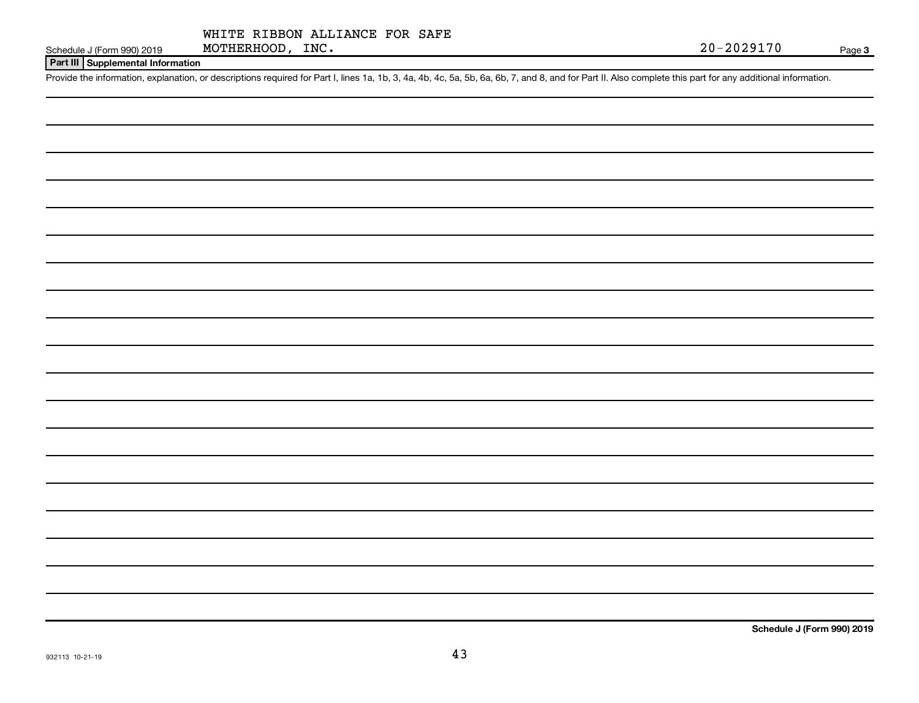### **Part III Supplemental Information**

Provide the information, explanation, or descriptions required for Part I, lines 1a, 1b, 3, 4a, 4b, 4c, 5a, 5b, 6a, 6b, 7, and 8, and for Part II. Also complete this part for any additional information.

**Schedule J (Form 990) 2019**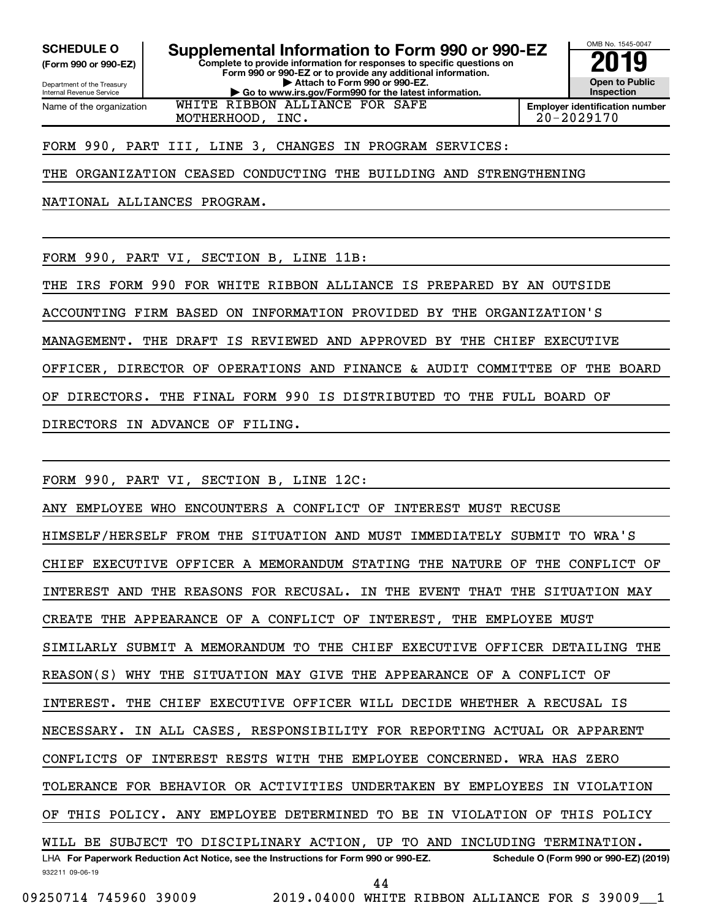**(Form 990 or 990-EZ)**

**Complete to provide information for responses to specific questions on Form 990 or 990-EZ or to provide any additional information. | Attach to Form 990 or 990-EZ. | Go to www.irs.gov/Form990 for the latest information. SCHEDULE O Supplemental Information to Form 990 or 990-EZ 2019** 

Department of the Treasury Internal Revenue Service Name of the organization

# WHITE RIBBON ALLIANCE FOR SAFE

**Inspection Employer identification number** MOTHERHOOD, INC. 20-2029170

OMB No. 1545-0047

**Open to Public**

FORM 990, PART III, LINE 3, CHANGES IN PROGRAM SERVICES:

THE ORGANIZATION CEASED CONDUCTING THE BUILDING AND STRENGTHENING

NATIONAL ALLIANCES PROGRAM.

FORM 990, PART VI, SECTION B, LINE 11B:

THE IRS FORM 990 FOR WHITE RIBBON ALLIANCE IS PREPARED BY AN OUTSIDE

ACCOUNTING FIRM BASED ON INFORMATION PROVIDED BY THE ORGANIZATION'S

MANAGEMENT. THE DRAFT IS REVIEWED AND APPROVED BY THE CHIEF EXECUTIVE

OFFICER, DIRECTOR OF OPERATIONS AND FINANCE & AUDIT COMMITTEE OF THE BOARD

OF DIRECTORS. THE FINAL FORM 990 IS DISTRIBUTED TO THE FULL BOARD OF

DIRECTORS IN ADVANCE OF FILING.

FORM 990, PART VI, SECTION B, LINE 12C:

932211 09-06-19 **For Paperwork Reduction Act Notice, see the Instructions for Form 990 or 990-EZ. Schedule O (Form 990 or 990-EZ) (2019)** LHA ANY EMPLOYEE WHO ENCOUNTERS A CONFLICT OF INTEREST MUST RECUSE HIMSELF/HERSELF FROM THE SITUATION AND MUST IMMEDIATELY SUBMIT TO WRA'S CHIEF EXECUTIVE OFFICER A MEMORANDUM STATING THE NATURE OF THE CONFLICT OF INTEREST AND THE REASONS FOR RECUSAL. IN THE EVENT THAT THE SITUATION MAY CREATE THE APPEARANCE OF A CONFLICT OF INTEREST, THE EMPLOYEE MUST SIMILARLY SUBMIT A MEMORANDUM TO THE CHIEF EXECUTIVE OFFICER DETAILING THE REASON(S) WHY THE SITUATION MAY GIVE THE APPEARANCE OF A CONFLICT OF INTEREST. THE CHIEF EXECUTIVE OFFICER WILL DECIDE WHETHER A RECUSAL IS NECESSARY. IN ALL CASES, RESPONSIBILITY FOR REPORTING ACTUAL OR APPARENT CONFLICTS OF INTEREST RESTS WITH THE EMPLOYEE CONCERNED. WRA HAS ZERO TOLERANCE FOR BEHAVIOR OR ACTIVITIES UNDERTAKEN BY EMPLOYEES IN VIOLATION OF THIS POLICY. ANY EMPLOYEE DETERMINED TO BE IN VIOLATION OF THIS POLICY WILL BE SUBJECT TO DISCIPLINARY ACTION, UP TO AND INCLUDING TERMINATION.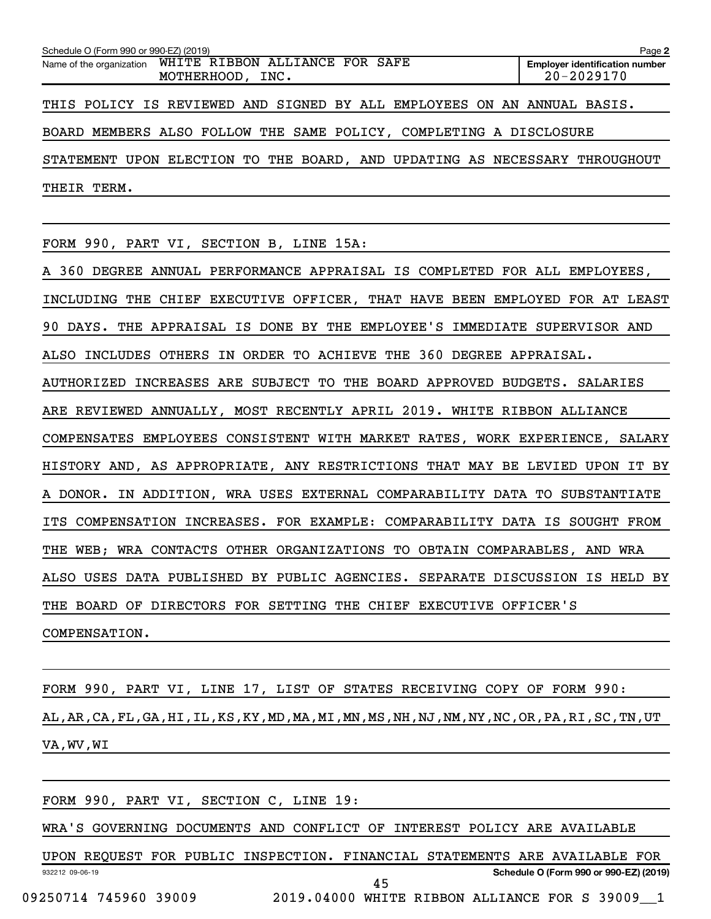| Schedule O (Form 990 or 990-EZ) (2019)                                      | Page 2                                              |
|-----------------------------------------------------------------------------|-----------------------------------------------------|
| Name of the organization WHITE RIBBON ALLIANCE FOR SAFE<br>MOTHERHOOD, INC. | <b>Employer identification number</b><br>20-2029170 |
| THIS POLICY IS REVIEWED AND SIGNED BY ALL EMPLOYEES ON AN ANNUAL BASIS.     |                                                     |
| BOARD MEMBERS ALSO FOLLOW THE SAME POLICY, COMPLETING A DISCLOSURE          |                                                     |
| STATEMENT UPON ELECTION TO THE BOARD, AND UPDATING AS NECESSARY THROUGHOUT  |                                                     |
| THEIR TERM.                                                                 |                                                     |

FORM 990, PART VI, SECTION B, LINE 15A:

A 360 DEGREE ANNUAL PERFORMANCE APPRAISAL IS COMPLETED FOR ALL EMPLOYEES, INCLUDING THE CHIEF EXECUTIVE OFFICER, THAT HAVE BEEN EMPLOYED FOR AT LEAST 90 DAYS. THE APPRAISAL IS DONE BY THE EMPLOYEE'S IMMEDIATE SUPERVISOR AND ALSO INCLUDES OTHERS IN ORDER TO ACHIEVE THE 360 DEGREE APPRAISAL. AUTHORIZED INCREASES ARE SUBJECT TO THE BOARD APPROVED BUDGETS. SALARIES ARE REVIEWED ANNUALLY, MOST RECENTLY APRIL 2019. WHITE RIBBON ALLIANCE COMPENSATES EMPLOYEES CONSISTENT WITH MARKET RATES, WORK EXPERIENCE, SALARY HISTORY AND, AS APPROPRIATE, ANY RESTRICTIONS THAT MAY BE LEVIED UPON IT BY A DONOR. IN ADDITION, WRA USES EXTERNAL COMPARABILITY DATA TO SUBSTANTIATE ITS COMPENSATION INCREASES. FOR EXAMPLE: COMPARABILITY DATA IS SOUGHT FROM THE WEB; WRA CONTACTS OTHER ORGANIZATIONS TO OBTAIN COMPARABLES, AND WRA ALSO USES DATA PUBLISHED BY PUBLIC AGENCIES. SEPARATE DISCUSSION IS HELD BY THE BOARD OF DIRECTORS FOR SETTING THE CHIEF EXECUTIVE OFFICER'S COMPENSATION.

FORM 990, PART VI, LINE 17, LIST OF STATES RECEIVING COPY OF FORM 990: AL,AR,CA,FL,GA,HI,IL,KS,KY,MD,MA,MI,MN,MS,NH,NJ,NM,NY,NC,OR,PA,RI,SC,TN,UT VA,WV,WI

FORM 990, PART VI, SECTION C, LINE 19:

WRA'S GOVERNING DOCUMENTS AND CONFLICT OF INTEREST POLICY ARE AVAILABLE

932212 09-06-19 **Schedule O (Form 990 or 990-EZ) (2019)** UPON REQUEST FOR PUBLIC INSPECTION. FINANCIAL STATEMENTS ARE AVAILABLE FOR 09250714 745960 39009 2019.04000 WHITE RIBBON ALLIANCE FOR S 39009\_\_1 45